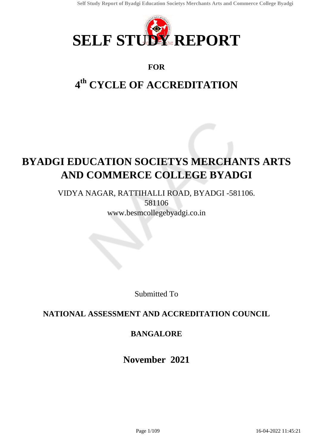

# **FOR**

# **4 th CYCLE OF ACCREDITATION**

# **BYADGI EDUCATION SOCIETYS MERCHANTS ARTS AND COMMERCE COLLEGE BYADGI**

VIDYA NAGAR, RATTIHALLI ROAD, BYADGI -581106. 581106 www.besmcollegebyadgi.co.in

Submitted To

# **NATIONAL ASSESSMENT AND ACCREDITATION COUNCIL**

# **BANGALORE**

**November 2021**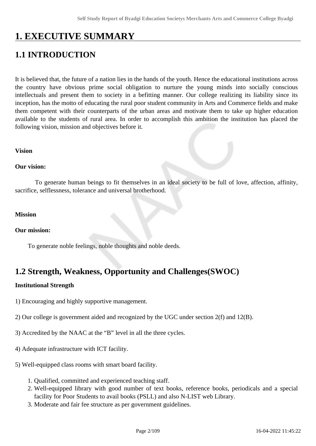# **1. EXECUTIVE SUMMARY**

# **1.1 INTRODUCTION**

It is believed that, the future of a nation lies in the hands of the youth. Hence the educational institutions across the country have obvious prime social obligation to nurture the young minds into socially conscious intellectuals and present them to society in a befitting manner. Our college realizing its liability since its inception, has the motto of educating the rural poor student community in Arts and Commerce fields and make them competent with their counterparts of the urban areas and motivate them to take up higher education available to the students of rural area. In order to accomplish this ambition the institution has placed the following vision, mission and objectives before it.

#### **Vision**

#### **Our vision:**

 To generate human beings to fit themselves in an ideal society to be full of love, affection, affinity, sacrifice, selflessness, tolerance and universal brotherhood.

#### **Mission**

#### **Our mission:**

To generate noble feelings, noble thoughts and noble deeds.

# **1.2 Strength, Weakness, Opportunity and Challenges(SWOC)**

#### **Institutional Strength**

1) Encouraging and highly supportive management.

- 2) Our college is government aided and recognized by the UGC under section 2(f) and 12(B).
- 3) Accredited by the NAAC at the "B" level in all the three cycles.
- 4) Adequate infrastructure with ICT facility.
- 5) Well-equipped class rooms with smart board facility.
	- 1. Qualified, committed and experienced teaching staff.
	- 2. Well-equipped library with good number of text books, reference books, periodicals and a special facility for Poor Students to avail books (PSLL) and also N-LIST web Library.
	- 3. Moderate and fair fee structure as per government guidelines.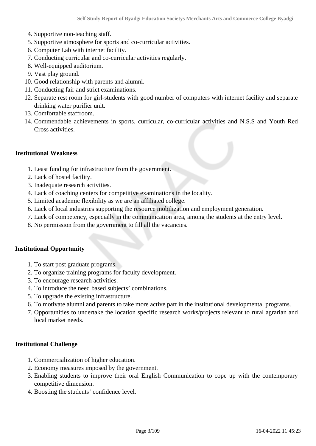- 4. Supportive non-teaching staff.
- 5. Supportive atmosphere for sports and co-curricular activities.
- 6. Computer Lab with internet facility.
- 7. Conducting curricular and co-curricular activities regularly.
- 8. Well-equipped auditorium.
- 9. Vast play ground.
- 10. Good relationship with parents and alumni.
- 11. Conducting fair and strict examinations.
- 12. Separate rest room for girl-students with good number of computers with internet facility and separate drinking water purifier unit.
- 13. Comfortable staffroom.
- 14. Commendable achievements in sports, curricular, co-curricular activities and N.S.S and Youth Red Cross activities.

#### **Institutional Weakness**

- 1. Least funding for infrastructure from the government.
- 2. Lack of hostel facility.
- 3. Inadequate research activities.
- 4. Lack of coaching centers for competitive examinations in the locality.
- 5. Limited academic flexibility as we are an affiliated college.
- 6. Lack of local industries supporting the resource mobilization and employment generation.
- 7. Lack of competency, especially in the communication area, among the students at the entry level.
- 8. No permission from the government to fill all the vacancies.

#### **Institutional Opportunity**

- 1. To start post graduate programs.
- 2. To organize training programs for faculty development.
- 3. To encourage research activities.
- 4. To introduce the need based subjects' combinations.
- 5. To upgrade the existing infrastructure.
- 6. To motivate alumni and parents to take more active part in the institutional developmental programs.
- 7. Opportunities to undertake the location specific research works/projects relevant to rural agrarian and local market needs.

#### **Institutional Challenge**

- 1. Commercialization of higher education.
- 2. Economy measures imposed by the government.
- 3. Enabling students to improve their oral English Communication to cope up with the contemporary competitive dimension.
- 4. Boosting the students' confidence level.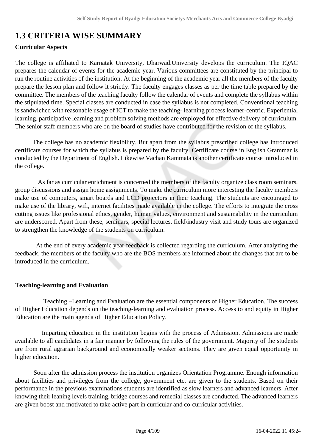# **1.3 CRITERIA WISE SUMMARY**

#### **Curricular Aspects**

The college is affiliated to Karnatak University, Dharwad.University develops the curriculum. The IQAC prepares the calendar of events for the academic year. Various committees are constituted by the principal to run the routine activities of the institution. At the beginning of the academic year all the members of the faculty prepare the lesson plan and follow it strictly. The faculty engages classes as per the time table prepared by the committee. The members of the teaching faculty follow the calendar of events and complete the syllabus within the stipulated time. Special classes are conducted in case the syllabus is not completed. Conventional teaching is sandwiched with reasonable usage of ICT to make the teaching- learning process learner-centric. Experiential learning, participative learning and problem solving methods are employed for effective delivery of curriculum. The senior staff members who are on the board of studies have contributed for the revision of the syllabus.

 The college has no academic flexibility. But apart from the syllabus prescribed college has introduced certificate courses for which the syllabus is prepared by the faculty. Certificate course in English Grammar is conducted by the Department of English. Likewise Vachan Kammata is another certificate course introduced in the college.

 As far as curricular enrichment is concerned the members of the faculty organize class room seminars, group discussions and assign home assignments. To make the curriculum more interesting the faculty members make use of computers, smart boards and LCD projectors in their teaching. The students are encouraged to make use of the library, wifi, internet facilities made available in the college. The efforts to integrate the cross cutting issues like professional ethics, gender, human values, environment and sustainability in the curriculum are underscored. Apart from these, seminars, special lectures, field\industry visit and study tours are organized to strengthen the knowledge of the students on curriculum.

 At the end of every academic year feedback is collected regarding the curriculum. After analyzing the feedback, the members of the faculty who are the BOS members are informed about the changes that are to be introduced in the curriculum.

#### **Teaching-learning and Evaluation**

 Teaching –Learning and Evaluation are the essential components of Higher Education. The success of Higher Education depends on the teaching-learning and evaluation process. Access to and equity in Higher Education are the main agenda of Higher Education Policy.

 Imparting education in the institution begins with the process of Admission. Admissions are made available to all candidates in a fair manner by following the rules of the government. Majority of the students are from rural agrarian background and economically weaker sections. They are given equal opportunity in higher education.

 Soon after the admission process the institution organizes Orientation Programme. Enough information about facilities and privileges from the college, government etc. are given to the students. Based on their performance in the previous examinations students are identified as slow learners and advanced learners. After knowing their leaning levels training, bridge courses and remedial classes are conducted. The advanced learners are given boost and motivated to take active part in curricular and co-curricular activities.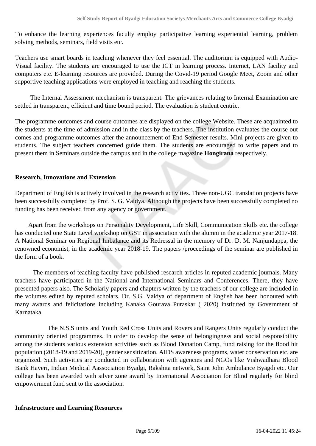To enhance the learning experiences faculty employ participative learning experiential learning, problem solving methods, seminars, field visits etc.

Teachers use smart boards in teaching whenever they feel essential. The auditorium is equipped with Audio-Visual facility. The students are encouraged to use the ICT in learning process. Internet, LAN facility and computers etc. E-learning resources are provided. During the Covid-19 period Google Meet, Zoom and other supportive teaching applications were employed in teaching and reaching the students.

 The Internal Assessment mechanism is transparent. The grievances relating to Internal Examination are settled in transparent, efficient and time bound period. The evaluation is student centric.

The programme outcomes and course outcomes are displayed on the college Website. These are acquainted to the students at the time of admission and in the class by the teachers. The institution evaluates the course out comes and programme outcomes after the announcement of End-Semester results. Mini projects are given to students. The subject teachers concerned guide them. The students are encouraged to write papers and to present them in Seminars outside the campus and in the college magazine **Hongirana** respectively.

#### **Research, Innovations and Extension**

Department of English is actively involved in the research activities. Three non-UGC translation projects have been successfully completed by Prof. S. G. Vaidya. Although the projects have been successfully completed no funding has been received from any agency or government.

 Apart from the workshops on Personality Development, Life Skill, Communication Skills etc. the college has conducted one State Level workshop on GST in association with the alumni in the academic year 2017-18. A National Seminar on Regional Imbalance and its Redressal in the memory of Dr. D. M. Nanjundappa, the renowned economist, in the academic year 2018-19. The papers /proceedings of the seminar are published in the form of a book.

 The members of teaching faculty have published research articles in reputed academic journals. Many teachers have participated in the National and International Seminars and Conferences. There, they have presented papers also. The Scholarly papers and chapters written by the teachers of our college are included in the volumes edited by reputed scholars. Dr. S.G. Vaidya of department of English has been honoured with many awards and felicitations including Kanaka Gourava Puraskar ( 2020) instituted by Government of Karnataka.

 The N.S.S units and Youth Red Cross Units and Rovers and Rangers Units regularly conduct the community oriented programmes. In order to develop the sense of belongingness and social responsibility among the students various extension activities such as Blood Donation Camp, fund raising for the flood hit population (2018-19 and 2019-20), gender sensitization, AIDS awareness programs, water conservation etc. are organized. Such activities are conducted in collaboration with agencies and NGOs like Vishwadhara Blood Bank Haveri, Indian Medical Aassociation Byadgi, Rakshita network, Saint John Ambulance Byagdi etc. Our college has been awarded with silver zone award by International Association for Blind regularly for blind empowerment fund sent to the association.

#### **Infrastructure and Learning Resources**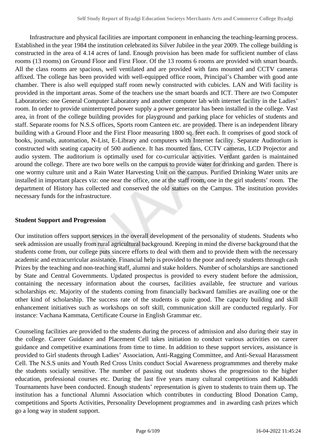Infrastructure and physical facilities are important component in enhancing the teaching-learning process. Established in the year 1984 the institution celebrated its Silver Jubilee in the year 2009. The college building is constructed in the area of 4.14 acres of land. Enough provision has been made for sufficient number of class rooms (13 rooms) on Ground Floor and First Floor. Of the 13 rooms 6 rooms are provided with smart boards. All the class rooms are spacious, well ventilated and are provided with fans mounted and CCTV cameras affixed. The college has been provided with well-equipped office room, Principal's Chamber with good ante chamber. There is also well equipped staff room newly constructed with cubicles. LAN and Wifi facility is provided in the important areas. Some of the teachers use the smart boards and ICT. There are two Computer Laboratories: one General Computer Laboratory and another computer lab with internet facility in the Ladies' room. In order to provide uninterrupted power supply a power generator has been installed in the college. Vast area, in front of the college building provides for playground and parking place for vehicles of students and staff. Separate rooms for N.S.S offices, Sports room Canteen etc. are provided. There is an independent library building with a Ground Floor and the First Floor measuring 1800 sq. feet each. It comprises of good stock of books, journals, automation, N-List, E-Library and computers with Internet facility. Separate Auditorium is constructed with seating capacity of 500 audience. It has mounted fans, CCTV cameras, LCD Projector and audio system. The auditorium is optimally used for co-curricular activities. Verdant garden is maintained around the college. There are two bore wells on the campus to provide water for drinking and garden. There is one wormy culture unit and a Rain Water Harvesting Unit on the campus. Purified Drinking Water units are installed in important places viz: one near the office, one at the staff room, one in the girl students' room. The department of History has collected and conserved the old statues on the Campus. The institution provides necessary funds for the infrastructure.

#### **Student Support and Progression**

Our institution offers support services in the overall development of the personality of students. Students who seek admission are usually from rural agricultural background. Keeping in mind the diverse background that the students come from, our college puts sincere efforts to deal with them and to provide them with the necessary academic and extracurricular assistance. Financial help is provided to the poor and needy students through cash Prizes by the teaching and non-teaching staff, alumni and stake holders. Number of scholarships are sanctioned by State and Central Governments. Updated prospectus is provided to every student before the admission, containing the necessary information about the courses, facilities available, fee structure and various scholarships etc. Majority of the students coming from financially backward families are availing one or the other kind of scholarship. The success rate of the students is quite good. The capacity building and skill enhancement initiatives such as workshops on soft skill, communication skill are conducted regularly. For instance: Vachana Kammata, Certificate Course in English Grammar etc.

Counseling facilities are provided to the students during the process of admission and also during their stay in the college. Career Guidance and Placement Cell takes initiation to conduct various activities on career guidance and competitive examinations from time to time. In addition to these support services, assistance is provided to Girl students through Ladies' Association, Anti-Ragging Committee, and Anti-Sexual Harassment Cell. The N.S.S units and Youth Red Cross Units conduct Social Awareness programmmes and thereby make the students socially sensitive. The number of passing out students shows the progression to the higher education, professional courses etc. During the last five years many cultural competitions and Kabbaddi Tournaments have been conducted. Enough students' representation is given to students to train them up. The institution has a functional Alumni Association which contributes in conducting Blood Donation Camp, competitions and Sports Activities, Personality Development programmes and in awarding cash prizes which go a long way in student support.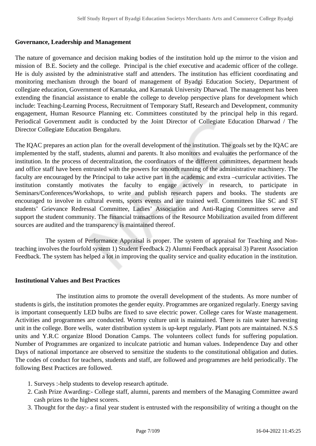#### **Governance, Leadership and Management**

The nature of governance and decision making bodies of the institution hold up the mirror to the vision and mission of B.E. Society and the college. Principal is the chief executive and academic officer of the college. He is duly assisted by the administrative staff and attenders. The institution has efficient coordinating and monitoring mechanism through the board of management of Byadgi Education Society, Department of collegiate education, Government of Karnataka, and Karnatak University Dharwad. The management has been extending the financial assistance to enable the college to develop perspective plans for development which include: Teaching-Learning Process, Recruitment of Temporary Staff, Research and Development, community engagement, Human Resource Planning etc. Committees constituted by the principal help in this regard. Periodical Government audit is conducted by the Joint Director of Collegiate Education Dharwad / The Director Collegiate Education Bengaluru.

The IQAC prepares an action plan for the overall development of the institution. The goals set by the IQAC are implemented by the staff, students, alumni and parents. It also monitors and evaluates the performance of the institution. In the process of decentralization, the coordinators of the different committees, department heads and office staff have been entrusted with the powers for smooth running of the administrative machinery. The faculty are encouraged by the Principal to take active part in the academic and extra –curricular activities. The institution constantly motivates the faculty to engage actively in research, to participate in Seminars/Conferences/Workshops, to write and publish research papers and books. The students are encouraged to involve in cultural events, sports events and are trained well. Committees like SC and ST students' Grievance Redressal Committee, Ladies' Association and Anti-Raging Committees serve and support the student community. The financial transactions of the Resource Mobilization availed from different sources are audited and the transparency is maintained thereof.

 The system of Performance Appraisal is proper. The system of appraisal for Teaching and Nonteaching involves the fourfold system 1) Student Feedback 2) Alumni Feedback appraisal 3) Parent Association Feedback. The system has helped a lot in improving the quality service and quality education in the institution.

#### **Institutional Values and Best Practices**

 The institution aims to promote the overall development of the students. As more number of students is girls, the institution promotes the gender equity. Programmes are organized regularly. Energy saving is important consequently LED bulbs are fixed to save electric power. College cares for Waste management. Activities and programmes are conducted. Wormy culture unit is maintained. There is rain water harvesting unit in the college. Bore wells, water distribution system is up-kept regularly. Plant pots are maintained. N.S.S units and Y.R.C organize Blood Donation Camps. The volunteers collect funds for suffering population. Number of Programmes are organized to inculcate patriotic and human values. Independence Day and other Days of national importance are observed to sensitize the students to the constitutional obligation and duties. The codes of conduct for teachers, students and staff, are followed and programmes are held periodically. The following Best Practices are followed.

- 1. Surveys :-help students to develop research aptitude.
- 2. Cash Prize Awarding:- College staff, alumni, parents and members of the Managing Committee award cash prizes to the highest scorers.
- 3. Thought for the day:- a final year student is entrusted with the responsibility of writing a thought on the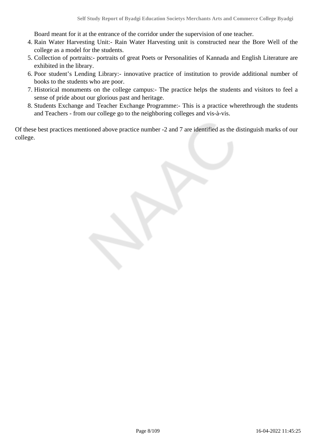Board meant for it at the entrance of the corridor under the supervision of one teacher.

- 4. Rain Water Harvesting Unit:- Rain Water Harvesting unit is constructed near the Bore Well of the college as a model for the students.
- 5. Collection of portraits:- portraits of great Poets or Personalities of Kannada and English Literature are exhibited in the library.
- 6. Poor student's Lending Library:- innovative practice of institution to provide additional number of books to the students who are poor.
- 7. Historical monuments on the college campus:- The practice helps the students and visitors to feel a sense of pride about our glorious past and heritage.
- 8. Students Exchange and Teacher Exchange Programme:- This is a practice wherethrough the students and Teachers - from our college go to the neighboring colleges and vis-à-vis.

Of these best practices mentioned above practice number -2 and 7 are identified as the distinguish marks of our college.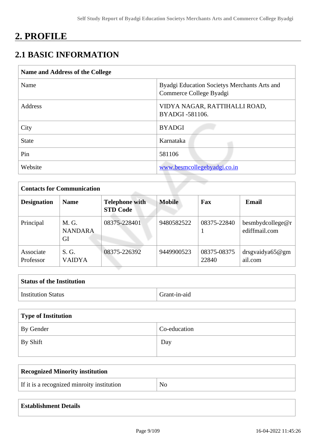# **2. PROFILE**

# **2.1 BASIC INFORMATION**

| Byadgi Education Societys Merchants Arts and<br>Commerce College Byadgi |
|-------------------------------------------------------------------------|
| VIDYA NAGAR, RATTIHALLI ROAD,<br>BYADGI -581106.                        |
| <b>BYADGI</b>                                                           |
| Karnataka                                                               |
| 581106                                                                  |
| www.besmcollegebyadgi.co.in                                             |
|                                                                         |

| <b>Contacts for Communication</b> |                               |                                          |               |                      |                                   |  |  |  |  |
|-----------------------------------|-------------------------------|------------------------------------------|---------------|----------------------|-----------------------------------|--|--|--|--|
| <b>Designation</b>                | <b>Name</b>                   | <b>Telephone with</b><br><b>STD Code</b> | <b>Mobile</b> | Fax                  | Email                             |  |  |  |  |
| Principal                         | M. G.<br><b>NANDARA</b><br>GI | 08375-228401                             | 9480582522    | 08375-22840          | besmbydcollege@r<br>ediffmail.com |  |  |  |  |
| Associate<br>Professor            | S. G.<br><b>VAIDYA</b>        | 08375-226392                             | 9449900523    | 08375-08375<br>22840 | drsgvaidya65@gm<br>ail.com        |  |  |  |  |

| <b>Status of the Institution</b> |              |
|----------------------------------|--------------|
| <b>Institution Status</b>        | Grant-in-aid |

| Type of Institution |              |  |  |  |  |  |
|---------------------|--------------|--|--|--|--|--|
| By Gender           | Co-education |  |  |  |  |  |
| By Shift            | Day          |  |  |  |  |  |

| Recognized Minority institution            |    |
|--------------------------------------------|----|
| If it is a recognized minroity institution | No |

| <b>Establishment Details</b> |  |
|------------------------------|--|
|------------------------------|--|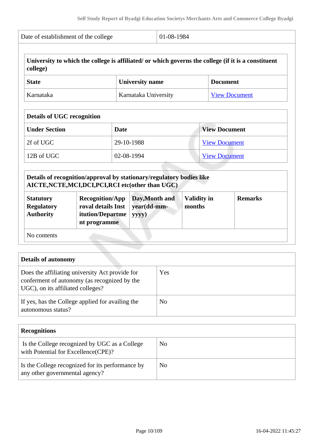|                                                                                                                                               | Date of establishment of the college                |                                        |                                                                      |  |                      |                                                                                                     |  |
|-----------------------------------------------------------------------------------------------------------------------------------------------|-----------------------------------------------------|----------------------------------------|----------------------------------------------------------------------|--|----------------------|-----------------------------------------------------------------------------------------------------|--|
| college)                                                                                                                                      |                                                     |                                        |                                                                      |  |                      | University to which the college is affiliated/ or which governs the college (if it is a constituent |  |
| <b>State</b>                                                                                                                                  | <b>University name</b>                              | <b>Document</b>                        |                                                                      |  |                      |                                                                                                     |  |
| Karnataka                                                                                                                                     |                                                     |                                        | Karnataka University                                                 |  |                      | <b>View Document</b>                                                                                |  |
| <b>Details of UGC recognition</b>                                                                                                             |                                                     |                                        |                                                                      |  |                      |                                                                                                     |  |
| <b>Under Section</b>                                                                                                                          |                                                     |                                        | <b>Date</b>                                                          |  |                      | <b>View Document</b>                                                                                |  |
| 2f of UGC                                                                                                                                     |                                                     | 29-10-1988                             |                                                                      |  | <b>View Document</b> |                                                                                                     |  |
| 12B of UGC                                                                                                                                    |                                                     | 02-08-1994                             | <b>View Document</b>                                                 |  |                      |                                                                                                     |  |
|                                                                                                                                               | AICTE, NCTE, MCI, DCI, PCI, RCI etc(other than UGC) |                                        | Details of recognition/approval by stationary/regulatory bodies like |  |                      |                                                                                                     |  |
| <b>Recognition/App</b><br><b>Statutory</b><br>roval details Inst<br><b>Regulatory</b><br><b>Authority</b><br>itution/Departme<br>nt programme |                                                     | Day, Month and<br>year(dd-mm-<br>yyyy) | <b>Validity in</b><br>months                                         |  | <b>Remarks</b>       |                                                                                                     |  |
| No contents                                                                                                                                   |                                                     |                                        |                                                                      |  |                      |                                                                                                     |  |

| <b>Details of autonomy</b>                                                                                                           |     |
|--------------------------------------------------------------------------------------------------------------------------------------|-----|
| Does the affiliating university Act provide for<br>conferment of autonomy (as recognized by the<br>UGC), on its affiliated colleges? | Yes |
| If yes, has the College applied for availing the<br>autonomous status?                                                               | No  |

| <b>Recognitions</b>                                                                  |    |
|--------------------------------------------------------------------------------------|----|
| Is the College recognized by UGC as a College<br>with Potential for Excellence(CPE)? | No |
| Is the College recognized for its performance by<br>any other governmental agency?   | No |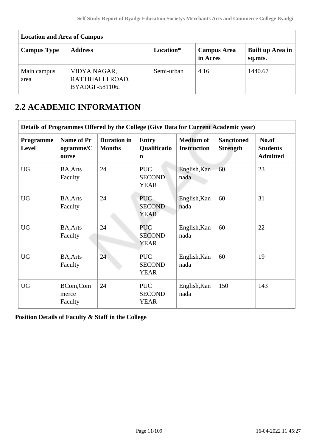| <b>Location and Area of Campus</b> |                                                     |            |                                |                             |  |  |  |  |  |
|------------------------------------|-----------------------------------------------------|------------|--------------------------------|-----------------------------|--|--|--|--|--|
| <b>Campus Type</b>                 | <b>Address</b>                                      | Location*  | <b>Campus Area</b><br>in Acres | Built up Area in<br>sq.mts. |  |  |  |  |  |
| Main campus<br>area                | VIDYA NAGAR,<br>RATTIHALLI ROAD,<br>BYADGI -581106. | Semi-urban | 4.16                           | 1440.67                     |  |  |  |  |  |

# **2.2 ACADEMIC INFORMATION**

|                           | Details of Programmes Offered by the College (Give Data for Current Academic year) |                                     |                                             |                                        |                                      |                                             |  |  |  |  |
|---------------------------|------------------------------------------------------------------------------------|-------------------------------------|---------------------------------------------|----------------------------------------|--------------------------------------|---------------------------------------------|--|--|--|--|
| <b>Programme</b><br>Level | Name of Pr<br>ogramme/C<br>ourse                                                   | <b>Duration</b> in<br><b>Months</b> | <b>Entry</b><br>Qualificatio<br>$\mathbf n$ | <b>Medium of</b><br><b>Instruction</b> | <b>Sanctioned</b><br><b>Strength</b> | No.of<br><b>Students</b><br><b>Admitted</b> |  |  |  |  |
| <b>UG</b>                 | <b>BA, Arts</b><br>Faculty                                                         | 24                                  | <b>PUC</b><br><b>SECOND</b><br><b>YEAR</b>  | English, Kan<br>nada                   | 60                                   | 23                                          |  |  |  |  |
| <b>UG</b>                 | <b>BA, Arts</b><br>Faculty                                                         | 24                                  | <b>PUC</b><br><b>SECOND</b><br><b>YEAR</b>  | English, Kan<br>nada                   | 60                                   | 31                                          |  |  |  |  |
| <b>UG</b>                 | <b>BA, Arts</b><br>Faculty                                                         | 24                                  | <b>PUC</b><br><b>SECOND</b><br><b>YEAR</b>  | English, Kan<br>nada                   | 60                                   | 22                                          |  |  |  |  |
| <b>UG</b>                 | <b>BA, Arts</b><br>Faculty                                                         | 24                                  | <b>PUC</b><br><b>SECOND</b><br><b>YEAR</b>  | English, Kan<br>nada                   | 60                                   | 19                                          |  |  |  |  |
| <b>UG</b>                 | BCom,Com<br>merce<br>Faculty                                                       | 24                                  | <b>PUC</b><br><b>SECOND</b><br><b>YEAR</b>  | English, Kan<br>nada                   | 150                                  | 143                                         |  |  |  |  |

**Position Details of Faculty & Staff in the College**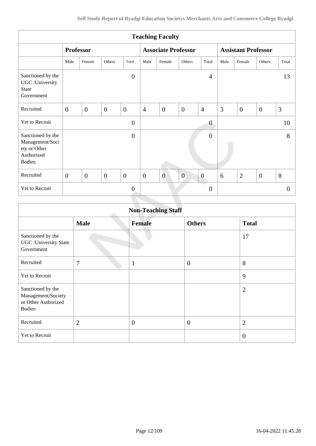| <b>Teaching Faculty</b>                                                             |                  |                |                |                |                |                            |                |                |                            |                |                |          |
|-------------------------------------------------------------------------------------|------------------|----------------|----------------|----------------|----------------|----------------------------|----------------|----------------|----------------------------|----------------|----------------|----------|
|                                                                                     | <b>Professor</b> |                |                |                |                | <b>Associate Professor</b> |                |                | <b>Assistant Professor</b> |                |                |          |
|                                                                                     | Male             | Female         | Others         | Total          | Male           | Female                     | Others         | Total          | Male                       | Female         | Others         | Total    |
| Sanctioned by the<br>UGC /University<br><b>State</b><br>Government                  |                  |                |                | $\overline{0}$ |                |                            |                | $\overline{4}$ |                            |                |                | 13       |
| Recruited                                                                           | $\overline{0}$   | $\mathbf{0}$   | $\overline{0}$ | $\overline{0}$ | $\overline{4}$ | $\overline{0}$             | $\overline{0}$ | $\overline{4}$ | $\mathfrak{Z}$             | $\theta$       | $\overline{0}$ | 3        |
| Yet to Recruit                                                                      |                  |                |                | $\overline{0}$ |                |                            |                | $\theta$       |                            |                |                | 10       |
| Sanctioned by the<br>Management/Soci<br>ety or Other<br>Authorized<br><b>Bodies</b> |                  |                |                | $\overline{0}$ |                |                            |                | $\overline{0}$ |                            |                |                | 8        |
| Recruited                                                                           | $\boldsymbol{0}$ | $\overline{0}$ | $\overline{0}$ | $\overline{0}$ | $\overline{0}$ | $\overline{0}$             | $\overline{0}$ | $\overline{0}$ | 6                          | $\overline{2}$ | $\overline{0}$ | 8        |
| Yet to Recruit                                                                      |                  |                |                | $\overline{0}$ |                |                            |                | $\overline{0}$ |                            |                |                | $\theta$ |

| <b>Non-Teaching Staff</b>                                                       |                |               |                  |                |  |  |  |
|---------------------------------------------------------------------------------|----------------|---------------|------------------|----------------|--|--|--|
|                                                                                 | <b>Male</b>    | <b>Female</b> | <b>Others</b>    | <b>Total</b>   |  |  |  |
| Sanctioned by the<br><b>UGC</b> / University State<br>Government                |                |               |                  | 17             |  |  |  |
| Recruited                                                                       | 7              | $\mathbf{1}$  | $\boldsymbol{0}$ | 8              |  |  |  |
| <b>Yet to Recruit</b>                                                           |                |               |                  | 9              |  |  |  |
| Sanctioned by the<br>Management/Society<br>or Other Authorized<br><b>Bodies</b> |                |               |                  | $\overline{2}$ |  |  |  |
| Recruited                                                                       | $\overline{2}$ | $\mathbf{0}$  | $\overline{0}$   | $\overline{2}$ |  |  |  |
| Yet to Recruit                                                                  |                |               |                  | $\overline{0}$ |  |  |  |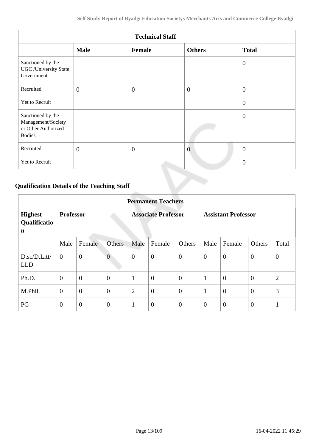| <b>Technical Staff</b>                                                          |                |              |                |                |  |  |  |  |
|---------------------------------------------------------------------------------|----------------|--------------|----------------|----------------|--|--|--|--|
|                                                                                 | <b>Male</b>    | Female       | <b>Others</b>  | <b>Total</b>   |  |  |  |  |
| Sanctioned by the<br><b>UGC</b> / University State<br>Government                |                |              |                | $\overline{0}$ |  |  |  |  |
| Recruited                                                                       | $\mathbf{0}$   | $\mathbf{0}$ | $\overline{0}$ | $\theta$       |  |  |  |  |
| Yet to Recruit                                                                  |                |              |                | $\overline{0}$ |  |  |  |  |
| Sanctioned by the<br>Management/Society<br>or Other Authorized<br><b>Bodies</b> |                |              |                | $\overline{0}$ |  |  |  |  |
| Recruited                                                                       | $\overline{0}$ | $\theta$     | $\overline{0}$ | $\overline{0}$ |  |  |  |  |
| Yet to Recruit                                                                  |                |              |                | $\overline{0}$ |  |  |  |  |

# **Qualification Details of the Teaching Staff**

|                                     | <b>Permanent Teachers</b> |                  |                |                            |                  |                            |                |                |                |                |
|-------------------------------------|---------------------------|------------------|----------------|----------------------------|------------------|----------------------------|----------------|----------------|----------------|----------------|
| <b>Highest</b><br>Qualificatio<br>n |                           | <b>Professor</b> |                | <b>Associate Professor</b> |                  | <b>Assistant Professor</b> |                |                |                |                |
|                                     | Male                      | Female           | <b>Others</b>  | Male                       | Female           | Others                     | Male           | Female         | Others         | Total          |
| D.sc/D.Litt/<br><b>LLD</b>          | $\overline{0}$            | $\overline{0}$   | $\overline{0}$ | $\overline{0}$             | $\boldsymbol{0}$ | $\overline{0}$             | $\theta$       | $\overline{0}$ | $\overline{0}$ | $\mathbf{0}$   |
| Ph.D.                               | $\overline{0}$            | $\overline{0}$   | $\overline{0}$ | 1                          | $\overline{0}$   | $\overline{0}$             | 1              | $\overline{0}$ | $\overline{0}$ | $\overline{2}$ |
| M.Phil.                             | $\overline{0}$            | $\overline{0}$   | $\overline{0}$ | $\overline{2}$             | $\overline{0}$   | $\overline{0}$             | 1              | $\overline{0}$ | $\overline{0}$ | 3              |
| PG                                  | $\overline{0}$            | $\overline{0}$   | $\overline{0}$ |                            | $\overline{0}$   | $\overline{0}$             | $\overline{0}$ | $\theta$       | $\overline{0}$ | $\mathbf{1}$   |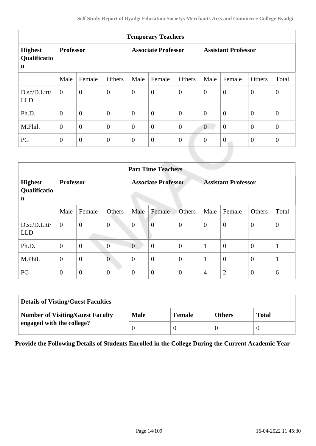| <b>Temporary Teachers</b>                     |                  |                  |                            |                |                  |                            |                  |                  |                  |                  |
|-----------------------------------------------|------------------|------------------|----------------------------|----------------|------------------|----------------------------|------------------|------------------|------------------|------------------|
| <b>Highest</b><br>Qualificatio<br>$\mathbf n$ | <b>Professor</b> |                  | <b>Associate Professor</b> |                |                  | <b>Assistant Professor</b> |                  |                  |                  |                  |
|                                               | Male             | Female           | Others                     | Male           | Female           | Others                     | Male             | Female           | Others           | Total            |
| D.sc/D.Litt/<br><b>LLD</b>                    | $\overline{0}$   | $\overline{0}$   | $\boldsymbol{0}$           | $\overline{0}$ | $\boldsymbol{0}$ | $\theta$                   | $\boldsymbol{0}$ | $\boldsymbol{0}$ | $\boldsymbol{0}$ | $\boldsymbol{0}$ |
| Ph.D.                                         | $\overline{0}$   | $\boldsymbol{0}$ | $\boldsymbol{0}$           | $\overline{0}$ | $\overline{0}$   | $\overline{0}$             | $\theta$         | $\boldsymbol{0}$ | $\mathbf{0}$     | $\mathbf{0}$     |
| M.Phil.                                       | $\overline{0}$   | $\boldsymbol{0}$ | $\boldsymbol{0}$           | $\mathbf{0}$   | $\overline{0}$   | $\overline{0}$             | $\overline{0}$   | $\mathbf{0}$     | $\mathbf{0}$     | $\theta$         |
| PG                                            | $\theta$         | $\overline{0}$   | $\boldsymbol{0}$           | $\overline{0}$ | $\boldsymbol{0}$ | $\overline{0}$             | $\boldsymbol{0}$ | $\mathbf{0}$     | $\boldsymbol{0}$ | $\boldsymbol{0}$ |
|                                               |                  |                  |                            |                |                  |                            |                  |                  |                  |                  |

|                                     | <b>Part Time Teachers</b> |                |                |                            |                |                            |                |                |                |              |
|-------------------------------------|---------------------------|----------------|----------------|----------------------------|----------------|----------------------------|----------------|----------------|----------------|--------------|
| <b>Highest</b><br>Qualificatio<br>n | <b>Professor</b>          |                |                | <b>Associate Professor</b> |                | <b>Assistant Professor</b> |                |                |                |              |
|                                     | Male                      | Female         | Others         | Male                       | Female         | Others                     | Male           | Female         | Others         | Total        |
| D.sc/D.Litt/<br><b>LLD</b>          | $\boldsymbol{0}$          | $\mathbf{0}$   | $\overline{0}$ | $\overline{0}$             | $\overline{0}$ | $\mathbf{0}$               | $\overline{0}$ | $\overline{0}$ | $\mathbf{0}$   | $\theta$     |
| Ph.D.                               | $\mathbf{0}$              | $\overline{0}$ | $\overline{0}$ | $\overline{0}$             | $\overline{0}$ | $\boldsymbol{0}$           | 1              | $\overline{0}$ | $\overline{0}$ | $\mathbf{1}$ |
| M.Phil.                             | $\mathbf{0}$              | $\overline{0}$ | $\overline{0}$ | $\overline{0}$             | $\overline{0}$ | $\boldsymbol{0}$           | 1              | $\overline{0}$ | $\theta$       | $\mathbf{1}$ |
| PG                                  | $\mathbf{0}$              | $\overline{0}$ | $\overline{0}$ | $\overline{0}$             | $\overline{0}$ | $\overline{0}$             | $\overline{4}$ | $\overline{2}$ | $\overline{0}$ | 6            |

| <b>Details of Visting/Guest Faculties</b> |             |               |               |              |  |  |  |
|-------------------------------------------|-------------|---------------|---------------|--------------|--|--|--|
| <b>Number of Visiting/Guest Faculty</b>   | <b>Male</b> | <b>Female</b> | <b>Others</b> | <b>Total</b> |  |  |  |
| engaged with the college?                 |             |               |               |              |  |  |  |

**Provide the Following Details of Students Enrolled in the College During the Current Academic Year**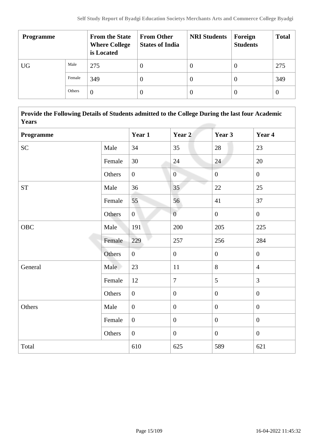| <b>Programme</b> |        | <b>From the State</b><br><b>Where College</b><br>is Located | <b>From Other</b><br><b>States of India</b> | <b>NRI Students</b> | Foreign<br><b>Students</b> | <b>Total</b> |
|------------------|--------|-------------------------------------------------------------|---------------------------------------------|---------------------|----------------------------|--------------|
| <b>UG</b>        | Male   | 275                                                         |                                             | U                   | -0                         | 275          |
|                  | Female | 349                                                         | 0                                           | $\theta$            | 0                          | 349          |
|                  | Others | 0                                                           |                                             | $\cup$              | 0                          | $\theta$     |

 **Provide the Following Details of Students admitted to the College During the last four Academic Years**

| Programme |        | Year 1         | Year 2           | Year 3           | Year 4           |
|-----------|--------|----------------|------------------|------------------|------------------|
| <b>SC</b> | Male   | 34             | 35               | $28\,$           | 23               |
|           | Female | $30\,$         | 24               | 24               | 20               |
|           | Others | $\overline{0}$ | $\overline{0}$   | $\boldsymbol{0}$ | $\mathbf{0}$     |
| <b>ST</b> | Male   | 36             | 35               | 22               | 25               |
|           | Female | 55             | 56               | 41               | 37               |
|           | Others | $\overline{0}$ | $\overline{0}$   | $\boldsymbol{0}$ | $\boldsymbol{0}$ |
| OBC       | Male   | 191            | 200              | 205              | 225              |
|           | Female | 229            | 257              | 256              | 284              |
|           | Others | $\overline{0}$ | $\boldsymbol{0}$ | $\boldsymbol{0}$ | $\boldsymbol{0}$ |
| General   | Male   | 23             | 11               | 8                | $\overline{4}$   |
|           | Female | 12             | $\overline{7}$   | 5                | $\overline{3}$   |
|           | Others | $\overline{0}$ | $\boldsymbol{0}$ | $\overline{0}$   | $\overline{0}$   |
| Others    | Male   | $\overline{0}$ | $\boldsymbol{0}$ | $\overline{0}$   | $\mathbf{0}$     |
|           | Female | $\overline{0}$ | $\boldsymbol{0}$ | $\overline{0}$   | $\mathbf{0}$     |
|           | Others | $\overline{0}$ | $\overline{0}$   | $\overline{0}$   | $\overline{0}$   |
| Total     |        | 610            | 625              | 589              | 621              |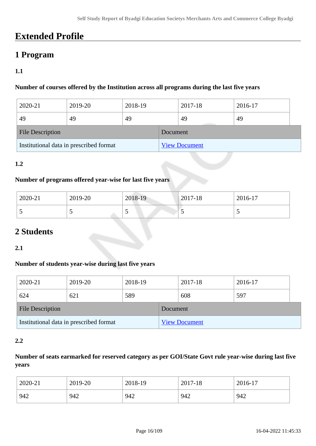# **Extended Profile**

# **1 Program**

# **1.1**

#### **Number of courses offered by the Institution across all programs during the last five years**

| 2020-21                                 | 2019-20 | 2018-19 |                      | 2017-18 | 2016-17 |  |
|-----------------------------------------|---------|---------|----------------------|---------|---------|--|
| 49                                      | 49      | 49      |                      | 49      | 49      |  |
| <b>File Description</b>                 |         |         | Document             |         |         |  |
| Institutional data in prescribed format |         |         | <b>View Document</b> |         |         |  |

### **1.2**

#### **Number of programs offered year-wise for last five years**

| 2020-21 | 2019-20 | 2018-19 | $ 2017-18 $ | 2016-17                  |
|---------|---------|---------|-------------|--------------------------|
|         | ັ       | ັ       | ັ           | $\overline{\phantom{0}}$ |

# **2 Students**

#### **2.1**

#### **Number of students year-wise during last five years**

| 2020-21                                 | 2019-20 | 2018-19 |                      | 2017-18 | 2016-17 |  |
|-----------------------------------------|---------|---------|----------------------|---------|---------|--|
| 624                                     | 621     | 589     |                      | 608     | 597     |  |
| <b>File Description</b>                 |         |         | Document             |         |         |  |
| Institutional data in prescribed format |         |         | <b>View Document</b> |         |         |  |

#### **2.2**

# **Number of seats earmarked for reserved category as per GOI/State Govt rule year-wise during last five years**

| 2020-21 | 2019-20 | 2018-19 | 2017-18 | 2016-17 |
|---------|---------|---------|---------|---------|
| 942     | 942     | 942     | 942     | 942     |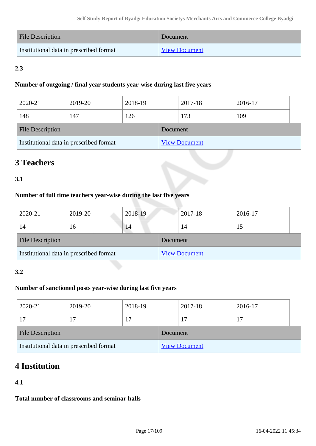| <b>File Description</b>                 | Document             |
|-----------------------------------------|----------------------|
| Institutional data in prescribed format | <b>View Document</b> |

# **2.3**

#### **Number of outgoing / final year students year-wise during last five years**

| 2020-21                 | 2019-20                                 | 2018-19 |          | 2017-18              | 2016-17 |  |
|-------------------------|-----------------------------------------|---------|----------|----------------------|---------|--|
| 148                     | 147                                     | 126     |          | 173                  | 109     |  |
| <b>File Description</b> |                                         |         | Document |                      |         |  |
|                         | Institutional data in prescribed format |         |          | <b>View Document</b> |         |  |

# **3 Teachers**

# **3.1**

# **Number of full time teachers year-wise during the last five years**

| 2020-21                 | 2019-20                                 | 2018-19 |          | 2017-18              | 2016-17 |  |
|-------------------------|-----------------------------------------|---------|----------|----------------------|---------|--|
| 14                      | 16                                      | 14      |          | 14                   | 15      |  |
| <b>File Description</b> |                                         |         | Document |                      |         |  |
|                         | Institutional data in prescribed format |         |          | <b>View Document</b> |         |  |

# **3.2**

# **Number of sanctioned posts year-wise during last five years**

| 2020-21                 | 2019-20                                 | 2018-19 |          | 2017-18              | 2016-17 |  |
|-------------------------|-----------------------------------------|---------|----------|----------------------|---------|--|
|                         |                                         |         |          | 17                   |         |  |
| <b>File Description</b> |                                         |         | Document |                      |         |  |
|                         | Institutional data in prescribed format |         |          | <b>View Document</b> |         |  |

# **4 Institution**

# **4.1**

**Total number of classrooms and seminar halls**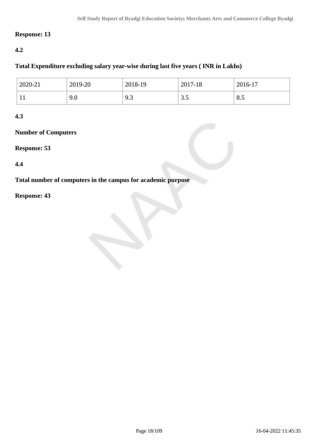# **Response: 13**

# **4.2**

### **Total Expenditure excluding salary year-wise during last five years ( INR in Lakhs)**

| 2020-21      | 2019-20 | 2018-19                | 2017-18                  | 2016-17                    |
|--------------|---------|------------------------|--------------------------|----------------------------|
| $\mathbf{r}$ | 9.0     | Q <sub>2</sub><br>ر. ر | $\sim$ $\epsilon$<br>ن.ر | $\Omega$<br>$\mathcal{O}.$ |

# **4.3**

# **Number of Computers**

#### **Response: 53**

### **4.4**

**Total number of computers in the campus for academic purpose**

# **Response: 43**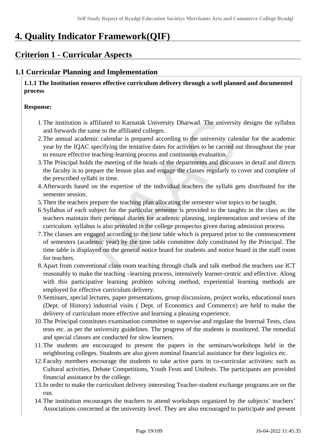# **4. Quality Indicator Framework(QIF)**

# **Criterion 1 - Curricular Aspects**

# **1.1 Curricular Planning and Implementation**

 **1.1.1 The Institution ensures effective curriculum delivery through a well planned and documented process**

### **Response:**

- 1.The institution is affiliated to Karnatak University Dharwad. The university designs the syllabus and forwards the same to the affiliated colleges.
- 2.The annual academic calendar is prepared according to the university calendar for the academic year by the IQAC specifying the tentative dates for activities to be carried out throughout the year to ensure effective teaching-learning process and continuous evaluation.
- 3.The Principal holds the meeting of the heads of the departments and discusses in detail and directs the faculty is to prepare the lesson plan and engage the classes regularly to cover and complete of the prescribed syllabi in time.
- 4.Afterwards based on the expertise of the individual teachers the syllabi gets distributed for the semester session.
- 5.Then the teachers prepare the teaching plan allocating the semester wise topics to be taught.
- 6.Syllabus of each subject for the particular semester is provided to the taughts in the class as the teachers maintain their personal diaries for academic planning, implementation and review of the curriculum. syllabus is also provided in the college prospectus given during admission process.
- 7.The classes are engaged according to the time table which is prepared prior to the commencement of semesters (academic year) by the time table committee duly constituted by the Principal. The time table is displayed on the general notice board for students and notice board in the staff room for teachers.
- 8.Apart from conventional class room teaching through chalk and talk method the teachers use ICT reasonably to make the teaching –learning process, intensively learner-centric and effective. Along with this participative learning problem solving method, experiential learning methods are employed for effective curriculum delivery.
- 9.Seminars, special lectures, paper presentations, group discussions, project works, educational tours (Dept. of History) industrial visits ( Dept. of Economics and Commerce) are held to make the delivery of curriculum more effective and learning a pleasing experience.
- 10.The Principal constitutes examination committee to supervise and regulate the Internal Tests, class tests etc. as per the university guidelines. The progress of the students is monitored. The remedial and special classes are conducted for slow learners.
- 11.The students are encouraged to present the papers in the seminars/workshops held in the neighboring colleges. Students are also given nominal financial assistance for their logistics etc.
- 12.Faculty members encourage the students to take active parts in co-curricular activities: such as Cultural activities, Debate Competitions, Youth Fests and Unifests. The participants are provided financial assistance by the college.
- 13.In order to make the curriculum delivery interesting Teacher-student exchange programs are on the run.
- 14.The institution encourages the teachers to attend workshops organized by the subjects' teachers' Associations concerned at the university level. They are also encouraged to participate and present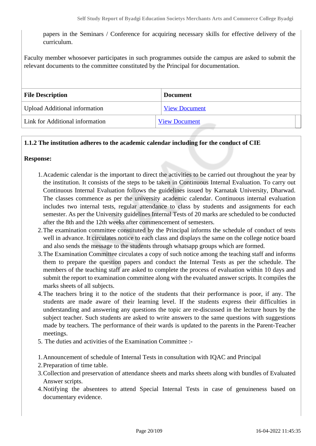papers in the Seminars / Conference for acquiring necessary skills for effective delivery of the curriculum.

Faculty member whosoever participates in such programmes outside the campus are asked to submit the relevant documents to the committee constituted by the Principal for documentation.

| <b>File Description</b>              | <b>Document</b>      |
|--------------------------------------|----------------------|
| <b>Upload Additional information</b> | <b>View Document</b> |
| Link for Additional information      | <b>View Document</b> |

#### **1.1.2 The institution adheres to the academic calendar including for the conduct of CIE**

#### **Response:**

- 1.Academic calendar is the important to direct the activities to be carried out throughout the year by the institution. It consists of the steps to be taken in Continuous Internal Evaluation. To carry out Continuous Internal Evaluation follows the guidelines issued by Karnatak University, Dharwad. The classes commence as per the university academic calendar. Continuous internal evaluation includes two internal tests, regular attendance to class by students and assignments for each semester. As per the University guidelines Internal Tests of 20 marks are scheduled to be conducted after the 8th and the 12th weeks after commencement of semesters.
- 2.The examination committee constituted by the Principal informs the schedule of conduct of tests well in advance. It circulates notice to each class and displays the same on the college notice board and also sends the message to the students through whatsapp groups which are formed.
- 3.The Examination Committee circulates a copy of such notice among the teaching staff and informs them to prepare the question papers and conduct the Internal Tests as per the schedule. The members of the teaching staff are asked to complete the process of evaluation within 10 days and submit the report to examination committee along with the evaluated answer scripts. It compiles the marks sheets of all subjects.
- 4.The teachers bring it to the notice of the students that their performance is poor, if any. The students are made aware of their learning level. If the students express their difficulties in understanding and answering any questions the topic are re-discussed in the lecture hours by the subject teacher. Such students are asked to write answers to the same questions with suggestions made by teachers. The performance of their wards is updated to the parents in the Parent-Teacher meetings.
- 5. The duties and activities of the Examination Committee :-
- 1.Announcement of schedule of Internal Tests in consultation with IQAC and Principal
- 2.Preparation of time table.
- 3.Collection and preservation of attendance sheets and marks sheets along with bundles of Evaluated Answer scripts.
- 4.Notifying the absentees to attend Special Internal Tests in case of genuineness based on documentary evidence.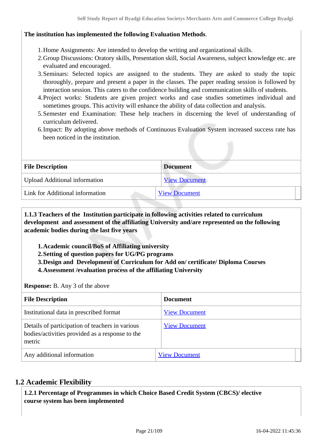#### **The institution has implemented the following Evaluation Methods**.

- 1.Home Assignments: Are intended to develop the writing and organizational skills.
- 2.Group Discussions: Oratory skills, Presentation skill, Social Awareness, subject knowledge etc. are evaluated and encouraged.
- 3.Seminars: Selected topics are assigned to the students. They are asked to study the topic thoroughly, prepare and present a paper in the classes. The paper reading session is followed by interaction session. This caters to the confidence building and communication skills of students.
- 4.Project works: Students are given project works and case studies sometimes individual and sometimes groups. This activity will enhance the ability of data collection and analysis.
- 5.Semester end Examination: These help teachers in discerning the level of understanding of curriculum delivered.
- 6.Impact: By adopting above methods of Continuous Evaluation System increased success rate has been noticed in the institution.

| <b>File Description</b>              | <b>Document</b>      |
|--------------------------------------|----------------------|
| <b>Upload Additional information</b> | <b>View Document</b> |
| Link for Additional information      | <b>View Document</b> |

# **1.1.3 Teachers of the Institution participate in following activities related to curriculum development and assessment of the affiliating University and/are represented on the following academic bodies during the last five years**

- **1.Academic council/BoS of Affiliating university**
- **2.Setting of question papers for UG/PG programs**

**3.Design and Development of Curriculum for Add on/ certificate/ Diploma Courses** 

**4.Assessment /evaluation process of the affiliating University**

**Response:** B. Any 3 of the above

| <b>File Description</b>                                                                                      | <b>Document</b>      |
|--------------------------------------------------------------------------------------------------------------|----------------------|
| Institutional data in prescribed format                                                                      | <b>View Document</b> |
| Details of participation of teachers in various<br>bodies/activities provided as a response to the<br>metric | <b>View Document</b> |
| Any additional information                                                                                   | <b>View Document</b> |

# **1.2 Academic Flexibility**

# **1.2.1 Percentage of Programmes in which Choice Based Credit System (CBCS)/ elective course system has been implemented**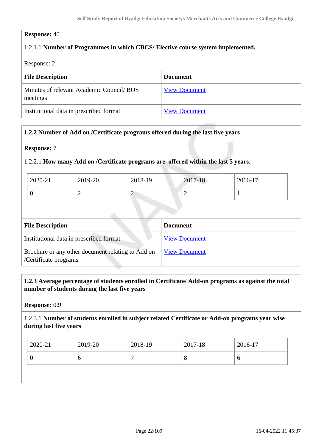#### **Response:** 40

### 1.2.1.1 **Number of Programmes in which CBCS/ Elective course system implemented.**

Response: 2

| <b>File Description</b>                               | <b>Document</b>      |
|-------------------------------------------------------|----------------------|
| Minutes of relevant Academic Council/ BOS<br>meetings | <b>View Document</b> |
| Institutional data in prescribed format               | <b>View Document</b> |

#### **1.2.2 Number of Add on /Certificate programs offered during the last five years**

**Response:** 7

#### 1.2.2.1 **How many Add on /Certificate programs are offered within the last 5 years.**

| 2020-21 | 2019-20 | 2018-19 | 2017-18 | 2016-17 |
|---------|---------|---------|---------|---------|
|         | ∼       | ∼       | -       |         |

| <b>File Description</b>                                                    | <b>Document</b>      |
|----------------------------------------------------------------------------|----------------------|
| Institutional data in prescribed format                                    | <b>View Document</b> |
| Brochure or any other document relating to Add on<br>/Certificate programs | <b>View Document</b> |

 **1.2.3 Average percentage of students enrolled in Certificate/ Add-on programs as against the total number of students during the last five years**

**Response:** 0.9

1.2.3.1 **Number of students enrolled in subject related Certificate or Add-on programs year wise during last five years**

| O<br>$\circ$ | U |
|--------------|---|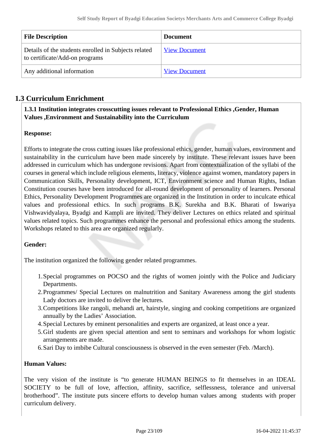| <b>File Description</b>                                                                | <b>Document</b>      |
|----------------------------------------------------------------------------------------|----------------------|
| Details of the students enrolled in Subjects related<br>to certificate/Add-on programs | <b>View Document</b> |
| Any additional information                                                             | <b>View Document</b> |

# **1.3 Curriculum Enrichment**

 **1.3.1 Institution integrates crosscutting issues relevant to Professional Ethics ,Gender, Human Values ,Environment and Sustainability into the Curriculum**

### **Response:**

Efforts to integrate the cross cutting issues like professional ethics, gender, human values, environment and sustainability in the curriculum have been made sincerely by institute. These relevant issues have been addressed in curriculum which has undergone revisions. Apart from contextualization of the syllabi of the courses in general which include religious elements, literacy, violence against women, mandatory papers in Communication Skills, Personality development, ICT, Environment science and Human Rights, Indian Constitution courses have been introduced for all-round development of personality of learners. Personal Ethics, Personality Development Programmes are organized in the Institution in order to inculcate ethical values and professional ethics. In such programs B.K. Surekha and B.K. Bharati of Iswariya Vishwavidyalaya, Byadgi and Kampli are invited. They deliver Lectures on ethics related and spiritual values related topics. Such programmes enhance the personal and professional ethics among the students. Workshops related to this area are organized regularly.

# **Gender:**

The institution organized the following gender related programmes.

- 1.Special programmes on POCSO and the rights of women jointly with the Police and Judiciary Departments.
- 2.Programmes/ Special Lectures on malnutrition and Sanitary Awareness among the girl students Lady doctors are invited to deliver the lectures.
- 3.Competitions like rangoli, mehandi art, hairstyle, singing and cooking competitions are organized annually by the Ladies' Association.
- 4.Special Lectures by eminent personalities and experts are organized, at least once a year.
- 5.Girl students are given special attention and sent to seminars and workshops for whom logistic arrangements are made.
- 6.Sari Day to imbibe Cultural consciousness is observed in the even semester (Feb. /March).

#### **Human Values:**

The very vision of the institute is "to generate HUMAN BEINGS to fit themselves in an IDEAL SOCIETY to be full of love, affection, affinity, sacrifice, selflessness, tolerance and universal brotherhood". The institute puts sincere efforts to develop human values among students with proper curriculum delivery.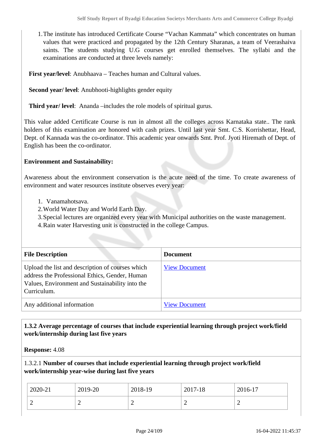1.The institute has introduced Certificate Course "Vachan Kammata" which concentrates on human values that were practiced and propagated by the 12th Century Sharanas, a team of Veerashaiva saints. The students studying U.G courses get enrolled themselves. The syllabi and the examinations are conducted at three levels namely:

 **First year/level**: Anubhaava – Teaches human and Cultural values.

**Second year/ level**: Anubhooti-highlights gender equity

**Third year/ level**: Ananda –includes the role models of spiritual gurus.

This value added Certificate Course is run in almost all the colleges across Karnataka state.. The rank holders of this examination are honored with cash prizes. Until last year Smt. C.S. Korrishettar, Head, Dept. of Kannada was the co-ordinator. This academic year onwards Smt. Prof. Jyoti Hiremath of Dept. of English has been the co-ordinator.

# **Environment and Sustainability:**

Awareness about the environment conservation is the acute need of the time. To create awareness of environment and water resources institute observes every year:

- 1. Vanamahotsava.
- 2.World Water Day and World Earth Day.
- 3.Special lectures are organized every year with Municipal authorities on the waste management.
- 4.Rain water Harvesting unit is constructed in the college Campus.

| <b>File Description</b>                                                                                                                                              | <b>Document</b>      |
|----------------------------------------------------------------------------------------------------------------------------------------------------------------------|----------------------|
| Upload the list and description of courses which<br>address the Professional Ethics, Gender, Human<br>Values, Environment and Sustainability into the<br>Curriculum. | <b>View Document</b> |
| Any additional information                                                                                                                                           | <b>View Document</b> |

### **1.3.2 Average percentage of courses that include experiential learning through project work/field work/internship during last five years**

**Response:** 4.08

# 1.3.2.1 **Number of courses that include experiential learning through project work/field work/internship year-wise during last five years**

| 2020-21 | 2019-20 | 2018-19 | 2017-18 | 2016-17 |
|---------|---------|---------|---------|---------|
| ∽       | ∽       | -       | ∼       | -       |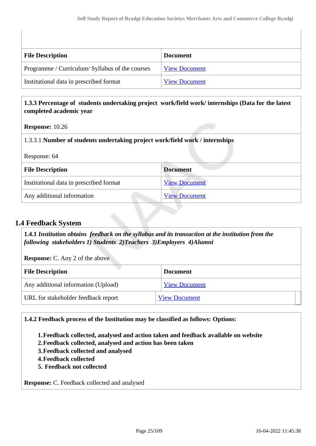| <b>File Description</b>                         | <b>Document</b>      |
|-------------------------------------------------|----------------------|
| Programme / Curriculum/ Syllabus of the courses | <b>View Document</b> |
| Institutional data in prescribed format         | <b>View Document</b> |

#### **1.3.3 Percentage of students undertaking project work/field work/ internships (Data for the latest completed academic year**

**Response:** 10.26

#### 1.3.3.1 **Number of students undertaking project work/field work / internships**

| Response: 64                            |                      |
|-----------------------------------------|----------------------|
| <b>File Description</b>                 | <b>Document</b>      |
| Institutional data in prescribed format | <b>View Document</b> |
| Any additional information              | <b>View Document</b> |

# **1.4 Feedback System**

 **1.4.1** *Institution obtains feedback on the syllabus and its transaction at the institution from the following stakeholders 1) Students 2)Teachers 3)Employers 4)Alumni* 

**Response:** C. Any 2 of the above

| <b>File Description</b>             | <b>Document</b>      |
|-------------------------------------|----------------------|
| Any additional information (Upload) | <b>View Document</b> |
| URL for stakeholder feedback report | <b>View Document</b> |

**1.4.2 Feedback process of the Institution may be classified as follows: Options:**

**1.Feedback collected, analysed and action taken and feedback available on website**

- **2.Feedback collected, analysed and action has been taken**
- **3.Feedback collected and analysed**
- **4.Feedback collected**
- **5. Feedback not collected**

**Response:** C. Feedback collected and analysed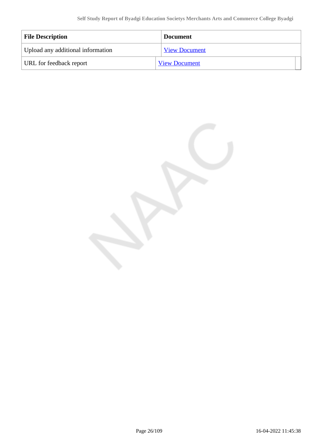| <b>File Description</b>           | <b>Document</b>      |
|-----------------------------------|----------------------|
| Upload any additional information | <b>View Document</b> |
| URL for feedback report           | <b>View Document</b> |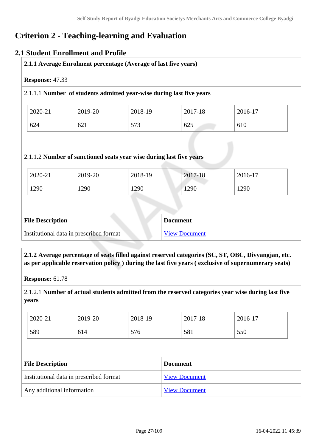# **Criterion 2 - Teaching-learning and Evaluation**

# **2.1 Student Enrollment and Profile**

| Response: 47.33         |         | 2.1.1.1 Number of students admitted year-wise during last five years |                 |         |
|-------------------------|---------|----------------------------------------------------------------------|-----------------|---------|
| 2020-21                 | 2019-20 | 2018-19                                                              | 2017-18         | 2016-17 |
| 624                     | 621     | 573                                                                  | 625             | 610     |
|                         |         | 2.1.1.2 Number of sanctioned seats year wise during last five years  |                 |         |
| 2020-21                 | 2019-20 | 2018-19                                                              | 2017-18         | 2016-17 |
| 1290                    | 1290    | 1290                                                                 | 1290            | 1290    |
|                         |         |                                                                      |                 |         |
| <b>File Description</b> |         |                                                                      | <b>Document</b> |         |

 **2.1.2 Average percentage of seats filled against reserved categories (SC, ST, OBC, Divyangjan, etc. as per applicable reservation policy ) during the last five years ( exclusive of supernumerary seats)**

**Response:** 61.78

2.1.2.1 **Number of actual students admitted from the reserved categories year wise during last five years**

| 2020-21 | 2019-20 | 2018-19 | 2017-18 | 2016-17 |
|---------|---------|---------|---------|---------|
| 589     | 614     | 576     | 581     | 550     |

| <b>File Description</b>                 | <b>Document</b>      |
|-----------------------------------------|----------------------|
| Institutional data in prescribed format | <b>View Document</b> |
| Any additional information              | <b>View Document</b> |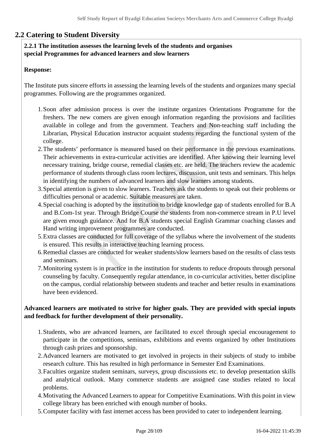# **2.2 Catering to Student Diversity**

### **2.2.1 The institution assesses the learning levels of the students and organises special Programmes for advanced learners and slow learners**

### **Response:**

The Institute puts sincere efforts in assessing the learning levels of the students and organizes many special programmes. Following are the programmes organized.

- 1.Soon after admission process is over the institute organizes Orientations Programme for the freshers. The new comers are given enough information regarding the provisions and facilities available in college and from the government. Teachers and Non-teaching staff including the Librarian, Physical Education instructor acquaint students regarding the functional system of the college.
- 2.The students' performance is measured based on their performance in the previous examinations. Their achievements in extra-curricular activities are identified. After knowing their learning level necessary training, bridge course, remedial classes etc. are held. The teachers review the academic performance of students through class room lectures, discussion, unit tests and seminars. This helps in identifying the numbers of advanced learners and slow learners among students.
- 3.Special attention is given to slow learners. Teachers ask the students to speak out their problems or difficulties personal or academic. Suitable measures are taken.
- 4.Special coaching is adopted by the institution to bridge knowledge gap of students enrolled for B.A and B.Com-1st year. Through Bridge Course the students from non-commerce stream in P.U level are given enough guidance. And for B.A students special English Grammar coaching classes and Hand writing improvement programmes are conducted.
- 5.Extra classes are conducted for full coverage of the syllabus where the involvement of the students is ensured. This results in interactive teaching learning process.
- 6.Remedial classes are conducted for weaker students/slow learners based on the results of class tests and seminars.
- 7.Monitoring system is in practice in the institution for students to reduce dropouts through personal counseling by faculty. Consequently regular attendance, in co-curricular activities, better discipline on the campus, cordial relationship between students and teacher and better results in examinations have been evidenced.

### **Advanced learners are motivated to strive for higher goals. They are provided with special inputs and feedback for further development of their personality.**

- 1.Students, who are advanced learners, are facilitated to excel through special encouragement to participate in the competitions, seminars, exhibitions and events organized by other Institutions through cash prizes and sponsorship.
- 2.Advanced learners are motivated to get involved in projects in their subjects of study to imbibe research culture. This has resulted in high performance in Semester End Examinations.
- 3.Faculties organize student seminars, surveys, group discussions etc. to develop presentation skills and analytical outlook. Many commerce students are assigned case studies related to local problems.
- 4.Motivating the Advanced Learners to appear for Competitive Examinations. With this point in view college library has been enriched with enough number of books.
- 5.Computer facility with fast internet access has been provided to cater to independent learning.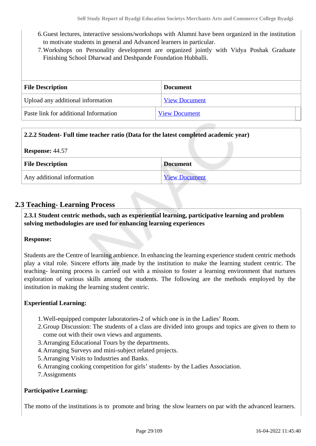- 6.Guest lectures, interactive sessions/workshops with Alumni have been organized in the institution to motivate students in general and Advanced learners in particular.
- 7.Workshops on Personality development are organized jointly with Vidya Poshak Graduate Finishing School Dharwad and Deshpande Foundation Hubballi.

| <b>File Description</b>               | <b>Document</b>      |
|---------------------------------------|----------------------|
| Upload any additional information     | <b>View Document</b> |
| Paste link for additional Information | <b>View Document</b> |

# **2.2.2 Student- Full time teacher ratio (Data for the latest completed academic year)**

| <b>Response: 44.57</b>     |                      |
|----------------------------|----------------------|
| <b>File Description</b>    | <b>Document</b>      |
| Any additional information | <b>View Document</b> |

# **2.3 Teaching- Learning Process**

 **2.3.1 Student centric methods, such as experiential learning, participative learning and problem solving methodologies are used for enhancing learning experiences**

#### **Response:**

Students are the Centre of learning ambience. In enhancing the learning experience student centric methods play a vital role. Sincere efforts are made by the institution to make the learning student centric. The teaching- learning process is carried out with a mission to foster a learning environment that nurtures exploration of various skills among the students. The following are the methods employed by the institution in making the learning student centric.

# **Experiential Learning:**

- 1.Well-equipped computer laboratories-2 of which one is in the Ladies' Room.
- 2.Group Discussion: The students of a class are divided into groups and topics are given to them to come out with their own views and arguments.
- 3.Arranging Educational Tours by the departments.
- 4.Arranging Surveys and mini-subject related projects.
- 5.Arranging Visits to Industries and Banks.
- 6.Arranging cooking competition for girls' students- by the Ladies Association.
- 7.Assignments

#### **Participative Learning:**

The motto of the institutions is to promote and bring the slow learners on par with the advanced learners.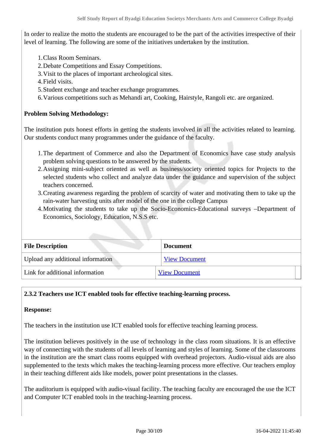In order to realize the motto the students are encouraged to be the part of the activities irrespective of their level of learning. The following are some of the initiatives undertaken by the institution.

- 1.Class Room Seminars.
- 2.Debate Competitions and Essay Competitions.
- 3.Visit to the places of important archeological sites.
- 4.Field visits.
- 5.Student exchange and teacher exchange programmes.
- 6.Various competitions such as Mehandi art, Cooking, Hairstyle, Rangoli etc. are organized.

### **Problem Solving Methodology:**

The institution puts honest efforts in getting the students involved in all the activities related to learning. Our students conduct many programmes under the guidance of the faculty.

- 1.The department of Commerce and also the Department of Economics have case study analysis problem solving questions to be answered by the students.
- 2.Assigning mini-subject oriented as well as business/society oriented topics for Projects to the selected students who collect and analyze data under the guidance and supervision of the subject teachers concerned.
- 3.Creating awareness regarding the problem of scarcity of water and motivating them to take up the rain-water harvesting units after model of the one in the college Campus
- 4.Motivating the students to take up the Socio-Economics-Educational surveys –Department of Economics, Sociology, Education, N.S.S etc.

| <b>File Description</b>           | <b>Document</b>      |  |
|-----------------------------------|----------------------|--|
| Upload any additional information | <b>View Document</b> |  |
| Link for additional information   | <b>View Document</b> |  |

# **2.3.2 Teachers use ICT enabled tools for effective teaching-learning process.**

# **Response:**

The teachers in the institution use ICT enabled tools for effective teaching learning process.

The institution believes positively in the use of technology in the class room situations. It is an effective way of connecting with the students of all levels of learning and styles of learning. Some of the classrooms in the institution are the smart class rooms equipped with overhead projectors. Audio-visual aids are also supplemented to the texts which makes the teaching-learning process more effective. Our teachers employ in their teaching different aids like models, power point presentations in the classes.

The auditorium is equipped with audio-visual facility. The teaching faculty are encouraged the use the ICT and Computer ICT enabled tools in the teaching-learning process.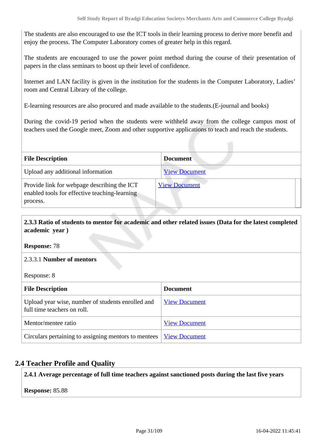The students are also encouraged to use the ICT tools in their learning process to derive more benefit and enjoy the process. The Computer Laboratory comes of greater help in this regard.

The students are encouraged to use the power point method during the course of their presentation of papers in the class seminars to boost up their level of confidence.

Internet and LAN facility is given in the institution for the students in the Computer Laboratory, Ladies' room and Central Library of the college.

E-learning resources are also procured and made available to the students.(E-journal and books)

During the covid-19 period when the students were withheld away from the college campus most of teachers used the Google meet, Zoom and other supportive applications to teach and reach the students.

| <b>File Description</b>                                                                                  | <b>Document</b>      |
|----------------------------------------------------------------------------------------------------------|----------------------|
| Upload any additional information                                                                        | <b>View Document</b> |
| Provide link for webpage describing the ICT<br>enabled tools for effective teaching-learning<br>process. | <b>View Document</b> |

 **2.3.3 Ratio of students to mentor for academic and other related issues (Data for the latest completed academic year )**

**Response:** 78

#### 2.3.3.1 **Number of mentors**

Response: 8

| <b>File Description</b>                                                          | <b>Document</b>      |
|----------------------------------------------------------------------------------|----------------------|
| Upload year wise, number of students enrolled and<br>full time teachers on roll. | <b>View Document</b> |
| Mentor/mentee ratio                                                              | <b>View Document</b> |
| Circulars pertaining to assigning mentors to mentees                             | <b>View Document</b> |

# **2.4 Teacher Profile and Quality**

**2.4.1 Average percentage of full time teachers against sanctioned posts during the last five years**

**Response:** 85.88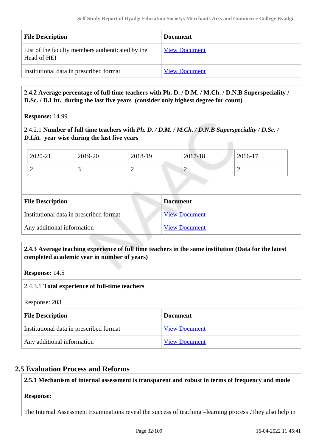| <b>File Description</b>                                         | <b>Document</b>      |
|-----------------------------------------------------------------|----------------------|
| List of the faculty members authenticated by the<br>Head of HEI | <b>View Document</b> |
| Institutional data in prescribed format                         | <b>View Document</b> |

 **2.4.2 Average percentage of full time teachers with Ph. D. / D.M. / M.Ch. / D.N.B Superspeciality / D.Sc. / D.Litt. during the last five years (consider only highest degree for count)**

**Response:** 14.99

2.4.2.1 **Number of full time teachers with** *Ph. D. / D.M. / M.Ch. / D.N.B Superspeciality / D.Sc. / D.Litt.* **year wise during the last five years**

| 2020-21 | 2019-20 | 2018-19 | 2017-18 | 2016-17 |
|---------|---------|---------|---------|---------|
|         |         | -       |         | -       |

| <b>File Description</b>                 | <b>Document</b>      |
|-----------------------------------------|----------------------|
| Institutional data in prescribed format | <b>View Document</b> |
| Any additional information              | <b>View Document</b> |

### **2.4.3 Average teaching experience of full time teachers in the same institution (Data for the latest completed academic year in number of years)**

**Response:** 14.5

#### 2.4.3.1 **Total experience of full-time teachers**

Response: 203

| <b>File Description</b>                 | <b>Document</b>      |
|-----------------------------------------|----------------------|
| Institutional data in prescribed format | <b>View Document</b> |
| Any additional information              | <b>View Document</b> |

# **2.5 Evaluation Process and Reforms**

**2.5.1 Mechanism of internal assessment is transparent and robust in terms of frequency and mode**

#### **Response:**

The Internal Assessment Examinations reveal the success of teaching –learning process .They also help in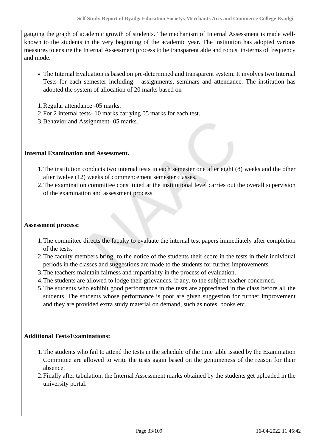gauging the graph of academic growth of students. The mechanism of Internal Assessment is made wellknown to the students in the very beginning of the academic year. The institution has adopted various measures to ensure the Internal Assessment process to be transparent able and robust in-terms of frequency and mode.

- The Internal Evaluation is based on pre-determined and transparent system. It involves two Internal Tests for each semester including assignments, seminars and attendance. The institution has adopted the system of allocation of 20 marks based on
- 1.Regular attendance -05 marks.
- 2.For 2 internal tests- 10 marks carrying 05 marks for each test.
- 3.Behavior and Assignment- 05 marks.

#### **Internal Examination and Assessment.**

- 1.The institution conducts two internal tests in each semester one after eight (8) weeks and the other after twelve (12) weeks of commencement semester classes.
- 2.The examination committee constituted at the institutional level carries out the overall supervision of the examination and assessment process.

#### **Assessment process:**

- 1.The committee directs the faculty to evaluate the internal test papers immediately after completion of the tests.
- 2.The faculty members bring to the notice of the students their score in the tests in their individual periods in the classes and suggestions are made to the students for further improvements.
- 3.The teachers maintain fairness and impartiality in the process of evaluation.
- 4.The students are allowed to lodge their grievances, if any, to the subject teacher concerned.
- 5.The students who exhibit good performance in the tests are appreciated in the class before all the students. The students whose performance is poor are given suggestion for further improvement and they are provided extra study material on demand, such as notes, books etc.

#### **Additional Tests/Examinations:**

- 1.The students who fail to attend the tests in the schedule of the time table issued by the Examination Committee are allowed to write the tests again based on the genuineness of the reason for their absence.
- 2.Finally after tabulation, the Internal Assessment marks obtained by the students get uploaded in the university portal.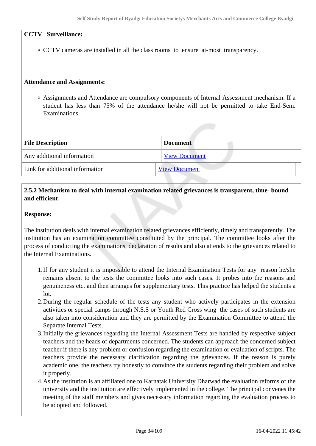# **CCTV Surveillance:**

CCTV cameras are installed in all the class rooms to ensure at-most transparency.

### **Attendance and Assignments:**

Assignments and Attendance are compulsory components of Internal Assessment mechanism. If a student has less than 75% of the attendance he/she will not be permitted to take End-Sem. Examinations.

| <b>File Description</b>         | <b>Document</b>      |
|---------------------------------|----------------------|
| Any additional information      | <b>View Document</b> |
| Link for additional information | <b>View Document</b> |

# **2.5.2 Mechanism to deal with internal examination related grievances is transparent, time- bound and efficient**

#### **Response:**

The institution deals with internal examination related grievances efficiently, timely and transparently. The institution has an examination committee constituted by the principal. The committee looks after the process of conducting the examinations, declaration of results and also attends to the grievances related to the Internal Examinations.

- 1.If for any student it is impossible to attend the Internal Examination Tests for any reason he/she remains absent to the tests the committee looks into such cases. It probes into the reasons and genuineness etc. and then arranges for supplementary tests. This practice has helped the students a lot.
- 2.During the regular schedule of the tests any student who actively participates in the extension activities or special camps through N.S.S or Youth Red Cross wing the cases of such students are also taken into consideration and they are permitted by the Examination Committee to attend the Separate Internal Tests.
- 3.Initially the grievances regarding the Internal Assessment Tests are handled by respective subject teachers and the heads of departments concerned. The students can approach the concerned subject teacher if there is any problem or confusion regarding the examination or evaluation of scripts. The teachers provide the necessary clarification regarding the grievances. If the reason is purely academic one, the teachers try honestly to convince the students regarding their problem and solve it properly.
- 4.As the institution is an affiliated one to Karnatak University Dharwad the evaluation reforms of the university and the institution are effectively implemented in the college. The principal convenes the meeting of the staff members and gives necessary information regarding the evaluation process to be adopted and followed.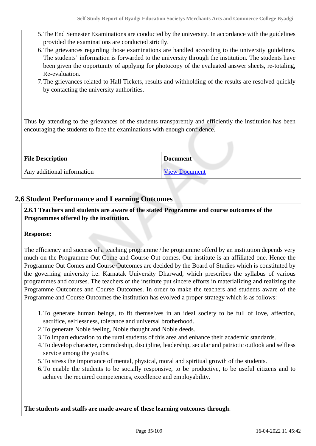- 5.The End Semester Examinations are conducted by the university. In accordance with the guidelines provided the examinations are conducted strictly.
- 6.The grievances regarding those examinations are handled according to the university guidelines. The students' information is forwarded to the university through the institution. The students have been given the opportunity of applying for photocopy of the evaluated answer sheets, re-totaling, Re-evaluation.
- 7.The grievances related to Hall Tickets, results and withholding of the results are resolved quickly by contacting the university authorities.

Thus by attending to the grievances of the students transparently and efficiently the institution has been encouraging the students to face the examinations with enough confidence.

| <b>File Description</b>    | <b>Document</b>      |
|----------------------------|----------------------|
| Any additional information | <b>View Document</b> |

# **2.6 Student Performance and Learning Outcomes**

 **2.6.1 Teachers and students are aware of the stated Programme and course outcomes of the Programmes offered by the institution.**

# **Response:**

The efficiency and success of a teaching programme /the programme offerd by an institution depends very much on the Programme Out Come and Course Out comes. Our institute is an affiliated one. Hence the Programme Out Comes and Course Outcomes are decided by the Board of Studies which is constituted by the governing university i.e. Karnatak University Dharwad, which prescribes the syllabus of various programmes and courses. The teachers of the institute put sincere efforts in materializing and realizing the Programme Outcomes and Course Outcomes. In order to make the teachers and students aware of the Programme and Course Outcomes the institution has evolved a proper strategy which is as follows:

- 1.To generate human beings, to fit themselves in an ideal society to be full of love, affection, sacrifice, selflessness, tolerance and universal brotherhood.
- 2.To generate Noble feeling, Noble thought and Noble deeds.
- 3.To impart education to the rural students of this area and enhance their academic standards.
- 4.To develop character, comradeship, discipline, leadership, secular and patriotic outlook and selfless service among the youths.
- 5.To stress the importance of mental, physical, moral and spiritual growth of the students.
- 6.To enable the students to be socially responsive, to be productive, to be useful citizens and to achieve the required competencies, excellence and employability.

**The students and staffs are made aware of these learning outcomes through**: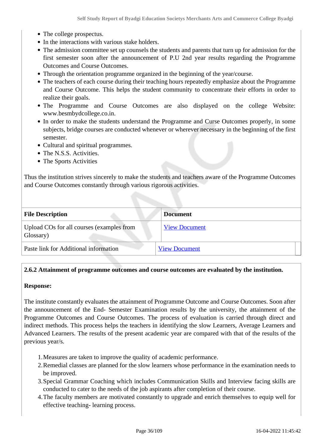- The college prospectus.
- In the interactions with various stake holders.
- The admission committee set up counsels the students and parents that turn up for admission for the first semester soon after the announcement of P.U 2nd year results regarding the Programme Outcomes and Course Outcomes.
- Through the orientation programme organized in the beginning of the year/course.
- The teachers of each course during their teaching hours repeatedly emphasize about the Programme and Course Outcome. This helps the student community to concentrate their efforts in order to realize their goals.
- The Programme and Course Outcomes are also displayed on the college Website: www.besmbydcollege.co.in.
- In order to make the students understand the Programme and Curse Outcomes properly, in some subjects, bridge courses are conducted whenever or wherever necessary in the beginning of the first semester.
- Cultural and spiritual programmes.
- The N.S.S. Activities.
- The Sports Activities

Thus the institution strives sincerely to make the students and teachers aware of the Programme Outcomes and Course Outcomes constantly through various rigorous activities.

| <b>File Description</b>                                | <b>Document</b>      |
|--------------------------------------------------------|----------------------|
| Upload COs for all courses (examples from<br>Glossary) | <b>View Document</b> |
| Paste link for Additional information                  | <b>View Document</b> |

#### **2.6.2 Attainment of programme outcomes and course outcomes are evaluated by the institution.**

#### **Response:**

The institute constantly evaluates the attainment of Programme Outcome and Course Outcomes. Soon after the announcement of the End- Semester Examination results by the university, the attainment of the Programme Outcomes and Course Outcomes. The process of evaluation is carried through direct and indirect methods. This process helps the teachers in identifying the slow Learners, Average Learners and Advanced Learners. The results of the present academic year are compared with that of the results of the previous year/s.

- 1.Measures are taken to improve the quality of academic performance.
- 2.Remedial classes are planned for the slow learners whose performance in the examination needs to be improved.
- 3.Special Grammar Coaching which includes Communication Skills and Interview facing skills are conducted to cater to the needs of the job aspirants after completion of their course.
- 4.The faculty members are motivated constantly to upgrade and enrich themselves to equip well for effective teaching- learning process.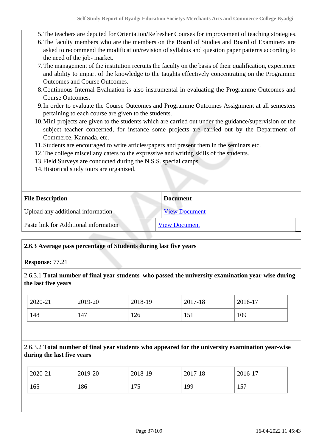- 5.The teachers are deputed for Orientation/Refresher Courses for improvement of teaching strategies.
- 6.The faculty members who are the members on the Board of Studies and Board of Examiners are asked to recommend the modification/revision of syllabus and question paper patterns according to the need of the job- market.
- 7.The management of the institution recruits the faculty on the basis of their qualification, experience and ability to impart of the knowledge to the taughts effectively concentrating on the Programme Outcomes and Course Outcomes.
- 8.Continuous Internal Evaluation is also instrumental in evaluating the Programme Outcomes and Course Outcomes.
- 9.In order to evaluate the Course Outcomes and Programme Outcomes Assignment at all semesters pertaining to each course are given to the students.
- 10.Mini projects are given to the students which are carried out under the guidance/supervision of the subject teacher concerned, for instance some projects are carried out by the Department of Commerce, Kannada, etc.
- 11.Students are encouraged to write articles/papers and present them in the seminars etc.
- 12.The college miscellany caters to the expressive and writing skills of the students.
- 13.Field Surveys are conducted during the N.S.S. special camps.
- 14.Historical study tours are organized.

| <b>File Description</b>               | <b>Document</b>      |
|---------------------------------------|----------------------|
| Upload any additional information     | <b>View Document</b> |
| Paste link for Additional information | <b>View Document</b> |
|                                       |                      |

#### **2.6.3 Average pass percentage of Students during last five years**

**Response:** 77.21

2.6.3.1 **Total number of final year students who passed the university examination year-wise during the last five years**

| 2020-21 | 2019-20 | 2018-19 | 2017-18                   | 2016-17 |
|---------|---------|---------|---------------------------|---------|
| 148     | 147     | 126     | . 5 °<br>1.3 <sub>1</sub> | 109     |

## 2.6.3.2 **Total number of final year students who appeared for the university examination year-wise during the last five years**

| 2020-21 | 2019-20 | 2018-19 | 2017-18 | 2016-17 |
|---------|---------|---------|---------|---------|
| 165     | 186     | 175     | 199     | 157     |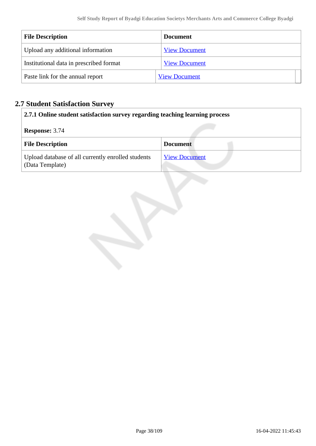| <b>File Description</b>                 | <b>Document</b>      |
|-----------------------------------------|----------------------|
| Upload any additional information       | <b>View Document</b> |
| Institutional data in prescribed format | <b>View Document</b> |
| Paste link for the annual report        | <b>View Document</b> |

# **2.7 Student Satisfaction Survey**

|                         | 2.7.1 Online student satisfaction survey regarding teaching learning process |                      |
|-------------------------|------------------------------------------------------------------------------|----------------------|
| <b>Response: 3.74</b>   |                                                                              |                      |
| <b>File Description</b> |                                                                              | <b>Document</b>      |
| (Data Template)         | Upload database of all currently enrolled students                           | <b>View Document</b> |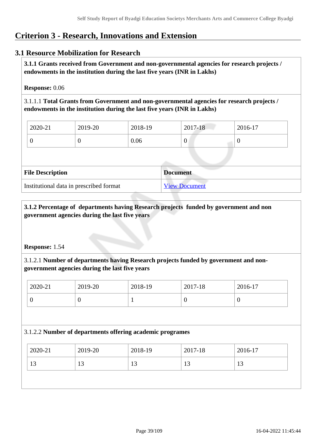# **Criterion 3 - Research, Innovations and Extension**

## **3.1 Resource Mobilization for Research**

 **3.1.1 Grants received from Government and non-governmental agencies for research projects / endowments in the institution during the last five years (INR in Lakhs)** 

**Response:** 0.06

3.1.1.1 **Total Grants from Government and non-governmental agencies for research projects / endowments in the institution during the last five years (INR in Lakhs)**

| $12020 - 21$ | 2019-20 | 2018-19 | 2017-18 | 2016-17 |
|--------------|---------|---------|---------|---------|
|              |         | 0.06    | 0       |         |

| <b>File Description</b>                 | <b>Document</b>      |
|-----------------------------------------|----------------------|
| Institutional data in prescribed format | <b>View Document</b> |

 **3.1.2 Percentage of departments having Research projects funded by government and non government agencies during the last five years**

**Response:** 1.54

3.1.2.1 **Number of departments having Research projects funded by government and nongovernment agencies during the last five years**

| 2020-21 | 2019-20 | 2018-19 | 2017-18        | $2016-17$ |
|---------|---------|---------|----------------|-----------|
|         | U       |         | $\overline{0}$ | ◡         |

## 3.1.2.2 **Number of departments offering academic programes**

| 2020-21 | 2019-20 | 2018-19 | 2017-18 | 2016-17 |
|---------|---------|---------|---------|---------|
| 13      | 13      | 13      | 13      | 13      |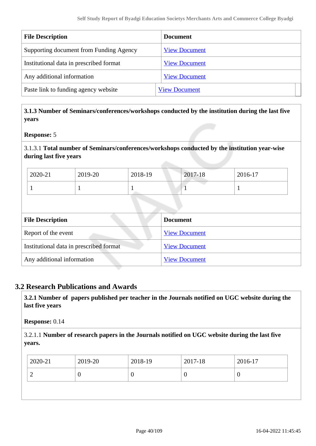| <b>File Description</b>                 | <b>Document</b>      |
|-----------------------------------------|----------------------|
| Supporting document from Funding Agency | <b>View Document</b> |
| Institutional data in prescribed format | <b>View Document</b> |
| Any additional information              | <b>View Document</b> |
| Paste link to funding agency website    | <b>View Document</b> |
|                                         |                      |

 **3.1.3 Number of Seminars/conferences/workshops conducted by the institution during the last five years**

#### **Response:** 5

3.1.3.1 **Total number of Seminars/conferences/workshops conducted by the institution year-wise during last five years** 

| 2020-21 | 2019-20 | 2018-19 | 2017-18 | $2016-17$ |
|---------|---------|---------|---------|-----------|
|         |         |         |         |           |

| <b>File Description</b>                 | <b>Document</b>      |
|-----------------------------------------|----------------------|
| Report of the event                     | <b>View Document</b> |
| Institutional data in prescribed format | <b>View Document</b> |
| Any additional information              | <b>View Document</b> |

## **3.2 Research Publications and Awards**

 **3.2.1 Number of papers published per teacher in the Journals notified on UGC website during the last five years** 

**Response:** 0.14

3.2.1.1 **Number of research papers in the Journals notified on UGC website during the last five years.**

| $ 2020-21 $<br>2019-20<br>2018-19<br>2017-18 | 2016-17 |
|----------------------------------------------|---------|
| U<br>v                                       | υ       |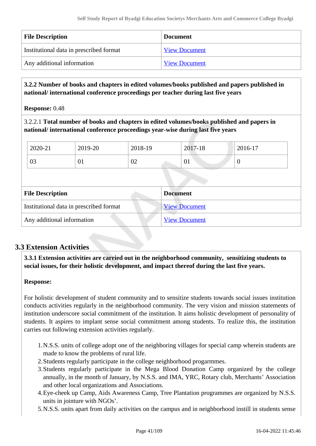| <b>File Description</b>                 | <b>Document</b>      |
|-----------------------------------------|----------------------|
| Institutional data in prescribed format | <b>View Document</b> |
| Any additional information              | <b>View Document</b> |

 **3.2.2 Number of books and chapters in edited volumes/books published and papers published in national/ international conference proceedings per teacher during last five years**

#### **Response:** 0.48

3.2.2.1 **Total number of books and chapters in edited volumes/books published and papers in national/ international conference proceedings year-wise during last five years**

|                         | Institutional data in prescribed format |         |                 | <b>View Document</b> |          |
|-------------------------|-----------------------------------------|---------|-----------------|----------------------|----------|
| <b>File Description</b> |                                         |         | <b>Document</b> |                      |          |
|                         |                                         |         |                 |                      |          |
| 03                      | 01                                      | 02      |                 | 01                   | $\theta$ |
| 2020-21                 | 2019-20                                 | 2018-19 |                 | 2017-18              | 2016-17  |

| Any additional information |  |
|----------------------------|--|
|                            |  |

# **3.3 Extension Activities**

 **3.3.1 Extension activities are carried out in the neighborhood community, sensitizing students to social issues, for their holistic development, and impact thereof during the last five years.**

#### **Response:**

For holistic development of student community and to sensitize students towards social issues institution conducts activities regularly in the neighborhood community. The very vision and mission statements of institution underscore social commitment of the institution. It aims holistic development of personality of students. It aspires to implant sense social commitment among students. To realize this, the institution carries out following extension activities regularly.

- 1.N.S.S. units of college adopt one of the neighboring villages for special camp wherein students are made to know the problems of rural life.
- 2.Students regularly participate in the college neighborhood progarmmes.
- 3.Students regularly participate in the Mega Blood Donation Camp organized by the college annually, in the month of January, by N.S.S. and IMA, YRC, Rotary club, Merchants' Association and other local organizations and Associations.
- 4.Eye-cheek up Camp, Aids Awareness Camp, Tree Plantation programmes are organized by N.S.S. units in jointure with NGOs'.
- 5.N.S.S. units apart from daily activities on the campus and in neighborhood instill in students sense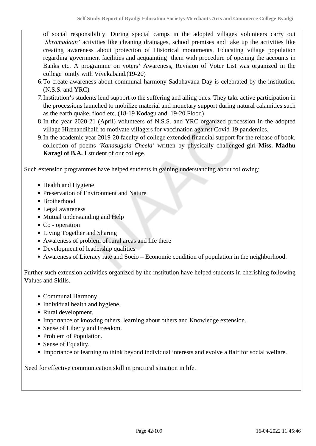of social responsibility. During special camps in the adopted villages volunteers carry out '*Shramadaan'* activities like cleaning drainages, school premises and take up the activities like creating awareness about protection of Historical monuments, Educating village population regarding government facilities and acquainting them with procedure of opening the accounts in Banks etc. A programme on voters' Awareness, Revision of Voter List was organized in the college jointly with Vivekaband.(19-20)

- 6.To create awareness about communal harmony Sadbhavana Day is celebrated by the institution. (N.S.S. and YRC)
- 7.Institution's students lend support to the suffering and ailing ones. They take active participation in the processions launched to mobilize material and monetary support during natural calamities such as the earth quake, flood etc. (18-19 Kodagu and 19-20 Flood)
- 8.In the year 2020-21 (April) volunteers of N.S.S. and YRC organized procession in the adopted village Hirenandihalli to motivate villagers for vaccination against Covid-19 pandemics.
- 9.In the academic year 2019-20 faculty of college extended financial support for the release of book, collection of poems *'Kanasugala Cheela'* written by physically challenged girl **Miss. Madhu Karagi of B.A. I** student of our college.

Such extension programmes have helped students in gaining understanding about following:

- Health and Hygiene
- Preservation of Environment and Nature
- Brotherhood
- Legal awareness
- Mutual understanding and Help
- Co operation
- Living Together and Sharing
- Awareness of problem of rural areas and life there
- Development of leadership qualities
- Awareness of Literacy rate and Socio Economic condition of population in the neighborhood.

Further such extension activities organized by the institution have helped students in cherishing following Values and Skills.

- Communal Harmony.
- Individual health and hygiene.
- Rural development.
- Importance of knowing others, learning about others and Knowledge extension.
- Sense of Liberty and Freedom.
- Problem of Population.
- Sense of Equality.
- Importance of learning to think beyond individual interests and evolve a flair for social welfare.

Need for effective communication skill in practical situation in life.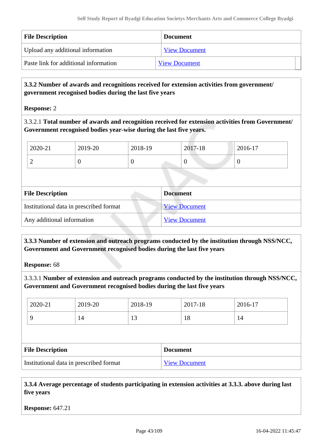| <b>File Description</b>               | <b>Document</b>      |
|---------------------------------------|----------------------|
| Upload any additional information     | <b>View Document</b> |
| Paste link for additional information | <b>View Document</b> |

## **3.3.2 Number of awards and recognitions received for extension activities from government/ government recognised bodies during the last five years**

**Response:** 2

3.3.2.1 **Total number of awards and recognition received for extension activities from Government/ Government recognised bodies year-wise during the last five years.**

| 2020-21 | 2019-20 | 2018-19 | 2017-18          | 2016-17 |
|---------|---------|---------|------------------|---------|
| ∽       |         |         | $\boldsymbol{0}$ |         |

| <b>File Description</b>                 | <b>Document</b>      |
|-----------------------------------------|----------------------|
| Institutional data in prescribed format | <b>View Document</b> |
| Any additional information              | <b>View Document</b> |

## **3.3.3 Number of extension and outreach programs conducted by the institution through NSS/NCC, Government and Government recognised bodies during the last five years**

**Response:** 68

3.3.3.1 **Number of extension and outreach programs conducted by the institution through NSS/NCC, Government and Government recognised bodies during the last five years**

| 2020-21                                 | 2019-20 | 2018-19 |  | 2017-18              | 2016-17 |  |
|-----------------------------------------|---------|---------|--|----------------------|---------|--|
| 9                                       | 14      | 13      |  | 18                   | 14      |  |
|                                         |         |         |  |                      |         |  |
| <b>File Description</b>                 |         |         |  | <b>Document</b>      |         |  |
| Institutional data in prescribed format |         |         |  | <b>View Document</b> |         |  |

 **3.3.4 Average percentage of students participating in extension activities at 3.3.3. above during last five years**

**Response:** 647.21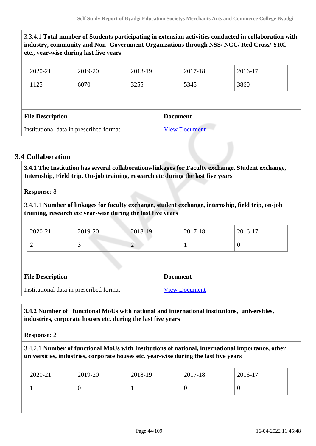## 3.3.4.1 **Total number of Students participating in extension activities conducted in collaboration with industry, community and Non- Government Organizations through NSS/ NCC/ Red Cross/ YRC etc., year-wise during last five years**

| 2020-21                 | 2019-20 | 2018-19 | 2017-18         | 2016-17 |
|-------------------------|---------|---------|-----------------|---------|
| 1125                    | 6070    | 3255    | 5345            | 3860    |
|                         |         |         |                 |         |
|                         |         |         |                 |         |
| <b>File Description</b> |         |         | <b>Document</b> |         |

## **3.4 Collaboration**

 **3.4.1 The Institution has several collaborations/linkages for Faculty exchange, Student exchange, Internship, Field trip, On-job training, research etc during the last five years** 

**Response:** 8

3.4.1.1 **Number of linkages for faculty exchange, student exchange, internship, field trip, on-job training, research etc year-wise during the last five years**

| 2020-21 | 2019-20 | 2018-19                       | 2017-18 | 2016-17 |
|---------|---------|-------------------------------|---------|---------|
| ∽       | ້       | ◠<br>$\overline{\phantom{0}}$ |         |         |

| <b>File Description</b>                 | <b>Document</b>      |
|-----------------------------------------|----------------------|
| Institutional data in prescribed format | <b>View Document</b> |

## **3.4.2 Number of functional MoUs with national and international institutions, universities, industries, corporate houses etc. during the last five years**

**Response:** 2

3.4.2.1 **Number of functional MoUs with Institutions of national, international importance, other universities, industries, corporate houses etc. year-wise during the last five years**

| 2020-21 | 2019-20 | $2018-19$ | 2017-18 | 2016-17 |
|---------|---------|-----------|---------|---------|
|         | U       |           |         |         |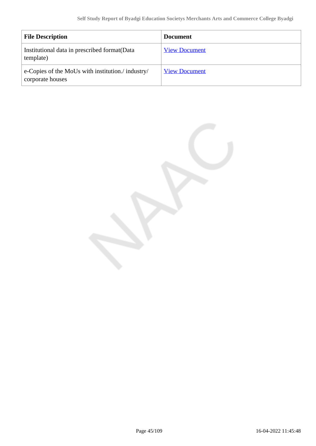| <b>File Description</b>                                               | <b>Document</b>      |
|-----------------------------------------------------------------------|----------------------|
| Institutional data in prescribed format (Data<br>template)            | <b>View Document</b> |
| e-Copies of the MoUs with institution./ industry/<br>corporate houses | <b>View Document</b> |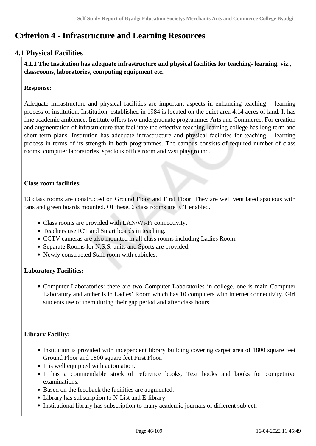# **Criterion 4 - Infrastructure and Learning Resources**

# **4.1 Physical Facilities**

 **4.1.1 The Institution has adequate infrastructure and physical facilities for teaching- learning. viz., classrooms, laboratories, computing equipment etc.** 

## **Response:**

Adequate infrastructure and physical facilities are important aspects in enhancing teaching – learning process of institution. Institution, established in 1984 is located on the quiet area 4.14 acres of land. It has fine academic ambience. Institute offers two undergraduate programmes Arts and Commerce. For creation and augmentation of infrastructure that facilitate the effective teaching-learning college has long term and short term plans. Institution has adequate infrastructure and physical facilities for teaching – learning process in terms of its strength in both programmes. The campus consists of required number of class rooms, computer laboratories spacious office room and vast playground.

#### **Class room facilities:**

13 class rooms are constructed on Ground Floor and First Floor. They are well ventilated spacious with fans and green boards mounted. Of these, 6 class rooms are ICT enabled.

- Class rooms are provided with LAN/Wi-Fi connectivity.
- Teachers use ICT and Smart boards in teaching.
- CCTV cameras are also mounted in all class rooms including Ladies Room.
- Separate Rooms for N.S.S. units and Sports are provided.
- Newly constructed Staff room with cubicles.

## **Laboratory Facilities:**

Computer Laboratories: there are two Computer Laboratories in college, one is main Computer Laboratory and anther is in Ladies' Room which has 10 computers with internet connectivity. Girl students use of them during their gap period and after class hours.

## **Library Facility:**

- Institution is provided with independent library building covering carpet area of 1800 square feet Ground Floor and 1800 square feet First Floor.
- It is well equipped with automation.
- It has a commendable stock of reference books, Text books and books for competitive examinations.
- Based on the feedback the facilities are augmented.
- Library has subscription to N-List and E-library.
- Institutional library has subscription to many academic journals of different subject.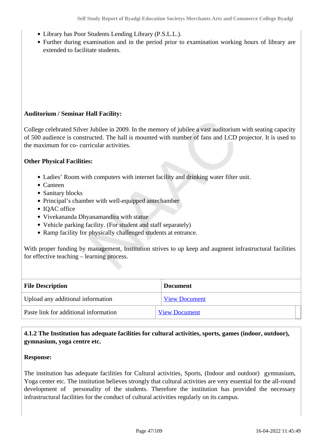- Library has Poor Students Lending Library (P.S.L.L.).
- Further during examination and in the period prior to examination working hours of library are extended to facilitate students.

## **Auditorium / Seminar Hall Facility:**

College celebrated Silver Jubilee in 2009. In the memory of jubilee a vast auditorium with seating capacity of 500 audience is constructed. The hall is mounted with number of fans and LCD projector. It is used to the maximum for co- curricular activities.

## **Other Physical Facilities:**

- Ladies' Room with computers with internet facility and drinking water filter unit.
- Canteen
- Sanitary blocks
- Principal's chamber with well-equipped antechamber
- IOAC office
- Vivekananda Dhyanamandira with statue
- Vehicle parking facility. (For student and staff separately)
- Ramp facility for physically challenged students at entrance.

With proper funding by management, Institution strives to up keep and augment infrastructural facilities for effective teaching – learning process.

| <b>File Description</b>               | <b>Document</b>      |
|---------------------------------------|----------------------|
| Upload any additional information     | <b>View Document</b> |
| Paste link for additional information | <b>View Document</b> |

## **4.1.2 The Institution has adequate facilities for cultural activities, sports, games (indoor, outdoor), gymnasium, yoga centre etc.**

#### **Response:**

The institution has adequate facilities for Cultural activities, Sports, (Indoor and outdoor) gymnasium, Yoga center etc. The institution believes strongly that cultural activities are very essential for the all-round development of personality of the students. Therefore the institution has provided the necessary infrastructural facilities for the conduct of cultural activities regularly on its campus.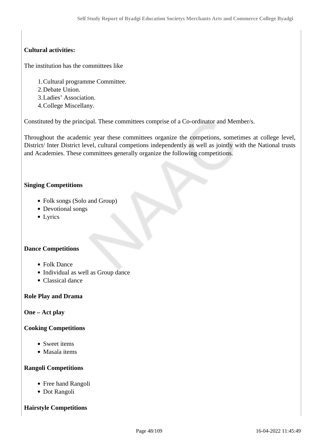## **Cultural activities:**

The institution has the committees like

- 1.Cultural programme Committee.
- 2.Debate Union.
- 3.Ladies' Association.
- 4.College Miscellany.

Constituted by the principal. These committees comprise of a Co-ordinator and Member/s.

Throughout the academic year these committees organize the competions, sometimes at college level, District/ Inter District level, cultural competions independently as well as jointly with the National trusts and Academies. These committees generally organize the following competitions.

#### **Singing Competitions**

- Folk songs (Solo and Group)
- Devotional songs
- Lyrics

#### **Dance Competitions**

- Folk Dance
- Individual as well as Group dance
- Classical dance

#### **Role Play and Drama**

**One – Act play**

#### **Cooking Competitions**

- Sweet items
- Masala items

#### **Rangoli Competitions**

- Free hand Rangoli
- Dot Rangoli

## **Hairstyle Competitions**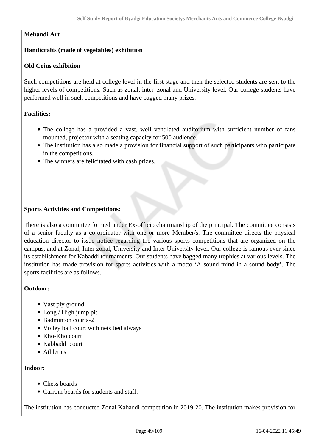## **Mehandi Art**

## **Handicrafts (made of vegetables) exhibition**

## **Old Coins exhibition**

Such competitions are held at college level in the first stage and then the selected students are sent to the higher levels of competitions. Such as zonal, inter–zonal and University level. Our college students have performed well in such competitions and have bagged many prizes.

#### **Facilities:**

- The college has a provided a vast, well ventilated auditorium with sufficient number of fans mounted, projector with a seating capacity for 500 audience.
- The institution has also made a provision for financial support of such participants who participate in the competitions.
- The winners are felicitated with cash prizes.

## **Sports Activities and Competitions:**

There is also a committee formed under Ex-officio chairmanship of the principal. The committee consists of a senior faculty as a co-ordinator with one or more Member/s. The committee directs the physical education director to issue notice regarding the various sports competitions that are organized on the campus, and at Zonal, Inter zonal, University and Inter University level. Our college is famous ever since its establishment for Kabaddi tournaments. Our students have bagged many trophies at various levels. The institution has made provision for sports activities with a motto 'A sound mind in a sound body'. The sports facilities are as follows.

#### **Outdoor:**

- Vast ply ground
- Long / High jump pit
- Badminton courts-2
- Volley ball court with nets tied always
- Kho-Kho court
- Kabbaddi court
- Athletics

#### **Indoor:**

- Chess boards
- Carrom boards for students and staff.

The institution has conducted Zonal Kabaddi competition in 2019-20. The institution makes provision for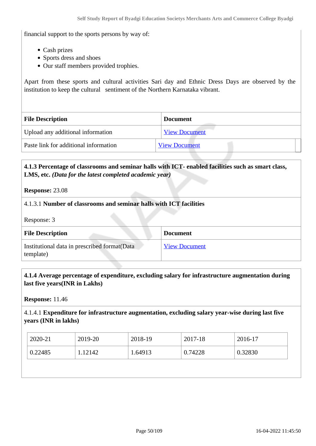financial support to the sports persons by way of:

- Cash prizes
- Sports dress and shoes
- Our staff members provided trophies.

Apart from these sports and cultural activities Sari day and Ethnic Dress Days are observed by the institution to keep the cultural sentiment of the Northern Karnataka vibrant.

| <b>File Description</b>               | <b>Document</b>      |
|---------------------------------------|----------------------|
| Upload any additional information     | <b>View Document</b> |
| Paste link for additional information | <b>View Document</b> |

## **4.1.3 Percentage of classrooms and seminar halls with ICT- enabled facilities such as smart class, LMS, etc.** *(Data for the latest completed academic year)*

**Response:** 23.08

#### 4.1.3.1 **Number of classrooms and seminar halls with ICT facilities**

Response: 3

| <b>File Description</b>                                    | <b>Document</b>      |
|------------------------------------------------------------|----------------------|
| Institutional data in prescribed format (Data<br>template) | <b>View Document</b> |

## **4.1.4 Average percentage of expenditure, excluding salary for infrastructure augmentation during last five years(INR in Lakhs)**

**Response:** 11.46

4.1.4.1 **Expenditure for infrastructure augmentation, excluding salary year-wise during last five years (INR in lakhs)**

| 2020-21 | 2019-20 | 2018-19 | 2017-18 | 2016-17 |
|---------|---------|---------|---------|---------|
| 0.22485 | 1.12142 | 1.64913 | 0.74228 | 0.32830 |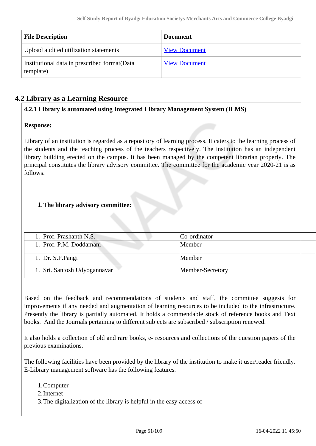| <b>File Description</b>                                    | <b>Document</b>      |
|------------------------------------------------------------|----------------------|
| Upload audited utilization statements                      | <b>View Document</b> |
| Institutional data in prescribed format (Data<br>template) | <b>View Document</b> |

# **4.2 Library as a Learning Resource**

## **4.2.1 Library is automated using Integrated Library Management System (ILMS)**

## **Response:**

Library of an institution is regarded as a repository of learning process. It caters to the learning process of the students and the teaching process of the teachers respectively. The institution has an independent library building erected on the campus. It has been managed by the competent librarian properly. The principal constitutes the library advisory committee. The committee for the academic year 2020-21 is as follows.

## 1.**The library advisory committee:**

| 1. Prof. Prashanth N.S.      | Co-ordinator     |  |
|------------------------------|------------------|--|
| 1. Prof. P.M. Doddamani      | Member           |  |
| 1. Dr. S.P. Pangi            | Member           |  |
| 1. Sri. Santosh Udyogannavar | Member-Secretory |  |

Based on the feedback and recommendations of students and staff, the committee suggests for improvements if any needed and augmentation of learning resources to be included to the infrastructure. Presently the library is partially automated. It holds a commendable stock of reference books and Text books. And the Journals pertaining to different subjects are subscribed / subscription renewed.

It also holds a collection of old and rare books, e- resources and collections of the question papers of the previous examinations.

The following facilities have been provided by the library of the institution to make it user/reader friendly. E-Library management software has the following features.

1.Computer

2.Internet

3.The digitalization of the library is helpful in the easy access of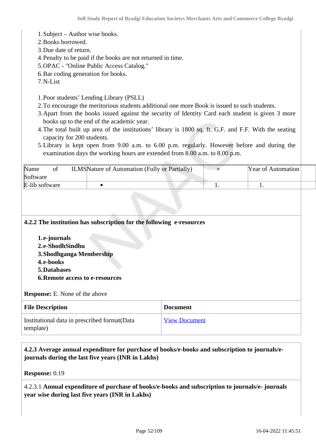- 1.Subject Author wise books.
- 2.Books borrowed.
- 3.Due date of return.
- 4.Penalty to be paid if the books are not returned in time.
- 5.OPAC "Online Public Access Catalog."
- 6.Bar coding generation for books.
- 7.N-List
- 1.Poor students' Lending Library (PSLL)
- 2.To encourage the meritorious students additional one more Book is issued to such students.
- 3.Apart from the books issued against the security of Identity Card each student is given 3 more books up to the end of the academic year.
- 4.The total built up area of the institutions' library is 1800 sq. ft. G.F. and F.F. With the seating capacity for 200 students.
- 5.Library is kept open from 9.00 a.m. to 6.00 p.m. regularly. However before and during the examination days the working hours are extended from 8.00 a.m. to 8.00 p.m.

| Name           | Οİ |  | <b>ILMS</b> Nature of Automation (Fully or Partially) | <b>Year of Automation</b> |  |
|----------------|----|--|-------------------------------------------------------|---------------------------|--|
| Software       |    |  |                                                       |                           |  |
| E-lib software |    |  |                                                       |                           |  |

#### **4.2.2 The institution has subscription for the following e-resources**

- **1.e-journals**
- **2.e-ShodhSindhu**
- **3.Shodhganga Membership**
- **4.e-books**
- **5.Databases**
- **6.Remote access to e-resources**

#### **Response:** E. None of the above

| <b>File Description</b>                                    | <b>Document</b>      |
|------------------------------------------------------------|----------------------|
| Institutional data in prescribed format (Data<br>template) | <b>View Document</b> |

## **4.2.3 Average annual expenditure for purchase of books/e-books and subscription to journals/ejournals during the last five years (INR in Lakhs)**

**Response:** 0.19

#### 4.2.3.1 **Annual expenditure of purchase of books/e-books and subscription to journals/e- journals year wise during last five years (INR in Lakhs)**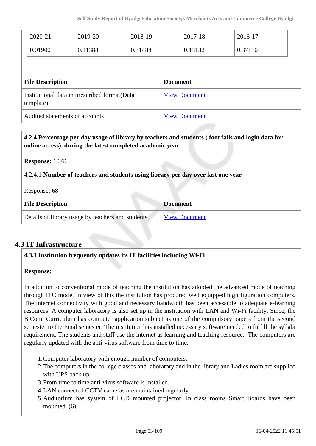| 2020-21<br>0.01900                                         | 2019-20<br>0.11384 | 2018-19<br>0.31488 |                      | 2017-18<br>0.13132 | 2016-17<br>0.37110 |
|------------------------------------------------------------|--------------------|--------------------|----------------------|--------------------|--------------------|
| <b>File Description</b>                                    |                    |                    | <b>Document</b>      |                    |                    |
| Institutional data in prescribed format (Data<br>template) |                    |                    | <b>View Document</b> |                    |                    |
| Audited statements of accounts                             |                    |                    | <b>View Document</b> |                    |                    |

| 4.2.4 Percentage per day usage of library by teachers and students (foot falls and login data for<br>online access) during the latest completed academic year |                      |  |  |
|---------------------------------------------------------------------------------------------------------------------------------------------------------------|----------------------|--|--|
| <b>Response:</b> 10.66                                                                                                                                        |                      |  |  |
| 4.2.4.1 Number of teachers and students using library per day over last one year                                                                              |                      |  |  |
| Response: 68                                                                                                                                                  |                      |  |  |
| <b>File Description</b>                                                                                                                                       | <b>Document</b>      |  |  |
| Details of library usage by teachers and students                                                                                                             | <b>View Document</b> |  |  |

# **4.3 IT Infrastructure**

#### **4.3.1 Institution frequently updates its IT facilities including Wi-Fi**

#### **Response:**

In addition to conventional mode of teaching the institution has adopted the advanced mode of teaching through ITC mode. In view of this the institution has procured well equipped high figuration computers. The internet connectivity with good and necessary bandwidth has been accessible to adequate e-learning resources. A computer laboratory is also set up in the institution with LAN and Wi-Fi facility. Since, the B.Com. Curriculum has computer application subject as one of the compulsory papers from the second semester to the Final semester. The institution has installed necessary software needed to fulfill the syllabi requirement. The students and staff use the internet as learning and teaching resource. The computers are regularly updated with the anti-virus software from time to time.

- 1.Computer laboratory with enough number of computers.
- 2.The computers in the college classes and laboratory and in the library and Ladies room are supplied with UPS back up.
- 3.From time to time anti-virus software is installed.
- 4.LAN connected CCTV cameras are maintained regularly.
- 5.Auditorium has system of LCD mounted projector. In class rooms Smart Boards have been mounted. (6)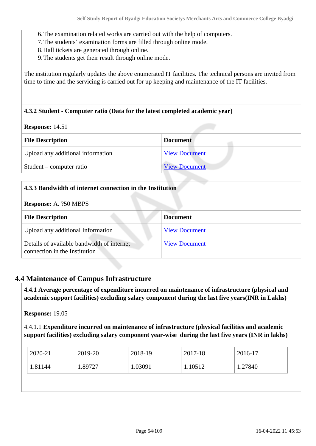- 6.The examination related works are carried out with the help of computers.
- 7.The students' examination forms are filled through online mode.
- 8.Hall tickets are generated through online.
- 9.The students get their result through online mode.

The institution regularly updates the above enumerated IT facilities. The technical persons are invited from time to time and the servicing is carried out for up keeping and maintenance of the IT facilities.

#### **4.3.2 Student - Computer ratio (Data for the latest completed academic year)**

**Response:** 14.51

| <b>File Description</b>           | <b>Document</b>      |
|-----------------------------------|----------------------|
| Upload any additional information | <b>View Document</b> |
| Student – computer ratio          | <b>View Document</b> |

| 4.3.3 Bandwidth of internet connection in the Institution                   |                      |
|-----------------------------------------------------------------------------|----------------------|
| <b>Response: A. ?50 MBPS</b>                                                |                      |
| <b>File Description</b>                                                     | <b>Document</b>      |
| Upload any additional Information                                           | <b>View Document</b> |
| Details of available bandwidth of internet<br>connection in the Institution | <b>View Document</b> |

#### **4.4 Maintenance of Campus Infrastructure**

 **4.4.1 Average percentage of expenditure incurred on maintenance of infrastructure (physical and academic support facilities) excluding salary component during the last five years(INR in Lakhs)**

**Response:** 19.05

4.4.1.1 **Expenditure incurred on maintenance of infrastructure (physical facilities and academic support facilities) excluding salary component year-wise during the last five years (INR in lakhs)**

| 2020-21<br>2019-20 | 2018-19 | 2017-18 | 2016-17 |
|--------------------|---------|---------|---------|
| 1.81144<br>1.89727 | 1.03091 | 1.10512 | 1.27840 |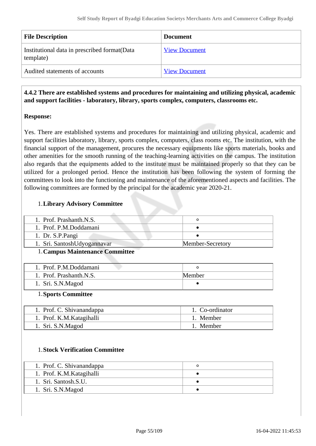| <b>File Description</b>                                    | <b>Document</b>      |
|------------------------------------------------------------|----------------------|
| Institutional data in prescribed format (Data<br>template) | <b>View Document</b> |
| Audited statements of accounts                             | <b>View Document</b> |

 **4.4.2 There are established systems and procedures for maintaining and utilizing physical, academic and support facilities - laboratory, library, sports complex, computers, classrooms etc.**

## **Response:**

Yes. There are established systems and procedures for maintaining and utilizing physical, academic and support facilities laboratory, library, sports complex, computers, class rooms etc. The institution, with the financial support of the management, procures the necessary equipments like sports materials, books and other amenities for the smooth running of the teaching-learning activities on the campus. The institution also regards that the equipments added to the institute must be maintained properly so that they can be utilized for a prolonged period. Hence the institution has been following the system of forming the committees to look into the functioning and maintenance of the aforementioned aspects and facilities. The following committees are formed by the principal for the academic year 2020-21.

#### 1.**Library Advisory Committee**

| 1. Prof. Prashanth.N.S.     |                  |
|-----------------------------|------------------|
| 1. Prof. P.M.Doddamani      |                  |
| 1. Dr. S.P. Pangi           |                  |
| 1. Sri. SantoshUdyogannavar | Member-Secretory |
| .<br>__                     |                  |

#### 1.**Campus Maintenance Committee**

| 1. Prof. P.M.Doddamani  |        |
|-------------------------|--------|
| 1. Prof. Prashanth.N.S. | Member |
| 1. Sri. S.N.Magod       |        |

#### 1.**Sports Committee**

| 1. Prof. C. Shivanandappa | 1. Co-ordinator |
|---------------------------|-----------------|
| 1. Prof. K.M. Katagihalli | 1. Member       |
| 1. Sri. S.N.Magod         | 1. Member       |

#### 1.**Stock Verification Committee**

| 1. Prof. C. Shivanandappa | o |
|---------------------------|---|
| 1. Prof. K.M. Katagihalli |   |
| 1. Sri. Santosh.S.U.      |   |
| 1. Sri. S.N.Magod         |   |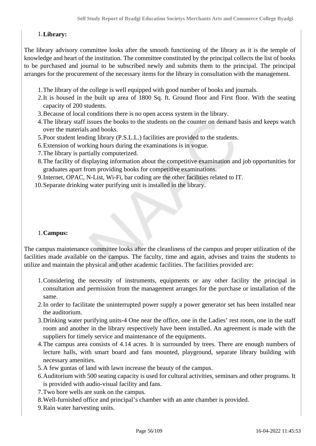## 1.**Library:**

The library advisory committee looks after the smooth functioning of the library as it is the temple of knowledge and heart of the institution. The committee constituted by the principal collects the list of books to be purchased and journal to be subscribed newly and submits them to the principal. The principal arranges for the procurement of the necessary items for the library in consultation with the management.

- 1.The library of the college is well equipped with good number of books and journals.
- 2.It is housed in the built up area of 1800 Sq. ft. Ground floor and First floor. With the seating capacity of 200 students.
- 3.Because of local conditions there is no open access system in the library.
- 4.The library staff issues the books to the students on the counter on demand basis and keeps watch over the materials and books.
- 5.Poor student lending library (P.S.L.L.) facilities are provided to the students.
- 6.Extension of working hours during the examinations is in vogue.
- 7.The library is partially computerized.
- 8.The facility of displaying information about the competitive examination and job opportunities for graduates apart from providing books for competitive examinations.
- 9.Internet, OPAC, N-List, Wi-Fi, bar coding are the other facilities related to IT.
- 10.Separate drinking water purifying unit is installed in the library.

## 1.**Campus:**

The campus maintenance committee looks after the cleanliness of the campus and proper utilization of the facilities made available on the campus. The faculty, time and again, advises and trains the students to utilize and maintain the physical and other academic facilities. The facilities provided are:

- 1.Considering the necessity of instruments, equipments or any other facility the principal in consultation and permission from the management arranges for the purchase or installation of the same.
- 2.In order to facilitate the uninterrupted power supply a power generator set has been installed near the auditorium.
- 3.Drinking water purifying units-4 One near the office, one in the Ladies' rest room, one in the staff room and another in the library respectively have been installed. An agreement is made with the suppliers for timely service and maintenance of the equipments.
- 4.The campus area consists of 4.14 acres. It is surrounded by trees. There are enough numbers of lecture halls, with smart board and fans mounted, playground, separate library building with necessary amenities.
- 5.A few guntas of land with lawn increase the beauty of the campus.
- 6.Auditorium with 500 seating capacity is used for cultural activities, seminars and other programs. It is provided with audio-visual facility and fans.
- 7.Two bore wells are sunk on the campus.
- 8.Well-furnished office and principal's chamber with an ante chamber is provided.
- 9.Rain water harvesting units.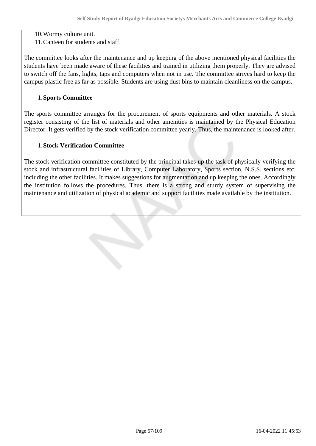- 10.Wormy culture unit.
- 11.Canteen for students and staff.

The committee looks after the maintenance and up keeping of the above mentioned physical facilities the students have been made aware of these facilities and trained in utilizing them properly. They are advised to switch off the fans, lights, taps and computers when not in use. The committee strives hard to keep the campus plastic free as far as possible. Students are using dust bins to maintain cleanliness on the campus.

#### 1.**Sports Committee**

The sports committee arranges for the procurement of sports equipments and other materials. A stock register consisting of the list of materials and other amenities is maintained by the Physical Education Director. It gets verified by the stock verification committee yearly. Thus, the maintenance is looked after.

#### 1.**Stock Verification Committee**

The stock verification committee constituted by the principal takes up the task of physically verifying the stock and infrastructural facilities of Library, Computer Laboratory, Sports section, N.S.S. sections etc. including the other facilities. It makes suggestions for augmentation and up keeping the ones. Accordingly the institution follows the procedures. Thus, there is a strong and sturdy system of supervising the maintenance and utilization of physical academic and support facilities made available by the institution.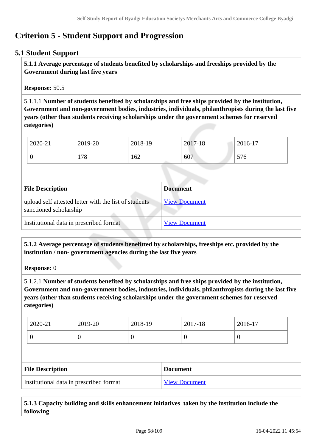# **Criterion 5 - Student Support and Progression**

## **5.1 Student Support**

 **5.1.1 Average percentage of students benefited by scholarships and freeships provided by the Government during last five years** 

**Response:** 50.5

5.1.1.1 **Number of students benefited by scholarships and free ships provided by the institution, Government and non-government bodies, industries, individuals, philanthropists during the last five years (other than students receiving scholarships under the government schemes for reserved categories)** 

| 2020-21 | 2019-20 | 2018-19 | 2017-18 | 2016-17 |
|---------|---------|---------|---------|---------|
|         | 178     | 162     | 607     | 576     |

| <b>File Description</b>                                                         | <b>Document</b>      |
|---------------------------------------------------------------------------------|----------------------|
| upload self attested letter with the list of students<br>sanctioned scholarship | <b>View Document</b> |
| Institutional data in prescribed format                                         | <b>View Document</b> |

 **5.1.2 Average percentage of students benefitted by scholarships, freeships etc. provided by the institution / non- government agencies during the last five years**

**Response:** 0

5.1.2.1 **Number of students benefited by scholarships and free ships provided by the institution, Government and non-government bodies, industries, individuals, philanthropists during the last five years (other than students receiving scholarships under the government schemes for reserved categories)** 

| 2020-21 | 2019-20 | 2018-19 | 2017-18 | 2016-17 |
|---------|---------|---------|---------|---------|
|         | ν       |         |         | ν       |

| <b>File Description</b>                 | <b>Document</b>      |
|-----------------------------------------|----------------------|
| Institutional data in prescribed format | <b>View Document</b> |

 **5.1.3 Capacity building and skills enhancement initiatives taken by the institution include the following**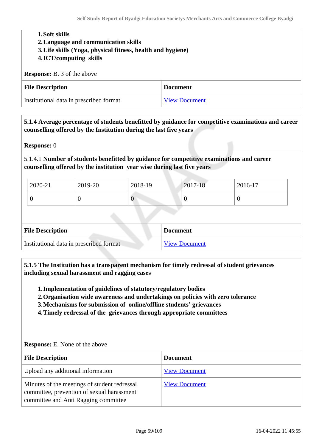#### **1.Soft skills**

#### **2.Language and communication skills**

**3.Life skills (Yoga, physical fitness, health and hygiene)**

**4.ICT/computing skills**

#### **Response:** B. 3 of the above

| <b>File Description</b>                 | <b>Document</b>      |
|-----------------------------------------|----------------------|
| Institutional data in prescribed format | <b>View Document</b> |

## **5.1.4 Average percentage of students benefitted by guidance for competitive examinations and career counselling offered by the Institution during the last five years**

**Response:** 0

5.1.4.1 **Number of students benefitted by guidance for competitive examinations and career counselling offered by the institution year wise during last five years**

| 2020-21 | 2019-20 | 2018-19 | 2017-18 | 2016-17 |
|---------|---------|---------|---------|---------|
|         | ◡       |         | ν       |         |

| <b>File Description</b>                 | <b>Document</b>      |
|-----------------------------------------|----------------------|
| Institutional data in prescribed format | <b>View Document</b> |

 **5.1.5 The Institution has a transparent mechanism for timely redressal of student grievances including sexual harassment and ragging cases**

- **1.Implementation of guidelines of statutory/regulatory bodies**
- **2.Organisation wide awareness and undertakings on policies with zero tolerance**
- **3.Mechanisms for submission of online/offline students' grievances**
- **4.Timely redressal of the grievances through appropriate committees**

#### **Response:** E. None of the above

| <b>File Description</b>                                                                                                            | <b>Document</b>      |
|------------------------------------------------------------------------------------------------------------------------------------|----------------------|
| Upload any additional information                                                                                                  | <b>View Document</b> |
| Minutes of the meetings of student redressal<br>committee, prevention of sexual harassment<br>committee and Anti Ragging committee | <b>View Document</b> |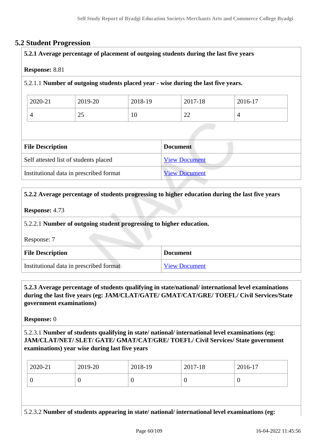## **5.2 Student Progression**

### **5.2.1 Average percentage of placement of outgoing students during the last five years**

#### **Response:** 8.81

## 5.2.1.1 **Number of outgoing students placed year - wise during the last five years.**

| 2020-21 | 2019-20    | 2018-19 | 2017-18      | 2016-17 |
|---------|------------|---------|--------------|---------|
|         | າ ເ<br>ل ک | 10      | $\cap$<br>∠∠ |         |

| <b>File Description</b>                 | <b>Document</b>      |
|-----------------------------------------|----------------------|
| Self attested list of students placed   | <b>View Document</b> |
| Institutional data in prescribed format | <b>View Document</b> |

## **5.2.2 Average percentage of students progressing to higher education during the last five years**

#### **Response:** 4.73

#### 5.2.2.1 **Number of outgoing student progressing to higher education.**

Response: 7

| <b>File Description</b>                 | <b>Document</b>      |
|-----------------------------------------|----------------------|
| Institutional data in prescribed format | <b>View Document</b> |

### **5.2.3 Average percentage of students qualifying in state/national/ international level examinations during the last five years (eg: JAM/CLAT/GATE/ GMAT/CAT/GRE/ TOEFL/ Civil Services/State government examinations)**

**Response:** 0

## 5.2.3.1 **Number of students qualifying in state/ national/ international level examinations (eg: JAM/CLAT/NET/ SLET/ GATE/ GMAT/CAT/GRE/ TOEFL/ Civil Services/ State government examinations) year wise during last five years**

| 2020-21 | 2019-20 | 2018-19 | 2017-18 | 2016-17 |
|---------|---------|---------|---------|---------|
|         | U       | ν       |         | 0       |

#### 5.2.3.2 **Number of students appearing in state/ national/ international level examinations (eg:**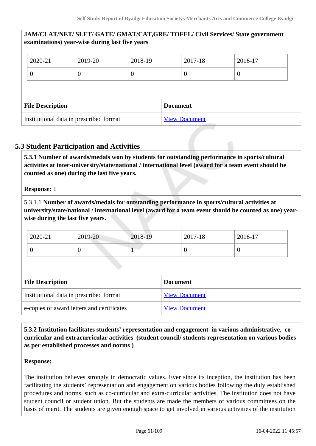|                                         | examinations) year-wise during last five years |          |                 |                      | JAM/CLAT/NET/ SLET/ GATE/ GMAT/CAT, GRE/ TOFEL/ Civil Services/ State government |  |
|-----------------------------------------|------------------------------------------------|----------|-----------------|----------------------|----------------------------------------------------------------------------------|--|
| 2020-21                                 | 2019-20                                        | 2018-19  |                 | 2017-18              | 2016-17                                                                          |  |
| 0                                       | $\Omega$                                       | $\Omega$ |                 | $\Omega$             | $\overline{0}$                                                                   |  |
|                                         |                                                |          |                 |                      |                                                                                  |  |
| <b>File Description</b>                 |                                                |          | <b>Document</b> |                      |                                                                                  |  |
| Institutional data in prescribed format |                                                |          |                 | <b>View Document</b> |                                                                                  |  |

# **5.3 Student Participation and Activities**

 **5.3.1 Number of awards/medals won by students for outstanding performance in sports/cultural activities at inter-university/state/national / international level (award for a team event should be counted as one) during the last five years.**

**Response:** 1

5.3.1.1 **Number of awards/medals for outstanding performance in sports/cultural activities at university/state/national / international level (award for a team event should be counted as one) yearwise during the last five years.**

| 2020-21 | 2019-20 | 2018-19 | 2017-18 | 2016-17 |
|---------|---------|---------|---------|---------|
| ν       | v       |         | U       |         |

| <b>File Description</b>                    | <b>Document</b>      |
|--------------------------------------------|----------------------|
| Institutional data in prescribed format    | <b>View Document</b> |
| e-copies of award letters and certificates | <b>View Document</b> |

 **5.3.2 Institution facilitates students' representation and engagement in various administrative, cocurricular and extracurricular activities (student council/ students representation on various bodies as per established processes and norms )**

## **Response:**

The institution believes strongly in democratic values. Ever since its inception, the institution has been facilitating the students' representation and engagement on various bodies following the duly established procedures and norms, such as co-curricular and extra-curricular activities. The institution does not have student council or student union. But the students are made the members of various committees on the basis of merit. The students are given enough space to get involved in various activities of the institution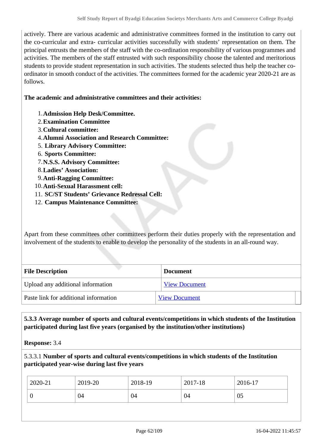actively. There are various academic and administrative committees formed in the institution to carry out the co-curricular and extra- curricular activities successfully with students' representation on them. The principal entrusts the members of the staff with the co-ordination responsibility of various programmes and activities. The members of the staff entrusted with such responsibility choose the talented and meritorious students to provide student representation in such activities. The students selected thus help the teacher coordinator in smooth conduct of the activities. The committees formed for the academic year 2020-21 are as follows.

## **The academic and administrative committees and their activities:**

- 1.**Admission Help Desk/Committee.**
- 2.**Examination Committee**
- 3.**Cultural committee:**
- 4.**Alumni Association and Research Committee:**
- 5. **Library Advisory Committee:**
- 6. **Sports Committee:**
- 7.**N.S.S. Advisory Committee:**
- 8.**Ladies' Association:**
- 9.**Anti-Ragging Committee:**
- 10.**Anti-Sexual Harassment cell:**
- 11. **SC/ST Students' Grievance Redressal Cell:**
- 12. **Campus Maintenance Committee:**

Apart from these committees other committees perform their duties properly with the representation and involvement of the students to enable to develop the personality of the students in an all-round way.

| <b>File Description</b>               | <b>Document</b>      |  |
|---------------------------------------|----------------------|--|
| Upload any additional information     | <b>View Document</b> |  |
| Paste link for additional information | <b>View Document</b> |  |

 **5.3.3 Average number of sports and cultural events/competitions in which students of the Institution participated during last five years (organised by the institution/other institutions)**

**Response:** 3.4

5.3.3.1 **Number of sports and cultural events/competitions in which students of the Institution participated year-wise during last five years**

|    | 2019-20<br>2018-19<br>2016-17<br>2017-18 |
|----|------------------------------------------|
| 04 | 04<br>05<br>04                           |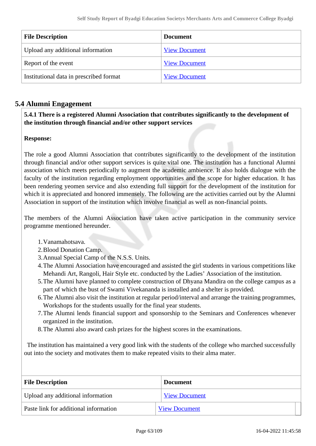| <b>File Description</b>                 | <b>Document</b>      |
|-----------------------------------------|----------------------|
| Upload any additional information       | <b>View Document</b> |
| Report of the event                     | <b>View Document</b> |
| Institutional data in prescribed format | <b>View Document</b> |

# **5.4 Alumni Engagement**

 **5.4.1 There is a registered Alumni Association that contributes significantly to the development of the institution through financial and/or other support services**

## **Response:**

The role a good Alumni Association that contributes significantly to the development of the institution through financial and/or other support services is quite vital one. The institution has a functional Alumni association which meets periodically to augment the academic ambience. It also holds dialogue with the faculty of the institution regarding employment opportunities and the scope for higher education. It has been rendering yeomen service and also extending full support for the development of the institution for which it is appreciated and honored immensely. The following are the activities carried out by the Alumni Association in support of the institution which involve financial as well as non-financial points.

The members of the Alumni Association have taken active participation in the community service programme mentioned hereunder.

- 1.Vanamahotsava.
- 2.Blood Donation Camp.
- 3.Annual Special Camp of the N.S.S. Units.
- 4.The Alumni Association have encouraged and assisted the girl students in various competitions like Mehandi Art, Rangoli, Hair Style etc. conducted by the Ladies' Association of the institution.
- 5.The Alumni have planned to complete construction of Dhyana Mandira on the college campus as a part of which the bust of Swami Vivekananda is installed and a shelter is provided.
- 6.The Alumni also visit the institution at regular period/interval and arrange the training programmes, Workshops for the students usually for the final year students.
- 7.The Alumni lends financial support and sponsorship to the Seminars and Conferences whenever organized in the institution.
- 8.The Alumni also award cash prizes for the highest scores in the examinations.

 The institution has maintained a very good link with the students of the college who marched successfully out into the society and motivates them to make repeated visits to their alma mater.

| <b>File Description</b>               | <b>Document</b>      |
|---------------------------------------|----------------------|
| Upload any additional information     | <b>View Document</b> |
| Paste link for additional information | <b>View Document</b> |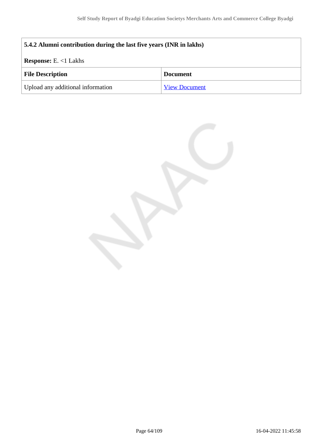| 5.4.2 Alumni contribution during the last five years (INR in lakhs) |                      |  |  |
|---------------------------------------------------------------------|----------------------|--|--|
| <b>Response:</b> E. $<$ 1 Lakhs                                     |                      |  |  |
| <b>File Description</b><br><b>Document</b>                          |                      |  |  |
| Upload any additional information                                   | <b>View Document</b> |  |  |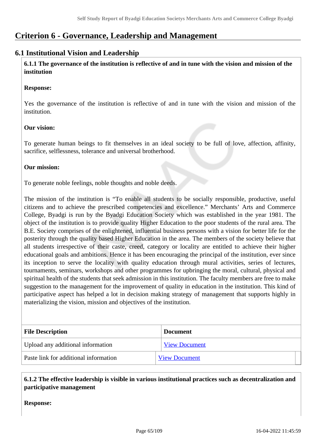# **Criterion 6 - Governance, Leadership and Management**

## **6.1 Institutional Vision and Leadership**

 **6.1.1 The governance of the institution is reflective of and in tune with the vision and mission of the institution**

#### **Response:**

Yes the governance of the institution is reflective of and in tune with the vision and mission of the institution.

#### **Our vision:**

To generate human beings to fit themselves in an ideal society to be full of love, affection, affinity, sacrifice, selflessness, tolerance and universal brotherhood.

#### **Our mission:**

To generate noble feelings, noble thoughts and noble deeds.

The mission of the institution is "To enable all students to be socially responsible, productive, useful citizens and to achieve the prescribed competencies and excellence." Merchants' Arts and Commerce College, Byadgi is run by the Byadgi Education Society which was established in the year 1981. The object of the institution is to provide quality Higher Education to the poor students of the rural area. The B.E. Society comprises of the enlightened, influential business persons with a vision for better life for the posterity through the quality based Higher Education in the area. The members of the society believe that all students irrespective of their caste, creed, category or locality are entitled to achieve their higher educational goals and ambitions. Hence it has been encouraging the principal of the institution, ever since its inception to serve the locality with quality education through mural activities, series of lectures, tournaments, seminars, workshops and other programmes for upbringing the moral, cultural, physical and spiritual health of the students that seek admission in this institution. The faculty members are free to make suggestion to the management for the improvement of quality in education in the institution. This kind of participative aspect has helped a lot in decision making strategy of management that supports highly in materializing the vision, mission and objectives of the institution.

| <b>File Description</b>               | <b>Document</b>      |  |
|---------------------------------------|----------------------|--|
| Upload any additional information     | <b>View Document</b> |  |
| Paste link for additional information | <b>View Document</b> |  |

## **6.1.2 The effective leadership is visible in various institutional practices such as decentralization and participative management**

**Response:**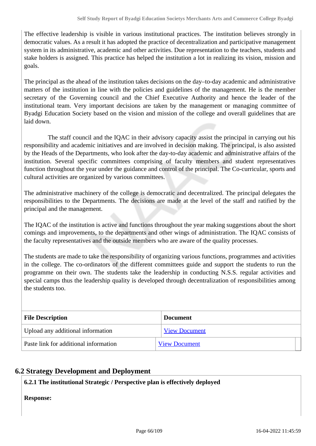The effective leadership is visible in various institutional practices. The institution believes strongly in democratic values. As a result it has adopted the practice of decentralization and participative management system in its administrative, academic and other activities. Due representation to the teachers, students and stake holders is assigned. This practice has helped the institution a lot in realizing its vision, mission and goals.

The principal as the ahead of the institution takes decisions on the day–to-day academic and administrative matters of the institution in line with the policies and guidelines of the management. He is the member secretary of the Governing council and the Chief Executive Authority and hence the leader of the institutional team. Very important decisions are taken by the management or managing committee of Byadgi Education Society based on the vision and mission of the college and overall guidelines that are laid down.

 The staff council and the IQAC in their advisory capacity assist the principal in carrying out his responsibility and academic initiatives and are involved in decision making. The principal, is also assisted by the Heads of the Departments, who look after the day-to-day academic and administrative affairs of the institution. Several specific committees comprising of faculty members and student representatives function throughout the year under the guidance and control of the principal. The Co-curricular, sports and cultural activities are organized by various committees.

The administrative machinery of the college is democratic and decentralized. The principal delegates the responsibilities to the Departments. The decisions are made at the level of the staff and ratified by the principal and the management.

The IQAC of the institution is active and functions throughout the year making suggestions about the short comings and improvements, to the departments and other wings of administration. The IQAC consists of the faculty representatives and the outside members who are aware of the quality processes.

The students are made to take the responsibility of organizing various functions, programmes and activities in the college. The co-ordinators of the different committees guide and support the students to run the programme on their own. The students take the leadership in conducting N.S.S. regular activities and special camps thus the leadership quality is developed through decentralization of responsibilities among the students too.

| <b>File Description</b>               | <b>Document</b>      |  |
|---------------------------------------|----------------------|--|
| Upload any additional information     | <b>View Document</b> |  |
| Paste link for additional information | <b>View Document</b> |  |

# **6.2 Strategy Development and Deployment**

# **6.2.1 The institutional Strategic / Perspective plan is effectively deployed**

**Response:**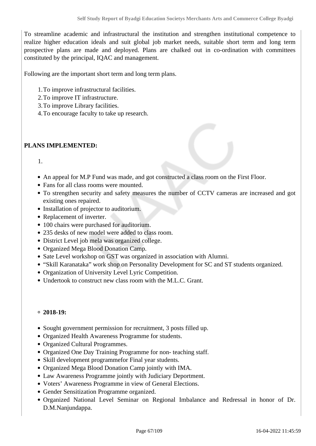To streamline academic and infrastructural the institution and strengthen institutional competence to realize higher education ideals and suit global job market needs, suitable short term and long term prospective plans are made and deployed. Plans are chalked out in co-ordination with committees constituted by the principal, IQAC and management.

Following are the important short term and long term plans.

- 1.To improve infrastructural facilities.
- 2.To improve IT infrastructure.
- 3.To improve Library facilities.
- 4.To encourage faculty to take up research.

## **PLANS IMPLEMENTED:**

1.

- An appeal for M.P Fund was made, and got constructed a class room on the First Floor.
- Fans for all class rooms were mounted.
- To strengthen security and safety measures the number of CCTV cameras are increased and got existing ones repaired.
- Installation of projector to auditorium.
- Replacement of inverter.
- 100 chairs were purchased for auditorium.
- 235 desks of new model were added to class room.
- District Level job mela was organized college.
- Organized Mega Blood Donation Camp.
- Sate Level workshop on GST was organized in association with Alumni.
- "Skill Karanataka" work shop on Personality Development for SC and ST students organized.
- Organization of University Level Lyric Competition.
- Undertook to construct new class room with the M.L.C. Grant.

#### **2018-19:**

- Sought government permission for recruitment, 3 posts filled up.
- Organized Health Awareness Programme for students.
- Organized Cultural Programmes.
- Organized One Day Training Programme for non- teaching staff.
- Skill development programmefor Final year students.
- Organized Mega Blood Donation Camp jointly with IMA.
- Law Awareness Programme jointly with Judiciary Deportment.
- Voters' Awareness Programme in view of General Elections.
- Gender Sensitization Programme organized.
- Organized National Level Seminar on Regional Imbalance and Redressal in honor of Dr. D.M.Nanjundappa.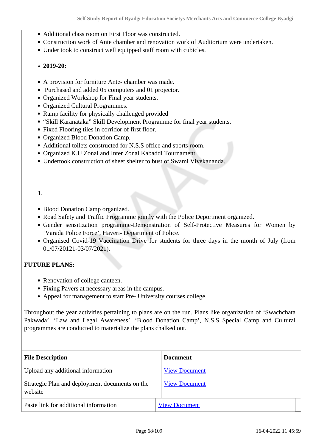- Additional class room on First Floor was constructed.
- Construction work of Ante chamber and renovation work of Auditorium were undertaken.
- Under took to construct well equipped staff room with cubicles.

#### **2019-20:**

- A provision for furniture Ante- chamber was made.
- Purchased and added 05 computers and 01 projector.
- Organized Workshop for Final year students.
- Organized Cultural Programmes.
- Ramp facility for physically challenged provided
- "Skill Karanataka" Skill Development Programme for final year students.
- Fixed Flooring tiles in corridor of first floor.
- Organized Blood Donation Camp.
- Additional toilets constructed for N.S.S office and sports room.
- Organized K.U Zonal and Inter Zonal Kabaddi Tournament.
- Undertook construction of sheet shelter to bust of Swami Vivekananda.

#### 1.

- Blood Donation Camp organized.
- Road Safety and Traffic Programme jointly with the Police Deportment organized.
- Gender sensitization programme-Demonstration of Self-Protective Measures for Women by 'Varada Police Force', Haveri- Department of Police.
- Organised Covid-19 Vaccination Drive for students for three days in the month of July (from 01/07/20121-03/07/2021).

#### **FUTURE PLANS:**

- Renovation of college canteen.
- Fixing Pavers at necessary areas in the campus.
- Appeal for management to start Pre- University courses college.

Throughout the year activities pertaining to plans are on the run. Plans like organization of 'Swachchata Pakwada', 'Law and Legal Awareness', 'Blood Donation Camp', N.S.S Special Camp and Cultural programmes are conducted to materialize the plans chalked out.

| <b>File Description</b>                                   | <b>Document</b>      |
|-----------------------------------------------------------|----------------------|
| Upload any additional information                         | <b>View Document</b> |
| Strategic Plan and deployment documents on the<br>website | <b>View Document</b> |
| Paste link for additional information                     | <b>View Document</b> |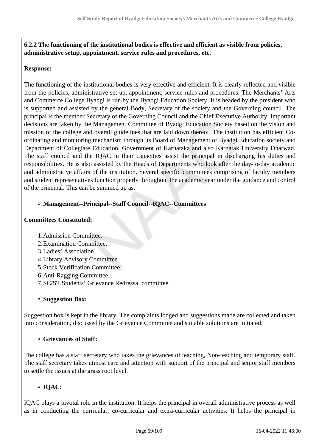**6.2.2 The functioning of the institutional bodies is effective and efficient as visible from policies, administrative setup, appointment, service rules and procedures, etc.**

## **Response:**

The functioning of the institutional bodies is very effective and efficient. It is clearly reflected and visible from the policies, administrative set up, appointment, service rules and procedures. The Merchants' Arts and Commerce College Byadgi is run by the Byadgi Education Society. It is headed by the president who is supported and assisted by the general Body, Secretary of the society and the Governing council. The principal is the member Secretary of the Governing Council and the Chief Executive Authority. Important decisions are taken by the Management Committee of Byadgi Education Society based on the vision and mission of the college and overall guidelines that are laid down thereof. The institution has efficient Coordinating and monitoring mechanism through its Board of Management of Byadgi Education society and Department of Collegiate Education, Government of Karnataka and also Karnatak University Dharwad. The staff council and the IQAC in their capacities assist the principal in discharging his duties and responsibilities. He is also assisted by the Heads of Departments who look after the day-to-day academic and administrative affairs of the institution. Several specific committees comprising of faculty members and student representatives function properly throughout the academic year under the guidance and control of the principal. This can be summed up as.

## **Management--Principal--Staff Council--IQAC--Committees**

## **Committees Constituted:**

- 1.Admission Committee.
- 2.Examination Committee.
- 3.Ladies' Association.
- 4.Library Advisory Committee.
- 5.Stock Verification Committee.
- 6.Anti-Ragging Committee.
- 7.SC/ST Students' Grievance Redressal committee.

## **Suggestion Box:**

Suggestion box is kept in the library. The complaints lodged and suggestions made are collected and taken into consideration, discussed by the Grievance Committee and suitable solutions are initiated.

## **Grievances of Staff:**

The college has a staff secretary who takes the grievances of teaching, Non-teaching and temporary staff. The staff secretary takes utmost care and attention with support of the principal and senior staff members to settle the issues at the grass root level.

## **IQAC:**

IQAC plays a pivotal role in the institution. It helps the principal in overall administrative process as well as in conducting the curricular, co-curricular and extra-curricular activities. It helps the principal in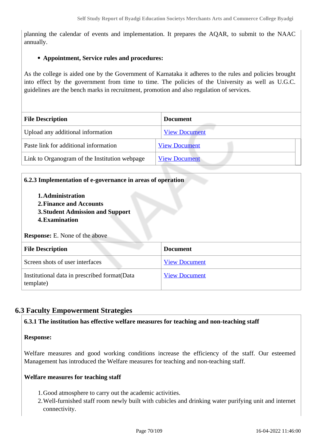planning the calendar of events and implementation. It prepares the AQAR, to submit to the NAAC annually.

#### **Appointment, Service rules and procedures:**

As the college is aided one by the Government of Karnataka it adheres to the rules and policies brought into effect by the government from time to time. The policies of the University as well as U.G.C. guidelines are the bench marks in recruitment, promotion and also regulation of services.

| <b>File Description</b>                       | <b>Document</b>      |
|-----------------------------------------------|----------------------|
| Upload any additional information             | <b>View Document</b> |
| Paste link for additional information         | <b>View Document</b> |
| Link to Organogram of the Institution webpage | <b>View Document</b> |

# **6.2.3 Implementation of e-governance in areas of operation**

- **1.Administration**
- **2.Finance and Accounts**
- **3.Student Admission and Support**
- **4.Examination**

**Response:** E. None of the above

| <b>File Description</b>                                    | <b>Document</b>      |
|------------------------------------------------------------|----------------------|
| Screen shots of user interfaces                            | <b>View Document</b> |
| Institutional data in prescribed format (Data<br>template) | <b>View Document</b> |

## **6.3 Faculty Empowerment Strategies**

**6.3.1 The institution has effective welfare measures for teaching and non-teaching staff**

#### **Response:**

Welfare measures and good working conditions increase the efficiency of the staff. Our esteemed Management has introduced the Welfare measures for teaching and non-teaching staff.

#### **Welfare measures for teaching staff**

- 1.Good atmosphere to carry out the academic activities.
- 2.Well-furnished staff room newly built with cubicles and drinking water purifying unit and internet connectivity.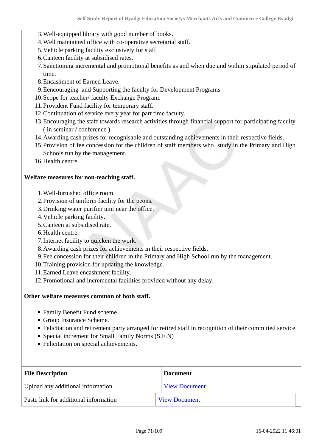- 3.Well-equipped library with good number of books.
- 4.Well maintained office with co-operative secretarial staff.
- 5.Vehicle parking facility exclusively for staff.
- 6.Canteen facility at subsidised rates.
- 7.Sanctioning incremental and promotional benefits as and when due and within stipulated period of time.
- 8.Encashment of Earned Leave.
- 9.Eencouraging and Supporting the faculty for Development Programs
- 10.Scope for teacher/ faculty Exchange Program.
- 11.Provident Fund facility for temporary staff.
- 12.Continuation of service every year for part time faculty.
- 13.Encouraging the staff towards research activities through financial support for participating faculty ( in seminar / conference )
- 14.Awarding cash prizes for recognisable and outstanding achievements in their respective fields.
- 15.Provision of fee concession for the children of staff members who study in the Primary and High Schools run by the management.
- 16.Health centre.

#### **Welfare measures for non-teaching staff.**

- 1.Well-furnished office room.
- 2.Provision of uniform facility for the peons.
- 3.Drinking water purifier unit near the office.
- 4.Vehicle parking facility.
- 5.Canteen at subsidised rate.
- 6.Health centre.
- 7.Internet facility to quicken the work.
- 8.Awarding cash prizes for achievements in their respective fields.
- 9.Fee concession for their children in the Primary and High School run by the management.
- 10.Training provision for updating the knowledge.
- 11.Earned Leave encashment facility.
- 12.Promotional and incremental facilities provided without any delay.

## **Other welfare measures common of both staff.**

- Family Benefit Fund scheme.
- Group Insurance Scheme.
- Felicitation and retirement party arranged for retired staff in recognition of their committed service.
- Special increment for Small Family Norms (S.F.N)
- Felicitation on special achievements.

| <b>File Description</b>               | <b>Document</b>      |  |
|---------------------------------------|----------------------|--|
| Upload any additional information     | <b>View Document</b> |  |
| Paste link for additional information | <b>View Document</b> |  |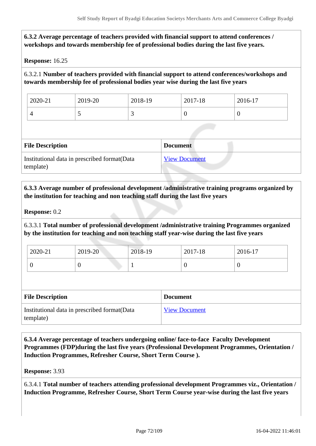## **6.3.2 Average percentage of teachers provided with financial support to attend conferences / workshops and towards membership fee of professional bodies during the last five years.**

**Response:** 16.25

## 6.3.2.1 **Number of teachers provided with financial support to attend conferences/workshops and towards membership fee of professional bodies year wise during the last five years**

| 2020-21  | 2019-20  | 2018-19 | 2017-18 | 2016-17 |
|----------|----------|---------|---------|---------|
| <b>_</b> | <b>~</b> | ັ       | ິ       |         |

| <b>File Description</b>                                    | <b>Document</b>      |
|------------------------------------------------------------|----------------------|
| Institutional data in prescribed format (Data<br>template) | <b>View Document</b> |

 **6.3.3 Average number of professional development /administrative training programs organized by the institution for teaching and non teaching staff during the last five years**

**Response:** 0.2

6.3.3.1 **Total number of professional development /administrative training Programmes organized by the institution for teaching and non teaching staff year-wise during the last five years**

| 2020-21 | 2019-20 | 2018-19 | 2017-18 | 2016-17 |
|---------|---------|---------|---------|---------|
| ິ       |         |         | ◡       |         |

| <b>File Description</b>                                    | <b>Document</b>      |
|------------------------------------------------------------|----------------------|
| Institutional data in prescribed format (Data<br>template) | <b>View Document</b> |

 **6.3.4 Average percentage of teachers undergoing online/ face-to-face Faculty Development Programmes (FDP)during the last five years (Professional Development Programmes, Orientation / Induction Programmes, Refresher Course, Short Term Course ).**

**Response:** 3.93

6.3.4.1 **Total number of teachers attending professional development Programmes viz., Orientation / Induction Programme, Refresher Course, Short Term Course year-wise during the last five years**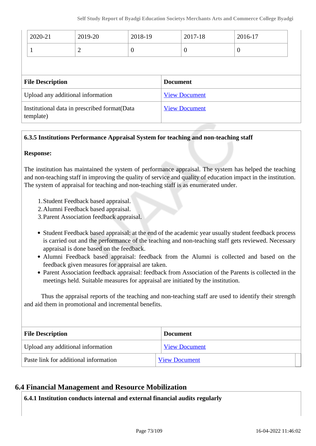| 2020-21                 | 2019-20                           | 2018-19        |                      | 2017-18 | 2016-17          |  |
|-------------------------|-----------------------------------|----------------|----------------------|---------|------------------|--|
|                         | $\overline{2}$                    | $\overline{0}$ | $\boldsymbol{0}$     |         | $\boldsymbol{0}$ |  |
|                         |                                   |                |                      |         |                  |  |
|                         |                                   |                |                      |         |                  |  |
| <b>File Description</b> |                                   |                | <b>Document</b>      |         |                  |  |
|                         | Upload any additional information |                | <b>View Document</b> |         |                  |  |

## **6.3.5 Institutions Performance Appraisal System for teaching and non-teaching staff**

### **Response:**

The institution has maintained the system of performance appraisal. The system has helped the teaching and non-teaching staff in improving the quality of service and quality of education impact in the institution. The system of appraisal for teaching and non-teaching staff is as enumerated under.

- 1.Student Feedback based appraisal.
- 2.Alumni Feedback based appraisal.
- 3.Parent Association feedback appraisal.
- Student Feedback based appraisal: at the end of the academic year usually student feedback process is carried out and the performance of the teaching and non-teaching staff gets reviewed. Necessary appraisal is done based on the feedback.
- Alumni Feedback based appraisal: feedback from the Alumni is collected and based on the feedback given measures for appraisal are taken.
- Parent Association feedback appraisal: feedback from Association of the Parents is collected in the meetings held. Suitable measures for appraisal are initiated by the institution.

 Thus the appraisal reports of the teaching and non-teaching staff are used to identify their strength and aid them in promotional and incremental benefits.

| <b>File Description</b>               | <b>Document</b>      |
|---------------------------------------|----------------------|
| Upload any additional information     | <b>View Document</b> |
| Paste link for additional information | <b>View Document</b> |

## **6.4 Financial Management and Resource Mobilization**

**6.4.1 Institution conducts internal and external financial audits regularly**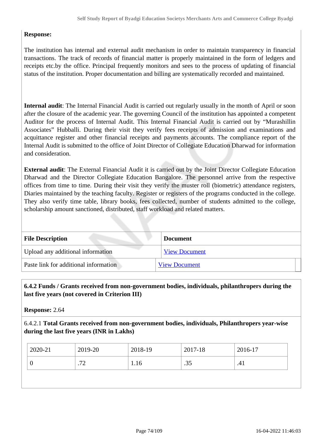### **Response:**

The institution has internal and external audit mechanism in order to maintain transparency in financial transactions. The track of records of financial matter is properly maintained in the form of ledgers and receipts etc.by the office. Principal frequently monitors and sees to the process of updating of financial status of the institution. Proper documentation and billing are systematically recorded and maintained.

**Internal audit**: The Internal Financial Audit is carried out regularly usually in the month of April or soon after the closure of the academic year. The governing Council of the institution has appointed a competent Auditor for the process of Internal Audit. This Internal Financial Audit is carried out by "Murashillin Associates" Hubballi. During their visit they verify fees receipts of admission and examinations and acquittance register and other financial receipts and payments accounts. The compliance report of the Internal Audit is submitted to the office of Joint Director of Collegiate Education Dharwad for information and consideration.

**External audit**: The External Financial Audit it is carried out by the Joint Director Collegiate Education Dharwad and the Director Collegiate Education Bangalore. The personnel arrive from the respective offices from time to time. During their visit they verify the muster roll (biometric) attendance registers, Diaries maintained by the teaching faculty. Register or registers of the programs conducted in the college. They also verify time table, library books, fees collected, number of students admitted to the college, scholarship amount sanctioned, distributed, staff workload and related matters.

| <b>File Description</b>               | <b>Document</b>      |  |
|---------------------------------------|----------------------|--|
| Upload any additional information     | <b>View Document</b> |  |
| Paste link for additional information | <b>View Document</b> |  |

## **6.4.2 Funds / Grants received from non-government bodies, individuals, philanthropers during the last five years (not covered in Criterion III)**

**Response:** 2.64

6.4.2.1 **Total Grants received from non-government bodies, individuals, Philanthropers year-wise during the last five years (INR in Lakhs)**

|                                                        | 2016-17 |
|--------------------------------------------------------|---------|
| 70<br>つよ<br>1.16<br>.41<br>ر ر.<br>$\cdot$ $\sim$<br>ν |         |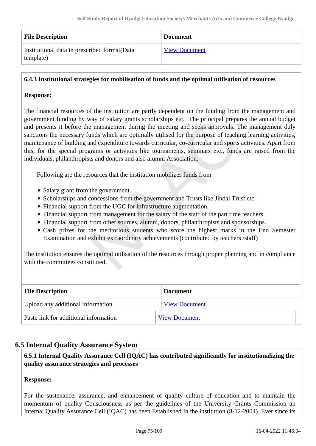| <b>File Description</b>                                    | <b>Document</b>      |
|------------------------------------------------------------|----------------------|
| Institutional data in prescribed format (Data<br>template) | <b>View Document</b> |

#### **6.4.3 Institutional strategies for mobilisation of funds and the optimal utilisation of resources**

#### **Response:**

The financial resources of the institution are partly dependent on the funding from the management and government funding by way of salary grants scholarships etc. The principal prepares the annual budget and presents it before the management during the meeting and seeks approvals. The management duly sanctions the necessary funds which are optimally utilised for the purpose of teaching learning activities, maintenance of building and expenditure towards curricular, co-curricular and sports activities. Apart from this, for the special programs or activities like tournaments, seminars etc., funds are raised from the individuals, philanthropists and donors and also alumni Association.

Following are the resources that the institution mobilizes funds from

- Salary grant from the government.
- Scholarships and concessions from the government and Trusts like Jindal Trust etc.
- Financial support from the UGC for infrastructure augmentation.
- Financial support from management for the salary of the staff of the part time teachers.
- Financial support from other sources, alumni, donors, philanthropists and sponsorships.
- Cash prizes for the meritorious students who score the highest marks in the End Semester Examination and exhibit extraordinary achievements (contributed by teachers /staff)

The institution ensures the optimal utilisation of the resources through proper planning and in compliance with the committees constituted.

| <b>File Description</b>               | <b>Document</b>      |
|---------------------------------------|----------------------|
| Upload any additional information     | <b>View Document</b> |
| Paste link for additional information | <b>View Document</b> |

## **6.5 Internal Quality Assurance System**

 **6.5.1 Internal Quality Assurance Cell (IQAC) has contributed significantly for institutionalizing the quality assurance strategies and processes**

### **Response:**

For the sustenance, assurance, and enhancement of quality culture of education and to maintain the momentum of quality Consciousness as per the guidelines of the University Grants Commission an Internal Quality Assurance Cell (IQAC) has been Established In the institution (8-12-2004). Ever since its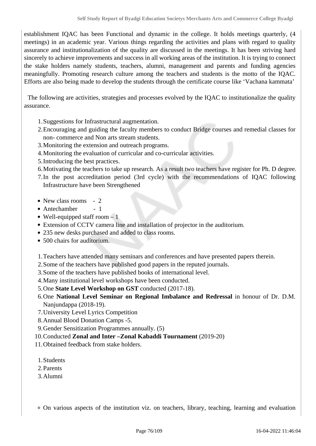establishment IQAC has been Functional and dynamic in the college. It holds meetings quarterly, (4 meetings) in an academic year. Various things regarding the activities and plans with regard to quality assurance and institutionalization of the quality are discussed in the meetings. It has been striving hard sincerely to achieve improvements and success in all working areas of the institution. It is trying to connect the stake holders namely students, teachers, alumni, management and parents and funding agencies meaningfully. Promoting research culture among the teachers and students is the motto of the IQAC. Efforts are also being made to develop the students through the certificate course like 'Vachana kammata'

 The following are activities, strategies and processes evolved by the IQAC to institutionalize the quality assurance.

- 1.Suggestions for Infrastructural augmentation.
- 2.Encouraging and guiding the faculty members to conduct Bridge courses and remedial classes for non- commerce and Non arts stream students.
- 3.Monitoring the extension and outreach programs.
- 4.Monitoring the evaluation of curricular and co-curricular activities.
- 5.Introducing the best practices.
- 6.Motivating the teachers to take up research. As a result two teachers have register for Ph. D degree.
- 7.In the post accreditation period (3rd cycle) with the recommendations of IQAC following Infrastructure have been Strengthened
- New class rooms  $-2$
- Antechamber 1
- Well-equipped staff room  $-1$
- Extension of CCTV camera line and installation of projector in the auditorium.
- 235 new desks purchased and added to class rooms.
- 500 chairs for auditorium.

1.Teachers have attended many seminars and conferences and have presented papers therein.

- 2.Some of the teachers have published good papers in the reputed journals.
- 3.Some of the teachers have published books of international level.
- 4.Many institutional level workshops have been conducted.
- 5.One **State Level Workshop on GST** conducted (2017-18).
- 6.One **National Level Seminar on Regional Imbalance and Redressal** in honour of Dr. D.M. Nanjundappa (2018-19).
- 7.University Level Lyrics Competition
- 8.Annual Blood Donation Camps -5.
- 9.Gender Sensitization Programmes annually. (5)
- 10.Conducted **Zonal and Inter –Zonal Kabaddi Tournament** (2019-20)
- 11.Obtained feedback from stake holders.
- 1.Students
- 2.Parents
- 3.Alumni

On various aspects of the institution viz. on teachers, library, teaching, learning and evaluation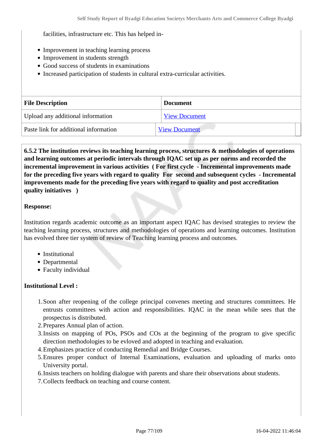facilities, infrastructure etc. This has helped in-

- Improvement in teaching learning process
- Improvement in students strength
- Good success of students in examinations
- Increased participation of students in cultural extra-curricular activities.

| <b>File Description</b>               | <b>Document</b>      |
|---------------------------------------|----------------------|
| Upload any additional information     | <b>View Document</b> |
| Paste link for additional information | <b>View Document</b> |

 **6.5.2 The institution reviews its teaching learning process, structures & methodologies of operations and learning outcomes at periodic intervals through IQAC set up as per norms and recorded the incremental improvement in various activities ( For first cycle - Incremental improvements made for the preceding five years with regard to quality For second and subsequent cycles - Incremental improvements made for the preceding five years with regard to quality and post accreditation quality initiatives )** 

#### **Response:**

Institution regards academic outcome as an important aspect IQAC has devised strategies to review the teaching learning process, structures and methodologies of operations and learning outcomes. Institution has evolved three tier system of review of Teaching learning process and outcomes.

- Institutional
- Departmental
- Faculty individual

### **Institutional Level :**

- 1.Soon after reopening of the college principal convenes meeting and structures committees. He entrusts committees with action and responsibilities. IQAC in the mean while sees that the prospectus is distributed.
- 2.Prepares Annual plan of action.
- 3.Insists on mapping of POs, PSOs and COs at the beginning of the program to give specific direction methodologies to be evloved and adopted in teaching and evaluation.
- 4.Emphasizes practice of conducting Remedial and Bridge Courses.
- 5.Ensures proper conduct of Internal Examinations, evaluation and uploading of marks onto University portal.
- 6.Insists teachers on holding dialogue with parents and share their observations about students.
- 7.Collects feedback on teaching and course content.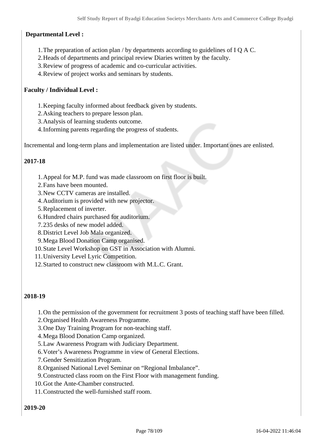## **Departmental Level :**

- 1.The preparation of action plan / by departments according to guidelines of I Q A C.
- 2.Heads of departments and principal review Diaries written by the faculty.
- 3.Review of progress of academic and co-curricular activities.
- 4.Review of project works and seminars by students.

## **Faculty / Individual Level :**

- 1.Keeping faculty informed about feedback given by students.
- 2.Asking teachers to prepare lesson plan.
- 3.Analysis of learning students outcome.
- 4.Informing parents regarding the progress of students.

Incremental and long-term plans and implementation are listed under. Important ones are enlisted.

## **2017-18**

- 1.Appeal for M.P. fund was made classroom on first floor is built.
- 2.Fans have been mounted.
- 3.New CCTV cameras are installed.
- 4.Auditorium is provided with new projector.
- 5.Replacement of inverter.
- 6.Hundred chairs purchased for auditorium.
- 7.235 desks of new model added.
- 8.District Level Job Mala organized.
- 9.Mega Blood Donation Camp organised.
- 10.State Level Workshop on GST in Association with Alumni.
- 11.University Level Lyric Competition.
- 12.Started to construct new classroom with M.L.C. Grant.

### **2018-19**

- 1.On the permission of the government for recruitment 3 posts of teaching staff have been filled.
- 2.Organised Health Awareness Programme.
- 3.One Day Training Program for non-teaching staff.
- 4.Mega Blood Donation Camp organized.
- 5.Law Awareness Program with Judiciary Department.
- 6.Voter's Awareness Programme in view of General Elections.
- 7.Gender Sensitization Program.
- 8.Organised National Level Seminar on "Regional Imbalance".
- 9.Constructed class room on the First Floor with management funding.
- 10.Got the Ante-Chamber constructed.
- 11.Constructed the well-furnished staff room.

### **2019-20**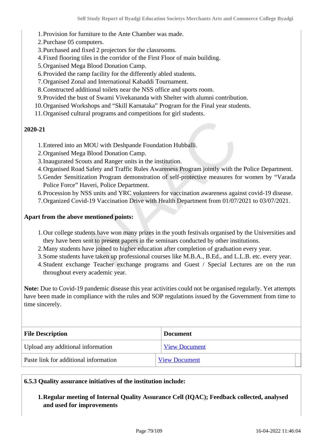1.Provision for furniture to the Ante Chamber was made.

2.Purchase 05 computers.

3.Purchased and fixed 2 projectors for the classrooms.

4.Fixed flooring tiles in the corridor of the First Floor of main building.

5.Organised Mega Blood Donation Camp.

6.Provided the ramp facility for the differently abled students.

7.Organised Zonal and International Kabaddi Tournament.

8.Constructed additional toilets near the NSS office and sports room.

9.Provided the bust of Swami Vivekananda with Shelter with alumni contribution.

10.Organised Workshops and "Skill Karnataka" Program for the Final year students.

11.Organised cultural programs and competitions for girl students.

### **2020-21**

1.Entered into an MOU with Deshpande Foundation Hubballi.

2.Organised Mega Blood Donation Camp.

- 3.Inaugurated Scouts and Ranger units in the institution.
- 4.Organised Road Safety and Traffic Rules Awareness Program jointly with the Police Department.
- 5.Gender Sensitization Program demonstration of self-protective measures for women by "Varada Police Force" Haveri, Police Department.
- 6.Procession by NSS units and YRC volunteers for vaccination awareness against covid-19 disease.
- 7.Organized Covid-19 Vaccination Drive with Health Department from 01/07/2021 to 03/07/2021.

#### **Apart from the above mentioned points:**

- 1.Our college students have won many prizes in the youth festivals organised by the Universities and they have been sent to present papers in the seminars conducted by other institutions.
- 2.Many students have joined to higher education after completion of graduation every year.
- 3.Some students have taken up professional courses like M.B.A., B.Ed., and L.L.B. etc. every year.
- 4.Student exchange Teacher exchange programs and Guest / Special Lectures are on the run throughout every academic year.

**Note:** Due to Covid-19 pandemic disease this year activities could not be organised regularly. Yet attempts have been made in compliance with the rules and SOP regulations issued by the Government from time to time sincerely.

| <b>File Description</b>               | <b>Document</b>      |
|---------------------------------------|----------------------|
| Upload any additional information     | <b>View Document</b> |
| Paste link for additional information | <b>View Document</b> |

### **6.5.3 Quality assurance initiatives of the institution include:**

**1.Regular meeting of Internal Quality Assurance Cell (IQAC); Feedback collected, analysed and used for improvements**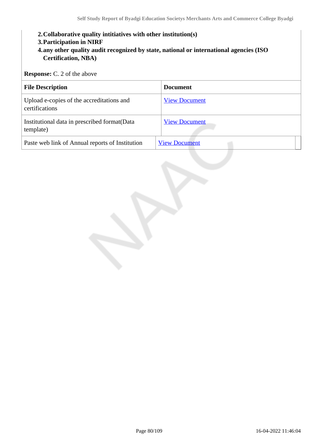- **2.Collaborative quality intitiatives with other institution(s)**
- **3.Participation in NIRF**
- **4.any other quality audit recognized by state, national or international agencies (ISO Certification, NBA)**

**Response:** C. 2 of the above

| <b>File Description</b>                                     | <b>Document</b>      |
|-------------------------------------------------------------|----------------------|
| Upload e-copies of the accreditations and<br>certifications | <b>View Document</b> |
| Institutional data in prescribed format (Data<br>template)  | <b>View Document</b> |
| Paste web link of Annual reports of Institution             | <b>View Document</b> |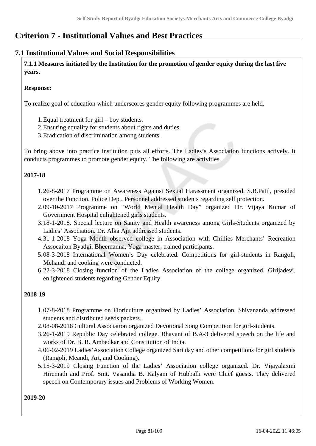# **Criterion 7 - Institutional Values and Best Practices**

## **7.1 Institutional Values and Social Responsibilities**

 **7.1.1 Measures initiated by the Institution for the promotion of gender equity during the last five years.**

## **Response:**

To realize goal of education which underscores gender equity following programmes are held.

- 1.Equal treatment for girl boy students.
- 2.Ensuring equality for students about rights and duties.
- 3.Eradication of discrimination among students.

To bring above into practice institution puts all efforts. The Ladies's Association functions actively. It conducts programmes to promote gender equity. The following are activities.

## **2017-18**

- 1.26-8-2017 Programme on Awareness Against Sexual Harassment organized. S.B.Patil, presided over the Function. Police Dept. Personnel addressed students regarding self protection.
- 2.09-10-2017 Programme on "World Mental Health Day" organized Dr. Vijaya Kumar of Government Hospital enlightened girls students.
- 3.18-1-2018. Special lecture on Sanity and Health awareness among Girls-Students organized by Ladies' Association. Dr. Alka Ajit addressed students.
- 4.31-1-2018 Yoga Month observed college in Association with Chillies Merchants' Recreation Assocaiton Byadgi. Bheemanna, Yoga master, trained participants.
- 5.08-3-2018 International Women's Day celebrated. Competitions for girl-students in Rangoli, Mehandi and cooking were conducted.
- 6.22-3-2018 Closing function of the Ladies Association of the college organized. Girijadevi, enlightened students regarding Gender Equity.

## **2018-19**

- 1.07-8-2018 Programme on Floriculture organized by Ladies' Association. Shivananda addressed students and distributed seeds packets.
- 2.08-08-2018 Cultural Association organized Devotional Song Competition for girl-students.
- 3.26-1-2019 Republic Day celebrated college. Bhavani of B.A-3 delivered speech on the life and works of Dr. B. R. Ambedkar and Constitution of India.
- 4.06-02-2019 Ladies'Association College organized Sari day and other competitions for girl students (Rangoli, Meandi, Art, and Cooking).
- 5.15-3-2019 Closing Function of the Ladies' Association college organized. Dr. Vijayalaxmi Hiremath and Prof. Smt. Vasantha B. Kalyani of Hubballi were Chief guests. They delivered speech on Contemporary issues and Problems of Working Women.

**2019-20**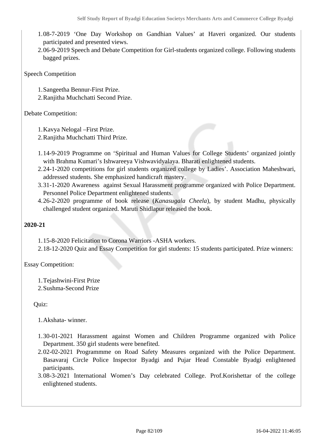- 1.08-7-2019 'One Day Workshop on Gandhian Values' at Haveri organized. Our students participated and presented views.
- 2.06-9-2019 Speech and Debate Competition for Girl-students organized college. Following students bagged prizes.

Speech Competition

- 1.Sangeetha Bennur-First Prize.
- 2.Ranjitha Muchchatti Second Prize.

Debate Competition:

- 1.Kavya Nelogal –First Prize.
- 2.Ranjitha Muchchatti Third Prize.
- 1.14-9-2019 Programme on 'Spiritual and Human Values for College Students' organized jointly with Brahma Kumari's Ishwareeya Vishwavidyalaya. Bharati enlightened students.
- 2.24-1-2020 competitions for girl students organized college by Ladies'. Association Maheshwari, addressed students. She emphasized handicraft mastery.
- 3.31-1-2020 Awareness against Sexual Harassment programme organized with Police Department. Personnel Police Department enlightened students.
- 4.26-2-2020 programme of book release (*Kanasugala Cheela*), by student Madhu, physically challenged student organized. Maruti Shidlapur released the book.

## **2020-21**

1.15-8-2020 Felicitation to Corona Warriors -ASHA workers.

2.18-12-2020 Quiz and Essay Competition for girl students: 15 students participated. Prize winners:

Essay Competition:

- 1.Tejashwini-First Prize
- 2.Sushma-Second Prize

Quiz:

- 1.Akshata- winner.
- 1.30-01-2021 Harassment against Women and Children Programme organized with Police Department. 350 girl students were benefited.
- 2.02-02-2021 Programmme on Road Safety Measures organized with the Police Department. Basavaraj Circle Police Inspector Byadgi and Pujar Head Constable Byadgi enlightened participants.
- 3.08-3-2021 International Women's Day celebrated College. Prof.Korishettar of the college enlightened students.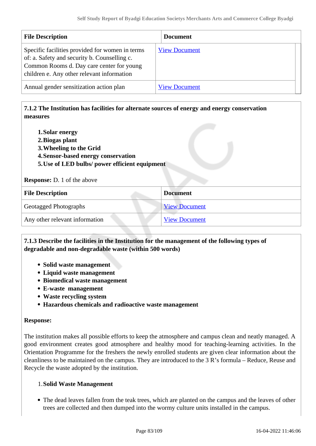| <b>File Description</b>                                                                                                                                                                    | <b>Document</b>      |  |
|--------------------------------------------------------------------------------------------------------------------------------------------------------------------------------------------|----------------------|--|
| Specific facilities provided for women in terms<br>of: a. Safety and security b. Counselling c.<br>Common Rooms d. Day care center for young<br>children e. Any other relevant information | <b>View Document</b> |  |
| Annual gender sensitization action plan                                                                                                                                                    | <b>View Document</b> |  |

## **7.1.2 The Institution has facilities for alternate sources of energy and energy conservation measures**

- **1.Solar energy**
- **2.Biogas plant**
- **3.Wheeling to the Grid**
- **4.Sensor-based energy conservation**
- **5.Use of LED bulbs/ power efficient equipment**

**Response:** D. 1 of the above

| <b>File Description</b>        | <b>Document</b>      |
|--------------------------------|----------------------|
| <b>Geotagged Photographs</b>   | <b>View Document</b> |
| Any other relevant information | <b>View Document</b> |

## **7.1.3 Describe the facilities in the Institution for the management of the following types of degradable and non-degradable waste (within 500 words)**

- **Solid waste management**
- **Liquid waste management**
- **Biomedical waste management**
- **E-waste management**
- **Waste recycling system**
- **Hazardous chemicals and radioactive waste management**

#### **Response:**

The institution makes all possible efforts to keep the atmosphere and campus clean and neatly managed. A good environment creates good atmosphere and healthy mood for teaching-learning activities. In the Orientation Programme for the freshers the newly enrolled students are given clear information about the cleanliness to be maintained on the campus. They are introduced to the 3 R's formula – Reduce, Reuse and Recycle the waste adopted by the institution.

### 1.**Solid Waste Management**

The dead leaves fallen from the teak trees, which are planted on the campus and the leaves of other trees are collected and then dumped into the wormy culture units installed in the campus.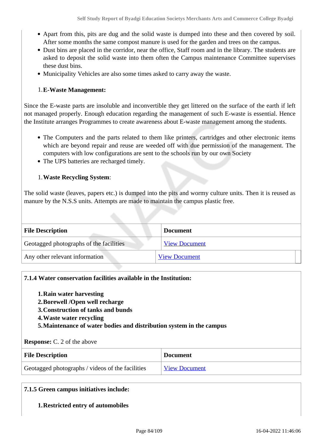- Apart from this, pits are dug and the solid waste is dumped into these and then covered by soil. After some months the same compost manure is used for the garden and trees on the campus.
- Dust bins are placed in the corridor, near the office, Staff room and in the library. The students are asked to deposit the solid waste into them often the Campus maintenance Committee supervises these dust bins.
- Municipality Vehicles are also some times asked to carry away the waste.

## 1.**E-Waste Management:**

Since the E-waste parts are insoluble and inconvertible they get littered on the surface of the earth if left not managed properly. Enough education regarding the management of such E-waste is essential. Hence the Institute arranges Programmes to create awareness about E-waste management among the students.

- The Computers and the parts related to them like printers, cartridges and other electronic items which are beyond repair and reuse are weeded off with due permission of the management. The computers with low configurations are sent to the schools run by our own Society
- The UPS batteries are recharged timely.

## 1.**Waste Recycling System**:

The solid waste (leaves, papers etc.) is dumped into the pits and wormy culture units. Then it is reused as manure by the N.S.S units. Attempts are made to maintain the campus plastic free.

| <b>File Description</b>                 | <b>Document</b>      |  |
|-----------------------------------------|----------------------|--|
| Geotagged photographs of the facilities | <b>View Document</b> |  |
| Any other relevant information          | <b>View Document</b> |  |

### **7.1.4 Water conservation facilities available in the Institution:**

- **1.Rain water harvesting**
- **2.Borewell /Open well recharge**
- **3.Construction of tanks and bunds**
- **4.Waste water recycling**
- **5.Maintenance of water bodies and distribution system in the campus**

### **Response:** C. 2 of the above

| <b>File Description</b>                          | <b>Document</b>      |
|--------------------------------------------------|----------------------|
| Geotagged photographs / videos of the facilities | <b>View Document</b> |

### **7.1.5 Green campus initiatives include:**

## **1.Restricted entry of automobiles**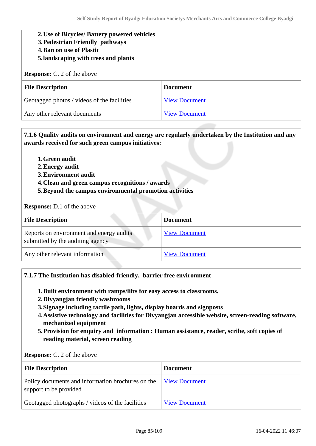- **2.Use of Bicycles/ Battery powered vehicles**
- **3.Pedestrian Friendly pathways**
- **4.Ban on use of Plastic**
- **5.landscaping with trees and plants**

#### **Response:** C. 2 of the above

| <b>File Description</b>                     | <b>Document</b>      |  |  |
|---------------------------------------------|----------------------|--|--|
| Geotagged photos / videos of the facilities | <b>View Document</b> |  |  |
| Any other relevant documents                | <b>View Document</b> |  |  |

 **7.1.6 Quality audits on environment and energy are regularly undertaken by the Institution and any awards received for such green campus initiatives:**

- **1.Green audit**
- **2.Energy audit**
- **3.Environment audit**
- **4.Clean and green campus recognitions / awards**
- **5.Beyond the campus environmental promotion activities**

**Response:** D.1 of the above

| <b>File Description</b>                                                      | <b>Document</b>      |
|------------------------------------------------------------------------------|----------------------|
| Reports on environment and energy audits<br>submitted by the auditing agency | <b>View Document</b> |
| Any other relevant information                                               | <b>View Document</b> |

### **7.1.7 The Institution has disabled-friendly, barrier free environment**

- **1.Built environment with ramps/lifts for easy access to classrooms.**
- **2.Divyangjan friendly washrooms**
- **3.Signage including tactile path, lights, display boards and signposts**
- **4.Assistive technology and facilities for Divyangjan accessible website, screen-reading software, mechanized equipment**
- **5.Provision for enquiry and information : Human assistance, reader, scribe, soft copies of reading material, screen reading**

| <b>Response:</b> C. 2 of the above |  |  |  |  |  |
|------------------------------------|--|--|--|--|--|
|------------------------------------|--|--|--|--|--|

| <b>File Description</b>                                                     | <b>Document</b>      |
|-----------------------------------------------------------------------------|----------------------|
| Policy documents and information brochures on the<br>support to be provided | <b>View Document</b> |
| Geotagged photographs / videos of the facilities                            | <b>View Document</b> |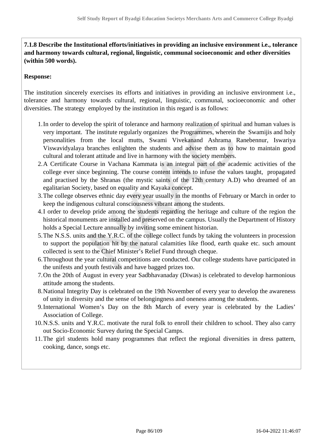**7.1.8 Describe the Institutional efforts/initiatives in providing an inclusive environment i.e., tolerance and harmony towards cultural, regional, linguistic, communal socioeconomic and other diversities (within 500 words).**

#### **Response:**

The institution sincerely exercises its efforts and initiatives in providing an inclusive environment i.e., tolerance and harmony towards cultural, regional, linguistic, communal, socioeconomic and other diversities. The strategy employed by the institution in this regard is as follows:

- 1.In order to develop the spirit of tolerance and harmony realization of spiritual and human values is very important. The institute regularly organizes the Programmes, wherein the Swamijis and holy personalities from the local mutts, Swami Vivekanand Ashrama Ranebennur, Iswariya Viswavidyalaya branches enlighten the students and advise them as to how to maintain good cultural and tolerant attitude and live in harmony with the society members.
- 2.A Certificate Course in Vachana Kammata is an integral part of the academic activities of the college ever since beginning. The course content intends to infuse the values taught, propagated and practised by the Shranas (the mystic saints of the 12th century A.D) who dreamed of an egalitarian Society, based on equality and Kayaka concept.
- 3.The college observes ethnic day every year usually in the months of February or March in order to keep the indigenous cultural consciousness vibrant among the students.
- 4.I order to develop pride among the students regarding the heritage and culture of the region the historical monuments are installed and preserved on the campus. Usually the Department of History holds a Special Lecture annually by inviting some eminent historian.
- 5.The N.S.S. units and the Y.R.C. of the college collect funds by taking the volunteers in procession to support the population hit by the natural calamities like flood, earth quake etc. such amount collected is sent to the Chief Minister's Relief Fund through cheque.
- 6.Throughout the year cultural competitions are conducted. Our college students have participated in the unifests and youth festivals and have bagged prizes too.
- 7.On the 20th of August in every year Sadbhavanaday (Diwas) is celebrated to develop harmonious attitude among the students.
- 8.National Integrity Day is celebrated on the 19th November of every year to develop the awareness of unity in diversity and the sense of belongingness and oneness among the students.
- 9.International Women's Day on the 8th March of every year is celebrated by the Ladies' Association of College.
- 10.N.S.S. units and Y.R.C. motivate the rural folk to enroll their children to school. They also carry out Socio-Economic Survey during the Special Camps.
- 11.The girl students hold many programmes that reflect the regional diversities in dress pattern, cooking, dance, songs etc.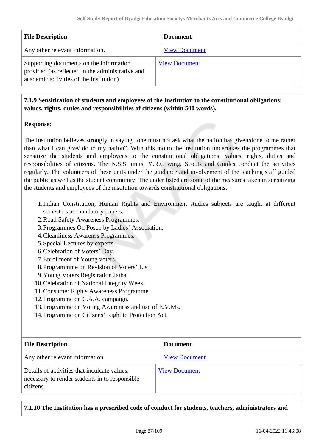| <b>File Description</b>                                                                                                                | <b>Document</b>      |
|----------------------------------------------------------------------------------------------------------------------------------------|----------------------|
| Any other relevant information.                                                                                                        | <b>View Document</b> |
| Supporting documents on the information<br>provided (as reflected in the administrative and<br>academic activities of the Institution) | <b>View Document</b> |

## **7.1.9 Sensitization of students and employees of the Institution to the constitutional obligations: values, rights, duties and responsibilities of citizens (within 500 words).**

### **Response:**

The Institution believes strongly in saying "one must not ask what the nation has given/done to me rather than what I can give/ do to my nation". With this motto the institution undertakes the programmes that sensitize the students and employees to the constitutional obligations; values, rights, duties and responsibilities of citizens. The N.S.S. units, Y.R.C wing, Scouts and Guides conduct the activities regularly. The volunteers of these units under the guidance and involvement of the teaching staff guided the public as well as the student community. The under listed are some of the measures taken in sensitizing the students and employees of the institution towards constitutional obligations.

- 1.Indian Constitution, Human Rights and Environment studies subjects are taught at different semesters as mandatory papers.
- 2.Road Safety Awareness Programmes.
- 3.Programmes On Posco by Ladies' Association.
- 4.Cleanliness Awarenss Programmes.
- 5.Special Lectures by experts.
- 6.Celebration of Voters' Day.
- 7.Enrollment of Young voters.
- 8.Programmme on Revision of Voters' List.
- 9.Young Voters Registration Jatha.
- 10.Celebration of National Integrity Week.
- 11.Consumer Rights Awareness Programme.
- 12.Programme on C.A.A. campaign.
- 13.Programme on Voting Awareness and use of E.V.Ms.
- 14.Programme on Citizens' Right to Protection Act.

| <b>File Description</b>                                                                                    | <b>Document</b>      |
|------------------------------------------------------------------------------------------------------------|----------------------|
| Any other relevant information                                                                             | <b>View Document</b> |
| Details of activities that inculcate values;<br>necessary to render students in to responsible<br>citizens | <b>View Document</b> |

## **7.1.10 The Institution has a prescribed code of conduct for students, teachers, administrators and**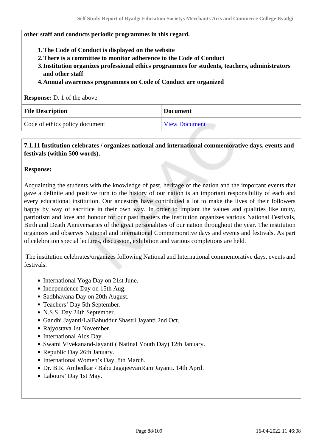## **other staff and conducts periodic programmes in this regard.**

- **1.The Code of Conduct is displayed on the website**
- **2.There is a committee to monitor adherence to the Code of Conduct**
- **3.Institution organizes professional ethics programmes for students, teachers, administrators and other staff**
- **4.Annual awareness programmes on Code of Conduct are organized**

#### **Response:** D. 1 of the above

| <b>File Description</b>        | <b>Document</b>      |  |  |  |
|--------------------------------|----------------------|--|--|--|
| Code of ethics policy document | <b>View Document</b> |  |  |  |

## **7.1.11 Institution celebrates / organizes national and international commemorative days, events and festivals (within 500 words).**

### **Response:**

Acquainting the students with the knowledge of past, heritage of the nation and the important events that gave a definite and positive turn to the history of our nation is an important responsibility of each and every educational institution. Our ancestors have contributed a lot to make the lives of their followers happy by way of sacrifice in their own way. In order to implant the values and qualities like unity, patriotism and love and honour for our past masters the institution organizes various National Festivals, Birth and Death Anniversaries of the great personalities of our nation throughout the year. The institution organizes and observes National and International Commemorative days and events and festivals. As part of celebration special lectures, discussion, exhibition and various completions are held.

 The institution celebrates/organizes following National and International commemorative days, events and festivals.

- International Yoga Day on 21st June.
- Independence Day on 15th Aug.
- Sadbhavana Day on 20th August.
- Teachers' Day 5th September.
- N.S.S. Day 24th September.
- Gandhi Jayanti/LalBahuddur Shastri Jayanti 2nd Oct.
- Rajyostava 1st November.
- International Aids Day.
- Swami Vivekanand-Jayanti ( Natinal Youth Day) 12th January.
- Republic Day 26th January.
- International Women's Day, 8th March.
- Dr. B.R. Ambedkar / Babu JagajeevanRam Jayanti. 14th April.
- Labours' Day 1st May.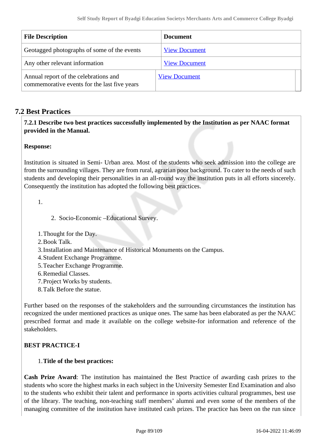| <b>File Description</b>                                                               | <b>Document</b>      |  |  |
|---------------------------------------------------------------------------------------|----------------------|--|--|
| Geotagged photographs of some of the events                                           | <b>View Document</b> |  |  |
| Any other relevant information                                                        | <b>View Document</b> |  |  |
| Annual report of the celebrations and<br>commemorative events for the last five years | <b>View Document</b> |  |  |

## **7.2 Best Practices**

## **7.2.1 Describe two best practices successfully implemented by the Institution as per NAAC format provided in the Manual.**

## **Response:**

Institution is situated in Semi- Urban area. Most of the students who seek admission into the college are from the surrounding villages. They are from rural, agrarian poor background. To cater to the needs of such students and developing their personalities in an all-round way the institution puts in all efforts sincerely. Consequently the institution has adopted the following best practices.

1.

2. Socio-Economic –Educational Survey.

1.Thought for the Day.

2.Book Talk.

- 3.Installation and Maintenance of Historical Monuments on the Campus.
- 4.Student Exchange Programme.
- 5.Teacher Exchange Programme.
- 6.Remedial Classes.
- 7.Project Works by students.
- 8.Talk Before the statue.

Further based on the responses of the stakeholders and the surrounding circumstances the institution has recognized the under mentioned practices as unique ones. The same has been elaborated as per the NAAC prescribed format and made it available on the college website-for information and reference of the stakeholders.

### **BEST PRACTICE-I**

### 1.**Title of the best practices:**

**Cash Prize Award**: The institution has maintained the Best Practice of awarding cash prizes to the students who score the highest marks in each subject in the University Semester End Examination and also to the students who exhibit their talent and performance in sports activities cultural programmes, best use of the library. The teaching, non-teaching staff members' alumni and even some of the members of the managing committee of the institution have instituted cash prizes. The practice has been on the run since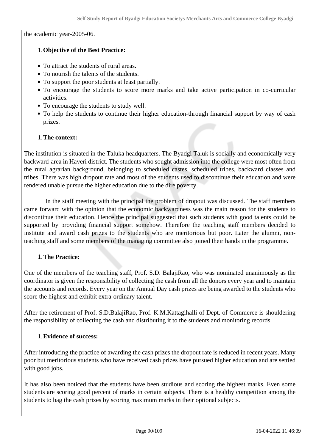the academic year-2005-06.

## 1.**Objective of the Best Practice:**

- To attract the students of rural areas.
- To nourish the talents of the students.
- To support the poor students at least partially.
- To encourage the students to score more marks and take active participation in co-curricular activities.
- To encourage the students to study well.
- To help the students to continue their higher education-through financial support by way of cash prizes.

## 1.**The context:**

The institution is situated in the Taluka headquarters. The Byadgi Taluk is socially and economically very backward-area in Haveri district. The students who sought admission into the college were most often from the rural agrarian background, belonging to scheduled castes, scheduled tribes, backward classes and tribes. There was high dropout rate and most of the students used to discontinue their education and were rendered unable pursue the higher education due to the dire poverty.

 In the staff meeting with the principal the problem of dropout was discussed. The staff members came forward with the opinion that the economic backwardness was the main reason for the students to discontinue their education. Hence the principal suggested that such students with good talents could be supported by providing financial support somehow. Therefore the teaching staff members decided to institute and award cash prizes to the students who are meritorious but poor. Later the alumni, nonteaching staff and some members of the managing committee also joined their hands in the programme.

## 1.**The Practice:**

One of the members of the teaching staff, Prof. S.D. BalajiRao, who was nominated unanimously as the coordinator is given the responsibility of collecting the cash from all the donors every year and to maintain the accounts and records. Every year on the Annual Day cash prizes are being awarded to the students who score the highest and exhibit extra-ordinary talent.

After the retirement of Prof. S.D.BalajiRao, Prof. K.M.Kattagihalli of Dept. of Commerce is shouldering the responsibility of collecting the cash and distributing it to the students and monitoring records.

### 1.**Evidence of success:**

After introducing the practice of awarding the cash prizes the dropout rate is reduced in recent years. Many poor but meritorious students who have received cash prizes have pursued higher education and are settled with good jobs.

It has also been noticed that the students have been studious and scoring the highest marks. Even some students are scoring good percent of marks in certain subjects. There is a healthy competition among the students to bag the cash prizes by scoring maximum marks in their optional subjects.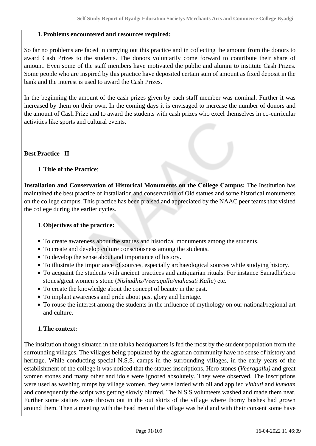## 1.**Problems encountered and resources required:**

So far no problems are faced in carrying out this practice and in collecting the amount from the donors to award Cash Prizes to the students. The donors voluntarily come forward to contribute their share of amount. Even some of the staff members have motivated the public and alumni to institute Cash Prizes. Some people who are inspired by this practice have deposited certain sum of amount as fixed deposit in the bank and the interest is used to award the Cash Prizes.

In the beginning the amount of the cash prizes given by each staff member was nominal. Further it was increased by them on their own. In the coming days it is envisaged to increase the number of donors and the amount of Cash Prize and to award the students with cash prizes who excel themselves in co-curricular activities like sports and cultural events.

### **Best Practice –II**

### 1.**Title of the Practice**:

**Installation and Conservation of Historical Monuments on the College Campus:** The Institution has maintained the best practice of installation and conservation of Old statues and some historical monuments on the college campus. This practice has been praised and appreciated by the NAAC peer teams that visited the college during the earlier cycles.

### 1.**Objectives of the practice:**

- To create awareness about the statues and historical monuments among the students.
- To create and develop culture consciousness among the students.
- To develop the sense about and importance of history.
- To illustrate the importance of sources, especially archaeological sources while studying history.
- To acquaint the students with ancient practices and antiquarian rituals. For instance Samadhi/hero stones/great women's stone (*Nishadhis/Veeragallu/mahasati Kallu*) etc.
- To create the knowledge about the concept of beauty in the past.
- To implant awareness and pride about past glory and heritage.
- To rouse the interest among the students in the influence of mythology on our national/regional art and culture.

### 1.**The context:**

The institution though situated in the taluka headquarters is fed the most by the student population from the surrounding villages. The villages being populated by the agrarian community have no sense of history and heritage. While conducting special N.S.S. camps in the surrounding villages, in the early years of the establishment of the college it was noticed that the statues inscriptions, Hero stones (*Veeragallu)* and great women stones and many other and idols were ignored absolutely. They were observed. The inscriptions were used as washing rumps by village women, they were larded with oil and applied *vibhuti* and *kunkum* and consequently the script was getting slowly blurred. The N.S.S volunteers washed and made them neat. Further some statues were thrown out in the out skirts of the village where thorny bushes had grown around them. Then a meeting with the head men of the village was held and with their consent some have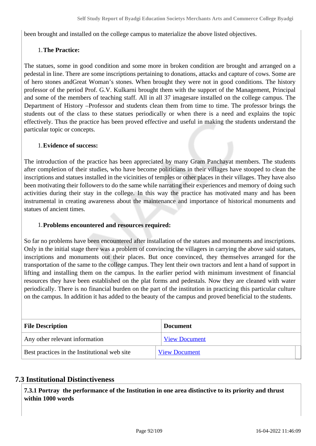been brought and installed on the college campus to materialize the above listed objectives.

## 1.**The Practice:**

The statues, some in good condition and some more in broken condition are brought and arranged on a pedestal in line. There are some inscriptions pertaining to donations, attacks and capture of cows. Some are of hero stones andGreat Woman's stones. When brought they were not in good conditions. The history professor of the period Prof. G.V. Kulkarni brought them with the support of the Management, Principal and some of the members of teaching staff. All in all 37 imagesare installed on the college campus. The Department of History –Professor and students clean them from time to time. The professor brings the students out of the class to these statues periodically or when there is a need and explains the topic effectively. Thus the practice has been proved effective and useful in making the students understand the particular topic or concepts.

## 1.**Evidence of success:**

The introduction of the practice has been appreciated by many Gram Panchayat members. The students after completion of their studies, who have become politicians in their villages have stooped to clean the inscriptions and statues installed in the vicinities of temples or other places in their villages. They have also been motivating their followers to do the same while narrating their experiences and memory of doing such activities during their stay in the college. In this way the practice has motivated many and has been instrumental in creating awareness about the maintenance and importance of historical monuments and statues of ancient times.

### 1.**Problems encountered and resources required:**

So far no problems have been encountered after installation of the statues and monuments and inscriptions. Only in the initial stage there was a problem of convincing the villagers in carrying the above said statues, inscriptions and monuments out their places. But once convinced, they themselves arranged for the transportation of the same to the college campus. They lent their own tractors and lent a hand of support in lifting and installing them on the campus. In the earlier period with minimum investment of financial resources they have been established on the plat forms and pedestals. Now they are cleaned with water periodically. There is no financial burden on the part of the institution in practicing this particular culture on the campus. In addition it has added to the beauty of the campus and proved beneficial to the students.

| <b>File Description</b>                      | <b>Document</b>      |  |  |
|----------------------------------------------|----------------------|--|--|
| Any other relevant information               | <b>View Document</b> |  |  |
| Best practices in the Institutional web site | <b>View Document</b> |  |  |

## **7.3 Institutional Distinctiveness**

 **7.3.1 Portray the performance of the Institution in one area distinctive to its priority and thrust within 1000 words**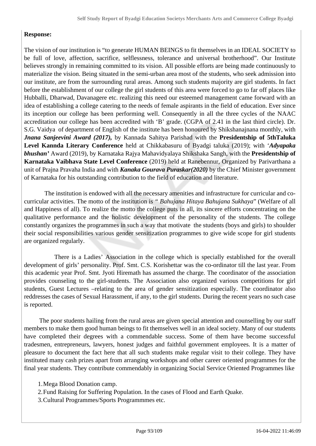## **Response:**

The vision of our institution is "to generate HUMAN BEINGS to fit themselves in an IDEAL SOCIETY to be full of love, affection, sacrifice, selflessness, tolerance and universal brotherhood". Our Institute believes strongly in remaining committed to its vision. All possible efforts are being made continuously to materialize the vision. Being situated in the semi-urban area most of the students, who seek admission into our institute, are from the surrounding rural areas. Among such students majority are girl students. In fact before the establishment of our college the girl students of this area were forced to go to far off places like Hubballi, Dharwad, Davanagere etc. realizing this need our esteemed management came forward with an idea of establishing a college catering to the needs of female aspirants in the field of education. Ever since its inception our college has been performing well. Consequently in all the three cycles of the NAAC accreditation our college has been accredited with 'B' grade. (CGPA of 2.41 in the last third circle). Dr. S.G. Vaidya of department of English of the institute has been honoured by Shikshanajnana monthly, with *Jnana Sanjeevini Award (2017),* by Kannada Sahitya Parishad with the **Presidentship of 5thTaluka Level Kannda Literary Conference** held at Chikkabasuru of Byadgi taluka (2019); with '*Adyapaka bhushan'* Award (2019), by Karnataka Rajya Mahavidyalaya Shikshaka Sangh, with the **Presidentship of Karnataka Vaibhava State Level Conference** (2019) held at Ranebennur, Organized by Parivarthana a unit of Prajna Pravaha India and with *Kanaka Gourava Puraskar(2020)* by the Chief Minister government of Karnataka for his outstanding contribution to the field of education and literature.

 The institution is endowed with all the necessary amenities and infrastructure for curricular and cocurricular activities. The motto of the institution is *" Bahujana Hitaya Bahujana Sukhaya*" (Welfare of all and Happiness of all). To realize the motto the college puts in all, its sincere efforts concentrating on the qualitative performance and the holistic development of the personality of the students. The college constantly organizes the programmes in such a way that motivate the students (boys and girls) to shoulder their social responsibilities various gender sensitization programmes to give wide scope for girl students are organized regularly.

 There is a Ladies' Association in the college which is specially established for the overall development of girls' personality. Prof. Smt. C.S. Korishettar was the co-ordinator till the last year. From this academic year Prof. Smt. Jyoti Hiremath has assumed the charge. The coordinator of the association provides counseling to the girl-students. The Association also organized various competitions for girl students, Guest Lectures –relating to the area of gender sensitization especially. The coordinator also reddresses the cases of Sexual Harassment, if any, to the girl students. During the recent years no such case is reported.

 The poor students hailing from the rural areas are given special attention and counselling by our staff members to make them good human beings to fit themselves well in an ideal society. Many of our students have completed their degrees with a commendable success. Some of them have become successful tradesmen, entrepreneurs, lawyers, honest judges and faithful government employees. It is a matter of pleasure to document the fact here that all such students make regular visit to their college. They have instituted many cash prizes apart from arranging workshops and other career oriented programmes for the final year students. They contribute commendably in organizing Social Service Oriented Programmes like

- 1.Mega Blood Donation camp.
- 2.Fund Raising for Suffering Population. In the cases of Flood and Earth Quake.
- 3.Cultural Programmes/Sports Programmmes etc.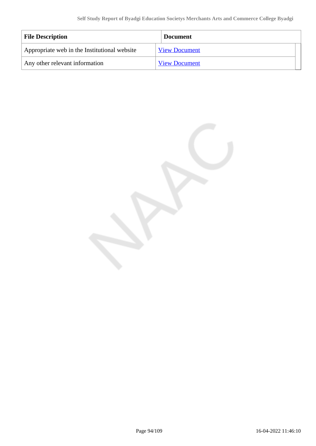| <b>File Description</b>                      | <b>Document</b>      |
|----------------------------------------------|----------------------|
| Appropriate web in the Institutional website | <b>View Document</b> |
| Any other relevant information               | <b>View Document</b> |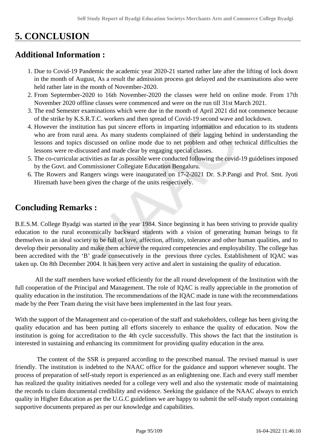# **5. CONCLUSION**

## **Additional Information :**

- 1. Due to Covid-19 Pandemic the academic year 2020-21 started rather late after the lifting of lock down in the month of August, As a result the admission process got delayed and the examinations also were held rather late in the month of November-2020.
- 2. From Septermber-2020 to 16th November-2020 the classes were held on online mode. From 17th November 2020 offline classes were commenced and were on the run till 31st March 2021.
- 3. The end Semester examinations which were due in the month of April 2021 did not commence because of the strike by K.S.R.T.C. workers and then spread of Covid-19 second wave and lockdown.
- 4. However the institution has put sincere efforts in imparting information and education to its students who are from rural area. As many students complained of their lagging behind in understanding the lessons and topics discussed on online mode due to net problem and other technical difficulties the lessons were re-discussed and made clear by engaging special classes.
- 5. The co-curricular activities as far as possible were conducted following the covid-19 guidelines imposed by the Govt. and Commissioner Collegiate Education Bengaluru.
- 6. The Rowers and Rangers wings were inaugurated on 17-2-2021 Dr. S.P.Pangi and Prof. Smt. Jyoti Hiremath have been given the charge of the units respectively.

# **Concluding Remarks :**

B.E.S.M. College Byadgi was started in the year 1984. Since beginning it has been striving to provide quality education to the rural economically backward students with a vision of generating human beings to fit themselves in an ideal society to be full of love, affection, affinity, tolerance and other human qualities, and to develop their personality and make them achieve the required competencies and employability. The college has been accredited with the 'B' grade consecutively in the previous three cycles. Establishment of IQAC was taken up. On 8th December 2004. It has been very active and alert in sustaining the quality of education.

 All the staff members have worked efficiently for the all round development of the Institution with the full cooperation of the Principal and Management. The role of IQAC is really appreciable in the promotion of quality education in the institution. The recommendations of the IQAC made in tune with the recommendations made by the Peer Team during the visit have been implemented in the last four years.

With the support of the Management and co-operation of the staff and stakeholders, college has been giving the quality education and has been putting all efforts sincerely to enhance the quality of education. Now the institution is going for accreditation to the 4th cycle successfully. This shows the fact that the institution is interested in sustaining and enhancing its commitment for providing quality education in the area.

 The content of the SSR is prepared according to the prescribed manual. The revised manual is user friendly. The institution is indebted to the NAAC office for the guidance and support whenever sought. The process of preparation of self-study report is experienced as an enlightening one. Each and every staff member has realized the quality initiatives needed for a college very well and also the systematic mode of maintaining the records to claim documental credibility and evidence. Seeking the guidance of the NAAC always to enrich quality in Higher Education as per the U.G.C guidelines we are happy to submit the self-study report containing supportive documents prepared as per our knowledge and capabilities.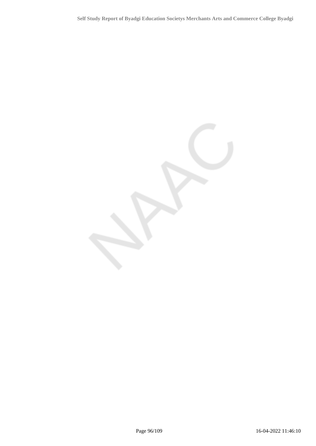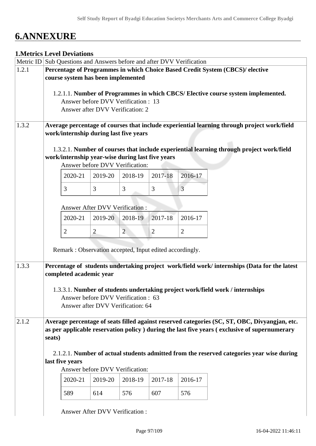# **6.ANNEXURE**

#### **1.Metrics Level Deviations**

|       | Metric ID Sub Questions and Answers before and after DVV Verification                                                                                                                                    |                                                  |                                 |                |         |                |                                                                                              |
|-------|----------------------------------------------------------------------------------------------------------------------------------------------------------------------------------------------------------|--------------------------------------------------|---------------------------------|----------------|---------|----------------|----------------------------------------------------------------------------------------------|
| 1.2.1 | Percentage of Programmes in which Choice Based Credit System (CBCS)/ elective                                                                                                                            |                                                  |                                 |                |         |                |                                                                                              |
|       | course system has been implemented                                                                                                                                                                       |                                                  |                                 |                |         |                |                                                                                              |
|       | 1.2.1.1. Number of Programmes in which CBCS/ Elective course system implemented.<br>Answer before DVV Verification : 13<br>Answer after DVV Verification: 2                                              |                                                  |                                 |                |         |                |                                                                                              |
| 1.3.2 | Average percentage of courses that include experiential learning through project work/field<br>work/internship during last five years                                                                    |                                                  |                                 |                |         |                |                                                                                              |
|       |                                                                                                                                                                                                          | work/internship year-wise during last five years | Answer before DVV Verification: |                |         |                | 1.3.2.1. Number of courses that include experiential learning through project work/field     |
|       |                                                                                                                                                                                                          | 2020-21                                          | 2019-20                         | 2018-19        | 2017-18 | 2016-17        |                                                                                              |
|       |                                                                                                                                                                                                          | 3                                                | 3                               | 3              | 3       | $\overline{3}$ |                                                                                              |
|       |                                                                                                                                                                                                          |                                                  | Answer After DVV Verification : |                |         |                |                                                                                              |
|       |                                                                                                                                                                                                          | 2020-21                                          | 2019-20                         | 2018-19        | 2017-18 | 2016-17        |                                                                                              |
|       |                                                                                                                                                                                                          | $\overline{2}$                                   | $\overline{2}$                  | $\overline{2}$ | 2       | 2              |                                                                                              |
|       | Remark : Observation accepted, Input edited accordingly.                                                                                                                                                 |                                                  |                                 |                |         |                |                                                                                              |
| 1.3.3 |                                                                                                                                                                                                          | completed academic year                          |                                 |                |         |                | Percentage of students undertaking project work/field work/ internships (Data for the latest |
|       | 1.3.3.1. Number of students undertaking project work/field work / internships<br>Answer before DVV Verification : 63<br>Answer after DVV Verification: 64                                                |                                                  |                                 |                |         |                |                                                                                              |
| 2.1.2 | Average percentage of seats filled against reserved categories (SC, ST, OBC, Divyangjan, etc.<br>as per applicable reservation policy ) during the last five years (exclusive of supernumerary<br>seats) |                                                  |                                 |                |         |                |                                                                                              |
|       | 2.1.2.1. Number of actual students admitted from the reserved categories year wise during<br>last five years<br>Answer before DVV Verification:                                                          |                                                  |                                 |                |         |                |                                                                                              |
|       |                                                                                                                                                                                                          | 2020-21                                          | 2019-20                         | 2018-19        | 2017-18 | 2016-17        |                                                                                              |
|       | 589<br>614<br>576<br>607<br>576                                                                                                                                                                          |                                                  |                                 |                |         |                |                                                                                              |
|       | <b>Answer After DVV Verification:</b>                                                                                                                                                                    |                                                  |                                 |                |         |                |                                                                                              |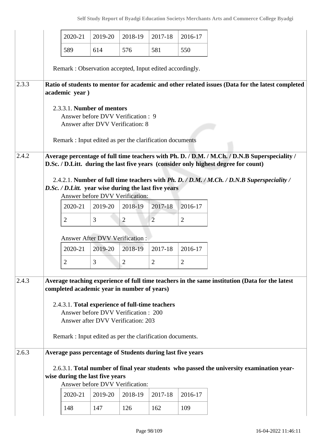|       | 2020-21                                                                                        | 2019-20                                                                   | 2018-19        | 2017-18                                                                                                                                                                                                                                          | 2016-17        |
|-------|------------------------------------------------------------------------------------------------|---------------------------------------------------------------------------|----------------|--------------------------------------------------------------------------------------------------------------------------------------------------------------------------------------------------------------------------------------------------|----------------|
|       | 589                                                                                            | 614                                                                       | 576            | 581                                                                                                                                                                                                                                              | 550            |
|       |                                                                                                |                                                                           |                | Remark: Observation accepted, Input edited accordingly.                                                                                                                                                                                          |                |
| 2.3.3 | academic year)<br>2.3.3.1. Number of mentors                                                   |                                                                           |                | Ratio of students to mentor for academic and other related issues (Data for the latest completed                                                                                                                                                 |                |
|       |                                                                                                | Answer before DVV Verification : 9<br>Answer after DVV Verification: 8    |                |                                                                                                                                                                                                                                                  |                |
| 2.4.2 |                                                                                                |                                                                           |                | Remark : Input edited as per the clarification documents<br>Average percentage of full time teachers with Ph. D. / D.M. / M.Ch. / D.N.B Superspeciality /<br>D.Sc. / D.Litt. during the last five years (consider only highest degree for count) |                |
|       |                                                                                                | Answer before DVV Verification:                                           |                | 2.4.2.1. Number of full time teachers with <i>Ph. D. / D.M. / M.Ch. / D.N.B Superspeciality</i> /<br>D.Sc. / D.Litt. year wise during the last five years                                                                                        |                |
|       | 2020-21                                                                                        | 2019-20                                                                   | 2018-19        | 2017-18                                                                                                                                                                                                                                          | 2016-17        |
|       | 2                                                                                              | 3                                                                         | $\overline{2}$ | $\overline{2}$                                                                                                                                                                                                                                   | $\overline{2}$ |
|       |                                                                                                | <b>Answer After DVV Verification:</b>                                     |                |                                                                                                                                                                                                                                                  |                |
|       | 2020-21                                                                                        | 2019-20                                                                   | 2018-19        | 2017-18                                                                                                                                                                                                                                          | 2016-17        |
|       | $\overline{2}$                                                                                 | 3                                                                         | $\overline{c}$ | 2                                                                                                                                                                                                                                                | $\overline{2}$ |
| 2.4.3 | completed academic year in number of years)<br>2.4.3.1. Total experience of full-time teachers | Answer before DVV Verification: 200<br>Answer after DVV Verification: 203 |                | Average teaching experience of full time teachers in the same institution (Data for the latest                                                                                                                                                   |                |
| 2.6.3 |                                                                                                |                                                                           |                | Remark : Input edited as per the clarification documents.                                                                                                                                                                                        |                |
|       | wise during the last five years                                                                | Answer before DVV Verification:                                           |                | Average pass percentage of Students during last five years<br>2.6.3.1. Total number of final year students who passed the university examination year-                                                                                           |                |
|       | 2020-21                                                                                        | 2019-20                                                                   | 2018-19        | 2017-18                                                                                                                                                                                                                                          | 2016-17        |
|       | 148                                                                                            | 147                                                                       | 126            | 162                                                                                                                                                                                                                                              | 109            |
|       |                                                                                                |                                                                           |                |                                                                                                                                                                                                                                                  |                |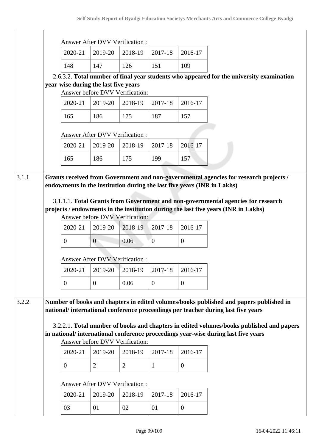|       |                                      | <b>Answer After DVV Verification:</b>     |                |                |                |                                                                                                                                                                            |
|-------|--------------------------------------|-------------------------------------------|----------------|----------------|----------------|----------------------------------------------------------------------------------------------------------------------------------------------------------------------------|
|       | 2020-21                              | 2019-20                                   | 2018-19        | 2017-18        | 2016-17        |                                                                                                                                                                            |
|       | 148                                  | 147                                       | 126            | 151            | 109            |                                                                                                                                                                            |
|       | year-wise during the last five years |                                           |                |                |                | 2.6.3.2. Total number of final year students who appeared for the university examination                                                                                   |
|       |                                      | Answer before DVV Verification:           |                |                |                |                                                                                                                                                                            |
|       | 2020-21                              | 2019-20                                   | 2018-19        | 2017-18        | 2016-17        |                                                                                                                                                                            |
|       | 165                                  | 186                                       | 175            | 187            | 157            |                                                                                                                                                                            |
|       |                                      | <b>Answer After DVV Verification:</b>     |                |                |                |                                                                                                                                                                            |
|       | 2020-21                              | 2019-20                                   | 2018-19        | 2017-18        | 2016-17        |                                                                                                                                                                            |
|       | 165                                  | 186                                       | 175            | 199            | 157            |                                                                                                                                                                            |
|       |                                      |                                           |                |                |                |                                                                                                                                                                            |
| 3.1.1 |                                      |                                           |                |                |                | Grants received from Government and non-governmental agencies for research projects /<br>endowments in the institution during the last five years (INR in Lakhs)           |
|       |                                      |                                           |                |                |                |                                                                                                                                                                            |
|       |                                      |                                           |                |                |                | 3.1.1.1. Total Grants from Government and non-governmental agencies for research                                                                                           |
|       |                                      | Answer before DVV Verification:           |                |                |                | projects / endowments in the institution during the last five years (INR in Lakhs)                                                                                         |
|       | 2020-21                              | 2019-20                                   | 2018-19        | 2017-18        | 2016-17        |                                                                                                                                                                            |
|       | $\mathbf{0}$                         | $\overline{0}$                            | 0.06           | $\overline{0}$ | $\overline{0}$ |                                                                                                                                                                            |
|       |                                      | Answer After DVV Verification:            |                |                |                |                                                                                                                                                                            |
|       | 2020-21                              | 2019-20                                   | 2018-19        | 2017-18        | 2016-17        |                                                                                                                                                                            |
|       | $\overline{0}$                       | $\boldsymbol{0}$                          | 0.06           | $\mathbf{0}$   | $\overline{0}$ |                                                                                                                                                                            |
|       |                                      |                                           |                |                |                |                                                                                                                                                                            |
| 3.2.2 |                                      |                                           |                |                |                | Number of books and chapters in edited volumes/books published and papers published in<br>national/international conference proceedings per teacher during last five years |
|       |                                      |                                           |                |                |                |                                                                                                                                                                            |
|       |                                      |                                           |                |                |                | 3.2.2.1. Total number of books and chapters in edited volumes/books published and papers                                                                                   |
|       |                                      | Answer before DVV Verification:           |                |                |                | in national/international conference proceedings year-wise during last five years                                                                                          |
|       | 2020-21                              | 2019-20                                   | 2018-19        | 2017-18        | 2016-17        |                                                                                                                                                                            |
|       | $\overline{0}$                       | $\overline{2}$                            | $\overline{2}$ | $\mathbf{1}$   | $\overline{0}$ |                                                                                                                                                                            |
|       |                                      |                                           |                |                |                |                                                                                                                                                                            |
|       | 2020-21                              | Answer After DVV Verification:<br>2019-20 | 2018-19        | 2017-18        | 2016-17        |                                                                                                                                                                            |
|       | 03                                   | 01                                        | 02             | 01             | $\overline{0}$ |                                                                                                                                                                            |
|       |                                      |                                           |                |                |                |                                                                                                                                                                            |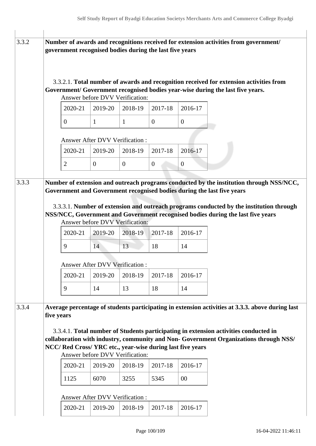| 3.3.2 |            | government recognised bodies during the last five years |                                           |                                 |              |                                                            | Number of awards and recognitions received for extension activities from government/                                                                                       |
|-------|------------|---------------------------------------------------------|-------------------------------------------|---------------------------------|--------------|------------------------------------------------------------|----------------------------------------------------------------------------------------------------------------------------------------------------------------------------|
|       |            |                                                         |                                           | Answer before DVV Verification: |              |                                                            | 3.3.2.1. Total number of awards and recognition received for extension activities from<br>Government/ Government recognised bodies year-wise during the last five years.   |
|       |            | 2020-21                                                 | 2019-20                                   | 2018-19                         | 2017-18      | 2016-17                                                    |                                                                                                                                                                            |
|       |            | $\overline{0}$                                          | $\mathbf{1}$                              | 1                               | $\mathbf{0}$ | $\overline{0}$                                             |                                                                                                                                                                            |
|       |            |                                                         |                                           |                                 |              |                                                            |                                                                                                                                                                            |
|       |            | 2020-21                                                 | Answer After DVV Verification:<br>2019-20 | 2018-19                         | 2017-18      | 2016-17                                                    |                                                                                                                                                                            |
|       |            | $\overline{2}$                                          | $\mathbf{0}$                              | $\mathbf{0}$                    | $\mathbf{0}$ | $\overline{0}$                                             |                                                                                                                                                                            |
|       |            |                                                         |                                           |                                 |              |                                                            |                                                                                                                                                                            |
| 3.3.3 |            |                                                         |                                           |                                 |              |                                                            | Number of extension and outreach programs conducted by the institution through NSS/NCC,<br>Government and Government recognised bodies during the last five years          |
|       |            |                                                         |                                           |                                 |              |                                                            |                                                                                                                                                                            |
|       |            |                                                         |                                           |                                 |              |                                                            | 3.3.3.1. Number of extension and outreach programs conducted by the institution through<br>NSS/NCC, Government and Government recognised bodies during the last five years |
|       |            |                                                         |                                           | Answer before DVV Verification: |              |                                                            |                                                                                                                                                                            |
|       |            | 2020-21                                                 | 2019-20                                   | 2018-19                         | 2017-18      | 2016-17                                                    |                                                                                                                                                                            |
|       |            | 9                                                       | 14                                        | 13                              | 18           | 14                                                         |                                                                                                                                                                            |
|       |            |                                                         | Answer After DVV Verification :           |                                 |              |                                                            |                                                                                                                                                                            |
|       |            | 2020-21                                                 | 2019-20                                   | 2018-19                         | 2017-18      | 2016-17                                                    |                                                                                                                                                                            |
|       |            | 9                                                       | 14                                        | 13                              | 18           | 14                                                         |                                                                                                                                                                            |
| 3.3.4 |            |                                                         |                                           |                                 |              |                                                            | Average percentage of students participating in extension activities at 3.3.3. above during last                                                                           |
|       | five years |                                                         |                                           |                                 |              |                                                            |                                                                                                                                                                            |
|       |            |                                                         |                                           |                                 |              |                                                            | 3.3.4.1. Total number of Students participating in extension activities conducted in                                                                                       |
|       |            |                                                         |                                           |                                 |              |                                                            | collaboration with industry, community and Non- Government Organizations through NSS/                                                                                      |
|       |            |                                                         |                                           | Answer before DVV Verification: |              | NCC/ Red Cross/ YRC etc., year-wise during last five years |                                                                                                                                                                            |
|       |            | 2020-21                                                 | 2019-20                                   | 2018-19                         | 2017-18      | 2016-17                                                    |                                                                                                                                                                            |
|       |            | 1125                                                    | 6070                                      | 3255                            | 5345         | 00                                                         |                                                                                                                                                                            |
|       |            |                                                         |                                           |                                 |              |                                                            |                                                                                                                                                                            |
|       |            |                                                         | Answer After DVV Verification:            |                                 |              |                                                            |                                                                                                                                                                            |
|       |            | 2020-21                                                 | 2019-20                                   | 2018-19                         | 2017-18      | 2016-17                                                    |                                                                                                                                                                            |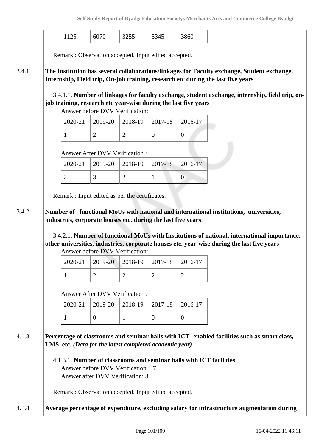|       | 1125                                                                                                                                                                                                                                                                                                                                                  | 6070                                                                   | 3255           | 5345           | 3860           |
|-------|-------------------------------------------------------------------------------------------------------------------------------------------------------------------------------------------------------------------------------------------------------------------------------------------------------------------------------------------------------|------------------------------------------------------------------------|----------------|----------------|----------------|
|       | Remark: Observation accepted, Input edited accepted.                                                                                                                                                                                                                                                                                                  |                                                                        |                |                |                |
| 3.4.1 | The Institution has several collaborations/linkages for Faculty exchange, Student exchange,<br>Internship, Field trip, On-job training, research etc during the last five years<br>3.4.1.1. Number of linkages for faculty exchange, student exchange, internship, field trip, on-<br>job training, research etc year-wise during the last five years |                                                                        |                |                |                |
|       |                                                                                                                                                                                                                                                                                                                                                       | Answer before DVV Verification:                                        |                |                |                |
|       | 2020-21                                                                                                                                                                                                                                                                                                                                               | 2019-20                                                                | 2018-19        | 2017-18        | 2016-17        |
|       | 1                                                                                                                                                                                                                                                                                                                                                     | $\overline{2}$                                                         | $\overline{2}$ | $\theta$       | $\overline{0}$ |
|       |                                                                                                                                                                                                                                                                                                                                                       | <b>Answer After DVV Verification:</b>                                  |                |                |                |
|       | 2020-21                                                                                                                                                                                                                                                                                                                                               | 2019-20                                                                | 2018-19        | 2017-18        | 2016-17        |
|       | $\overline{2}$                                                                                                                                                                                                                                                                                                                                        | 3                                                                      | 2              | 1              | $\overline{0}$ |
|       |                                                                                                                                                                                                                                                                                                                                                       |                                                                        |                |                |                |
|       | 3.4.2.1. Number of functional MoUs with Institutions of national, international importance,<br>other universities, industries, corporate houses etc. year-wise during the last five years                                                                                                                                                             | Answer before DVV Verification:                                        |                |                |                |
|       | 2020-21                                                                                                                                                                                                                                                                                                                                               | 2019-20                                                                | 2018-19        | 2017-18        | 2016-17        |
|       | 1                                                                                                                                                                                                                                                                                                                                                     | 2                                                                      | 2              | 2              | $\overline{2}$ |
|       |                                                                                                                                                                                                                                                                                                                                                       | <b>Answer After DVV Verification:</b>                                  |                |                |                |
|       | 2020-21                                                                                                                                                                                                                                                                                                                                               | 2019-20                                                                | 2018-19        | 2017-18        | 2016-17        |
|       | 1                                                                                                                                                                                                                                                                                                                                                     | $\overline{0}$                                                         | $\mathbf{1}$   | $\overline{0}$ | $\overline{0}$ |
| 4.1.3 | Percentage of classrooms and seminar halls with ICT- enabled facilities such as smart class,<br>LMS, etc. (Data for the latest completed academic year)<br>4.1.3.1. Number of classrooms and seminar halls with ICT facilities<br>Remark: Observation accepted, Input edited accepted.                                                                | Answer before DVV Verification : 7<br>Answer after DVV Verification: 3 |                |                |                |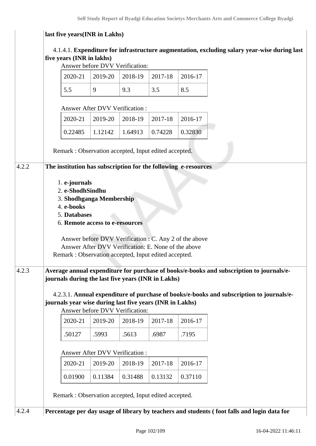## **last five years(INR in Lakhs)**

## 4.1.4.1. **Expenditure for infrastructure augmentation, excluding salary year-wise during last five years (INR in lakhs)**

## or before DVV Verification:

|       |                            | Answer before DVV Verification:                          |         |         |                                                                                             |  |                                                                                          |
|-------|----------------------------|----------------------------------------------------------|---------|---------|---------------------------------------------------------------------------------------------|--|------------------------------------------------------------------------------------------|
|       | 2020-21                    | 2019-20                                                  | 2018-19 | 2017-18 | 2016-17                                                                                     |  |                                                                                          |
|       | 5.5                        | 9                                                        | 9.3     | 3.5     | 8.5                                                                                         |  |                                                                                          |
|       |                            | Answer After DVV Verification :                          |         |         |                                                                                             |  |                                                                                          |
|       | 2020-21                    | 2019-20                                                  | 2018-19 | 2017-18 | 2016-17                                                                                     |  |                                                                                          |
|       | 0.22485                    | 1.12142                                                  | 1.64913 | 0.74228 | 0.32830                                                                                     |  |                                                                                          |
|       |                            | Remark: Observation accepted, Input edited accepted.     |         |         |                                                                                             |  |                                                                                          |
| 4.2.2 |                            |                                                          |         |         | The institution has subscription for the following e-resources                              |  |                                                                                          |
|       | 1. e-journals              |                                                          |         |         |                                                                                             |  |                                                                                          |
|       | 2. e-ShodhSindhu           |                                                          |         |         |                                                                                             |  |                                                                                          |
|       |                            | 3. Shodhganga Membership                                 |         |         |                                                                                             |  |                                                                                          |
|       | 4. e-books<br>5. Databases |                                                          |         |         |                                                                                             |  |                                                                                          |
|       |                            | 6. Remote access to e-resources                          |         |         |                                                                                             |  |                                                                                          |
|       |                            |                                                          |         |         |                                                                                             |  |                                                                                          |
|       |                            | Answer After DVV Verification: E. None of the above      |         |         | Answer before DVV Verification : C. Any 2 of the above                                      |  |                                                                                          |
|       |                            | Remark : Observation accepted, Input edited accepted.    |         |         |                                                                                             |  |                                                                                          |
|       |                            |                                                          |         |         |                                                                                             |  |                                                                                          |
| 4.2.3 |                            |                                                          |         |         | Average annual expenditure for purchase of books/e-books and subscription to journals/e-    |  |                                                                                          |
|       |                            | journals during the last five years (INR in Lakhs)       |         |         |                                                                                             |  |                                                                                          |
|       |                            |                                                          |         |         |                                                                                             |  | 4.2.3.1. Annual expenditure of purchase of books/e-books and subscription to journals/e- |
|       |                            | journals year wise during last five years (INR in Lakhs) |         |         |                                                                                             |  |                                                                                          |
|       |                            | Answer before DVV Verification:                          |         |         |                                                                                             |  |                                                                                          |
|       | 2020-21                    | 2019-20                                                  | 2018-19 | 2017-18 | 2016-17                                                                                     |  |                                                                                          |
|       | .50127                     | .5993                                                    | .5613   | .6987   | .7195                                                                                       |  |                                                                                          |
|       |                            | Answer After DVV Verification:                           |         |         |                                                                                             |  |                                                                                          |
|       | 2020-21                    | 2019-20                                                  | 2018-19 | 2017-18 | 2016-17                                                                                     |  |                                                                                          |
|       | 0.01900                    | 0.11384                                                  | 0.31488 | 0.13132 | 0.37110                                                                                     |  |                                                                                          |
|       |                            |                                                          |         |         |                                                                                             |  |                                                                                          |
|       |                            | Remark: Observation accepted, Input edited accepted.     |         |         |                                                                                             |  |                                                                                          |
| 4.2.4 |                            |                                                          |         |         | Percentage per day usage of library by teachers and students (foot falls and login data for |  |                                                                                          |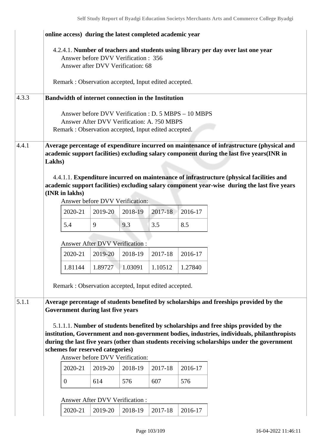|       |        | online access) during the latest completed academic year   |                                                                                                    |         |         |         |                                                                                                                                                                                                                                                                                                                                                                                   |
|-------|--------|------------------------------------------------------------|----------------------------------------------------------------------------------------------------|---------|---------|---------|-----------------------------------------------------------------------------------------------------------------------------------------------------------------------------------------------------------------------------------------------------------------------------------------------------------------------------------------------------------------------------------|
|       |        |                                                            | Answer before DVV Verification : 356<br>Answer after DVV Verification: 68                          |         |         |         | 4.2.4.1. Number of teachers and students using library per day over last one year                                                                                                                                                                                                                                                                                                 |
|       |        | Remark: Observation accepted, Input edited accepted.       |                                                                                                    |         |         |         |                                                                                                                                                                                                                                                                                                                                                                                   |
| 4.3.3 |        | <b>Bandwidth of internet connection in the Institution</b> |                                                                                                    |         |         |         |                                                                                                                                                                                                                                                                                                                                                                                   |
|       |        | Remark: Observation accepted, Input edited accepted.       | Answer before DVV Verification : D. 5 MBPS – 10 MBPS<br>Answer After DVV Verification: A. 250 MBPS |         |         |         |                                                                                                                                                                                                                                                                                                                                                                                   |
| 4.4.1 | Lakhs) | (INR in lakhs)                                             |                                                                                                    |         |         |         | Average percentage of expenditure incurred on maintenance of infrastructure (physical and<br>academic support facilities) excluding salary component during the last five years(INR in<br>4.4.1.1. Expenditure incurred on maintenance of infrastructure (physical facilities and<br>academic support facilities) excluding salary component year-wise during the last five years |
|       |        |                                                            | Answer before DVV Verification:                                                                    |         |         |         |                                                                                                                                                                                                                                                                                                                                                                                   |
|       |        | 2020-21                                                    | 2019-20                                                                                            | 2018-19 | 2017-18 | 2016-17 |                                                                                                                                                                                                                                                                                                                                                                                   |
|       |        | 5.4                                                        | 9                                                                                                  | 9.3     | 3.5     | 8.5     |                                                                                                                                                                                                                                                                                                                                                                                   |
|       |        |                                                            | <b>Answer After DVV Verification:</b>                                                              |         |         |         |                                                                                                                                                                                                                                                                                                                                                                                   |
|       |        | 2020-21                                                    | 2019-20                                                                                            | 2018-19 | 2017-18 | 2016-17 |                                                                                                                                                                                                                                                                                                                                                                                   |
|       |        | 1.81144                                                    | 1.89727                                                                                            | 1.03091 | 1.10512 | 1.27840 |                                                                                                                                                                                                                                                                                                                                                                                   |
|       |        | Remark: Observation accepted, Input edited accepted.       |                                                                                                    |         |         |         |                                                                                                                                                                                                                                                                                                                                                                                   |
| 5.1.1 |        | Government during last five years                          |                                                                                                    |         |         |         | Average percentage of students benefited by scholarships and freeships provided by the                                                                                                                                                                                                                                                                                            |
|       |        | schemes for reserved categories)                           |                                                                                                    |         |         |         | 5.1.1.1. Number of students benefited by scholarships and free ships provided by the<br>institution, Government and non-government bodies, industries, individuals, philanthropists<br>during the last five years (other than students receiving scholarships under the government                                                                                                |
|       |        |                                                            | Answer before DVV Verification:                                                                    |         |         |         |                                                                                                                                                                                                                                                                                                                                                                                   |
|       |        | 2020-21                                                    | 2019-20                                                                                            | 2018-19 | 2017-18 | 2016-17 |                                                                                                                                                                                                                                                                                                                                                                                   |
|       |        | $\mathbf{0}$                                               | 614                                                                                                | 576     | 607     | 576     |                                                                                                                                                                                                                                                                                                                                                                                   |
|       |        |                                                            | Answer After DVV Verification:                                                                     |         |         |         |                                                                                                                                                                                                                                                                                                                                                                                   |
|       |        | 2020-21                                                    | 2019-20                                                                                            | 2018-19 | 2017-18 | 2016-17 |                                                                                                                                                                                                                                                                                                                                                                                   |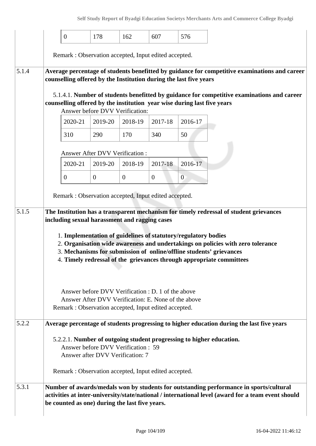|       | $\boldsymbol{0}$                                                                                                | 178                                                                     | 162            | 607                                                                                                       | 576            |                                                                                                                                                                                                                                                                                                                          |
|-------|-----------------------------------------------------------------------------------------------------------------|-------------------------------------------------------------------------|----------------|-----------------------------------------------------------------------------------------------------------|----------------|--------------------------------------------------------------------------------------------------------------------------------------------------------------------------------------------------------------------------------------------------------------------------------------------------------------------------|
|       | Remark : Observation accepted, Input edited accepted.                                                           |                                                                         |                |                                                                                                           |                |                                                                                                                                                                                                                                                                                                                          |
| 5.1.4 | counselling offered by the Institution during the last five years                                               |                                                                         |                |                                                                                                           |                | Average percentage of students benefitted by guidance for competitive examinations and career<br>5.1.4.1. Number of students benefitted by guidance for competitive examinations and career                                                                                                                              |
|       | counselling offered by the institution year wise during last five years                                         | Answer before DVV Verification:                                         |                |                                                                                                           |                |                                                                                                                                                                                                                                                                                                                          |
|       | 2020-21                                                                                                         | 2019-20                                                                 | 2018-19        | 2017-18                                                                                                   | 2016-17        |                                                                                                                                                                                                                                                                                                                          |
|       | 310                                                                                                             | 290                                                                     | 170            | 340                                                                                                       | 50             |                                                                                                                                                                                                                                                                                                                          |
|       |                                                                                                                 | <b>Answer After DVV Verification:</b>                                   |                |                                                                                                           |                |                                                                                                                                                                                                                                                                                                                          |
|       | 2020-21                                                                                                         | 2019-20                                                                 | 2018-19        | 2017-18                                                                                                   | 2016-17        |                                                                                                                                                                                                                                                                                                                          |
|       | $\theta$                                                                                                        | $\overline{0}$                                                          | $\overline{0}$ | $\overline{0}$                                                                                            | $\overline{0}$ |                                                                                                                                                                                                                                                                                                                          |
|       | Remark: Observation accepted, Input edited accepted.                                                            |                                                                         |                |                                                                                                           |                |                                                                                                                                                                                                                                                                                                                          |
| 5.1.5 | including sexual harassment and ragging cases<br>1. Implementation of guidelines of statutory/regulatory bodies |                                                                         |                |                                                                                                           |                | The Institution has a transparent mechanism for timely redressal of student grievances<br>2. Organisation wide awareness and undertakings on policies with zero tolerance<br>3. Mechanisms for submission of online/offline students' grievances<br>4. Timely redressal of the grievances through appropriate committees |
|       | Remark: Observation accepted, Input edited accepted.                                                            |                                                                         |                | Answer before DVV Verification : D. 1 of the above<br>Answer After DVV Verification: E. None of the above |                |                                                                                                                                                                                                                                                                                                                          |
| 5.2.2 |                                                                                                                 |                                                                         |                |                                                                                                           |                | Average percentage of students progressing to higher education during the last five years                                                                                                                                                                                                                                |
|       | 5.2.2.1. Number of outgoing student progressing to higher education.                                            | Answer before DVV Verification : 59<br>Answer after DVV Verification: 7 |                |                                                                                                           |                |                                                                                                                                                                                                                                                                                                                          |
|       | Remark: Observation accepted, Input edited accepted.                                                            |                                                                         |                |                                                                                                           |                |                                                                                                                                                                                                                                                                                                                          |
| 5.3.1 | be counted as one) during the last five years.                                                                  |                                                                         |                |                                                                                                           |                | Number of awards/medals won by students for outstanding performance in sports/cultural<br>activities at inter-university/state/national / international level (award for a team event should                                                                                                                             |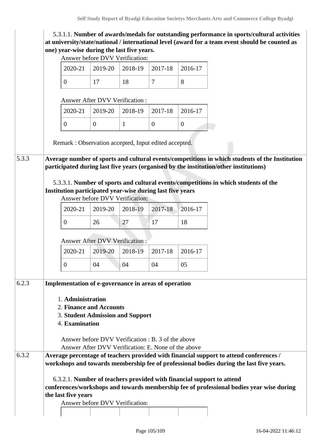|       |                                                                       |                                       |              |                                                     |                | 5.3.1.1. Number of awards/medals for outstanding performance in sports/cultural activities                                                                                              |  |
|-------|-----------------------------------------------------------------------|---------------------------------------|--------------|-----------------------------------------------------|----------------|-----------------------------------------------------------------------------------------------------------------------------------------------------------------------------------------|--|
|       | one) year-wise during the last five years.                            |                                       |              |                                                     |                | at university/state/national / international level (award for a team event should be counted as                                                                                         |  |
|       |                                                                       | Answer before DVV Verification:       |              |                                                     |                |                                                                                                                                                                                         |  |
|       | 2020-21                                                               | 2019-20                               | 2018-19      | 2017-18                                             | 2016-17        |                                                                                                                                                                                         |  |
|       | $\boldsymbol{0}$                                                      | 17                                    | 18           | $\overline{7}$                                      | 8              |                                                                                                                                                                                         |  |
|       |                                                                       | Answer After DVV Verification :       |              |                                                     |                |                                                                                                                                                                                         |  |
|       | 2020-21                                                               | 2019-20                               | 2018-19      | 2017-18                                             | 2016-17        |                                                                                                                                                                                         |  |
|       | $\overline{0}$                                                        | $\overline{0}$                        | $\mathbf{1}$ | $\overline{0}$                                      | $\overline{0}$ |                                                                                                                                                                                         |  |
|       | Remark: Observation accepted, Input edited accepted.                  |                                       |              |                                                     |                |                                                                                                                                                                                         |  |
| 5.3.3 |                                                                       |                                       |              |                                                     |                | Average number of sports and cultural events/competitions in which students of the Institution<br>participated during last five years (organised by the institution/other institutions) |  |
|       |                                                                       |                                       |              |                                                     |                |                                                                                                                                                                                         |  |
|       |                                                                       |                                       |              |                                                     |                | 5.3.3.1. Number of sports and cultural events/competitions in which students of the                                                                                                     |  |
|       | Institution participated year-wise during last five years             |                                       |              |                                                     |                |                                                                                                                                                                                         |  |
|       |                                                                       | Answer before DVV Verification:       |              |                                                     |                |                                                                                                                                                                                         |  |
|       | 2020-21                                                               | 2019-20                               | 2018-19      | 2017-18                                             | 2016-17        |                                                                                                                                                                                         |  |
|       | $\overline{0}$                                                        | 26                                    | 27           | 17                                                  | 18             |                                                                                                                                                                                         |  |
|       |                                                                       | <b>Answer After DVV Verification:</b> |              |                                                     |                |                                                                                                                                                                                         |  |
|       | 2020-21                                                               | 2019-20                               | 2018-19      | 2017-18                                             | 2016-17        |                                                                                                                                                                                         |  |
|       | $\overline{0}$                                                        | 04                                    | 04           | 04                                                  | 05             |                                                                                                                                                                                         |  |
| 6.2.3 | Implementation of e-governance in areas of operation                  |                                       |              |                                                     |                |                                                                                                                                                                                         |  |
|       | 1. Administration                                                     |                                       |              |                                                     |                |                                                                                                                                                                                         |  |
|       | 2. Finance and Accounts                                               |                                       |              |                                                     |                |                                                                                                                                                                                         |  |
|       | <b>3. Student Admission and Support</b>                               |                                       |              |                                                     |                |                                                                                                                                                                                         |  |
|       | 4. Examination                                                        |                                       |              |                                                     |                |                                                                                                                                                                                         |  |
|       |                                                                       |                                       |              | Answer before DVV Verification : B. 3 of the above  |                |                                                                                                                                                                                         |  |
|       |                                                                       |                                       |              | Answer After DVV Verification: E. None of the above |                |                                                                                                                                                                                         |  |
| 6.3.2 |                                                                       |                                       |              |                                                     |                | Average percentage of teachers provided with financial support to attend conferences /<br>workshops and towards membership fee of professional bodies during the last five years.       |  |
|       | 6.3.2.1. Number of teachers provided with financial support to attend |                                       |              |                                                     |                |                                                                                                                                                                                         |  |
|       |                                                                       |                                       |              |                                                     |                | conferences/workshops and towards membership fee of professional bodies year wise during                                                                                                |  |
|       | the last five years                                                   |                                       |              |                                                     |                |                                                                                                                                                                                         |  |
|       |                                                                       | Answer before DVV Verification:       |              |                                                     |                |                                                                                                                                                                                         |  |
|       |                                                                       |                                       |              |                                                     |                |                                                                                                                                                                                         |  |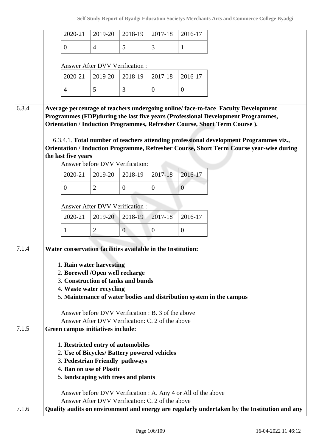**Self Study Report of Byadgi Education Societys Merchants Arts and Commerce College Byadgi**

|       | 2020-21                                                                                                                                                                                                                  | 2019-20                               | 2018-19          | 2017-18                                          | 2016-17                                                       |                                                                                                                                                                                                                                                                                                                                                                                                                                         |
|-------|--------------------------------------------------------------------------------------------------------------------------------------------------------------------------------------------------------------------------|---------------------------------------|------------------|--------------------------------------------------|---------------------------------------------------------------|-----------------------------------------------------------------------------------------------------------------------------------------------------------------------------------------------------------------------------------------------------------------------------------------------------------------------------------------------------------------------------------------------------------------------------------------|
|       | $\overline{0}$                                                                                                                                                                                                           | $\overline{4}$                        | 5                | 3                                                | $\mathbf{1}$                                                  |                                                                                                                                                                                                                                                                                                                                                                                                                                         |
|       |                                                                                                                                                                                                                          |                                       |                  |                                                  |                                                               |                                                                                                                                                                                                                                                                                                                                                                                                                                         |
|       |                                                                                                                                                                                                                          | <b>Answer After DVV Verification:</b> |                  |                                                  |                                                               |                                                                                                                                                                                                                                                                                                                                                                                                                                         |
|       | 2020-21                                                                                                                                                                                                                  | 2019-20                               | 2018-19          | 2017-18                                          | 2016-17                                                       |                                                                                                                                                                                                                                                                                                                                                                                                                                         |
|       | $\overline{4}$                                                                                                                                                                                                           | $\mathfrak{S}$                        | 3                | $\overline{0}$                                   | $\overline{0}$                                                |                                                                                                                                                                                                                                                                                                                                                                                                                                         |
| 6.3.4 | the last five years                                                                                                                                                                                                      | Answer before DVV Verification:       |                  |                                                  |                                                               | Average percentage of teachers undergoing online/face-to-face Faculty Development<br>Programmes (FDP) during the last five years (Professional Development Programmes,<br>Orientation / Induction Programmes, Refresher Course, Short Term Course).<br>6.3.4.1. Total number of teachers attending professional development Programmes viz.,<br>Orientation / Induction Programme, Refresher Course, Short Term Course year-wise during |
|       | 2020-21                                                                                                                                                                                                                  | 2019-20                               | 2018-19          | 2017-18                                          | 2016-17                                                       |                                                                                                                                                                                                                                                                                                                                                                                                                                         |
|       | $\overline{0}$                                                                                                                                                                                                           | 2                                     | $\boldsymbol{0}$ | $\overline{0}$                                   | $\overline{0}$                                                |                                                                                                                                                                                                                                                                                                                                                                                                                                         |
|       |                                                                                                                                                                                                                          |                                       |                  |                                                  |                                                               |                                                                                                                                                                                                                                                                                                                                                                                                                                         |
|       |                                                                                                                                                                                                                          | <b>Answer After DVV Verification:</b> |                  |                                                  |                                                               |                                                                                                                                                                                                                                                                                                                                                                                                                                         |
|       | 2020-21                                                                                                                                                                                                                  | 2019-20                               | 2018-19          | 2017-18                                          | 2016-17                                                       |                                                                                                                                                                                                                                                                                                                                                                                                                                         |
|       | $\mathbf{1}$                                                                                                                                                                                                             | $\overline{2}$                        | $\overline{0}$   | $\overline{0}$                                   | $\overline{0}$                                                |                                                                                                                                                                                                                                                                                                                                                                                                                                         |
| 7.1.4 | Water conservation facilities available in the Institution:                                                                                                                                                              |                                       |                  |                                                  |                                                               |                                                                                                                                                                                                                                                                                                                                                                                                                                         |
| 7.1.5 | 1. Rain water harvesting<br>2. Borewell /Open well recharge<br>3. Construction of tanks and bunds<br>4. Waste water recycling<br>Answer before DVV Verification : B. 3 of the above<br>Green campus initiatives include: |                                       |                  | Answer After DVV Verification: C. 2 of the above |                                                               | 5. Maintenance of water bodies and distribution system in the campus                                                                                                                                                                                                                                                                                                                                                                    |
|       | 1. Restricted entry of automobiles<br>2. Use of Bicycles/ Battery powered vehicles<br>3. Pedestrian Friendly pathways<br>4. Ban on use of Plastic<br>5. landscaping with trees and plants                                |                                       |                  |                                                  | Answer before DVV Verification : A. Any 4 or All of the above |                                                                                                                                                                                                                                                                                                                                                                                                                                         |
| 7.1.6 |                                                                                                                                                                                                                          |                                       |                  | Answer After DVV Verification: C. 2 of the above |                                                               | Quality audits on environment and energy are regularly undertaken by the Institution and any                                                                                                                                                                                                                                                                                                                                            |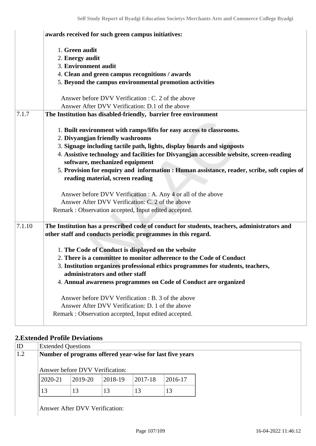|        | awards received for such green campus initiatives:                                          |
|--------|---------------------------------------------------------------------------------------------|
|        | 1. Green audit                                                                              |
|        | 2. Energy audit                                                                             |
|        | 3. Environment audit                                                                        |
|        | 4. Clean and green campus recognitions / awards                                             |
|        | 5. Beyond the campus environmental promotion activities                                     |
|        | Answer before DVV Verification : C. 2 of the above                                          |
|        | Answer After DVV Verification: D.1 of the above                                             |
| 7.1.7  | The Institution has disabled-friendly, barrier free environment                             |
|        | 1. Built environment with ramps/lifts for easy access to classrooms.                        |
|        | 2. Divyangjan friendly washrooms                                                            |
|        | 3. Signage including tactile path, lights, display boards and signposts                     |
|        | 4. Assistive technology and facilities for Divyangjan accessible website, screen-reading    |
|        | software, mechanized equipment                                                              |
|        | 5. Provision for enquiry and information : Human assistance, reader, scribe, soft copies of |
|        | reading material, screen reading                                                            |
|        | Answer before DVV Verification : A. Any 4 or all of the above                               |
|        | Answer After DVV Verification: C. 2 of the above                                            |
|        | Remark : Observation accepted, Input edited accepted.                                       |
| 7.1.10 | The Institution has a prescribed code of conduct for students, teachers, administrators and |
|        | other staff and conducts periodic programmes in this regard.                                |
|        | 1. The Code of Conduct is displayed on the website                                          |
|        | 2. There is a committee to monitor adherence to the Code of Conduct                         |
|        | 3. Institution organizes professional ethics programmes for students, teachers,             |
|        | administrators and other staff                                                              |
|        | 4. Annual awareness programmes on Code of Conduct are organized                             |
|        | Answer before DVV Verification : B. 3 of the above                                          |
|        | Answer After DVV Verification: D. 1 of the above                                            |
|        | Remark: Observation accepted, Input edited accepted.                                        |
|        |                                                                                             |

## **2.Extended Profile Deviations**

| ID  | <b>Extended Questions</b> |                                                          |         |             |         |
|-----|---------------------------|----------------------------------------------------------|---------|-------------|---------|
| 1.2 |                           | Number of programs offered year-wise for last five years |         |             |         |
|     |                           | Answer before DVV Verification:                          |         |             |         |
|     | $ 2020-21$                | 2019-20                                                  | 2018-19 | $ 2017-18 $ | 2016-17 |
|     | 13                        | 13                                                       | 13      | 13          | 13      |

Answer After DVV Verification: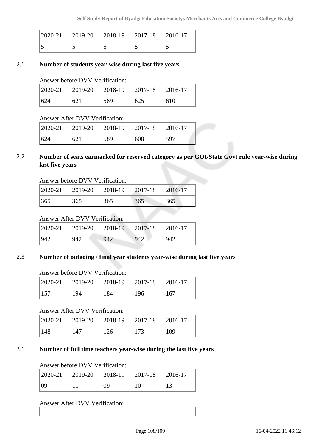|     | 2020-21         | 2019-20                                                                                     | 2018-19 | 2017-18 | 2016-17 |  |  |  |  |  |  |  |
|-----|-----------------|---------------------------------------------------------------------------------------------|---------|---------|---------|--|--|--|--|--|--|--|
|     | 5               | 5                                                                                           | 5       | 5       | 5       |  |  |  |  |  |  |  |
|     |                 |                                                                                             |         |         |         |  |  |  |  |  |  |  |
| 2.1 |                 | Number of students year-wise during last five years                                         |         |         |         |  |  |  |  |  |  |  |
|     |                 | Answer before DVV Verification:                                                             |         |         |         |  |  |  |  |  |  |  |
|     | 2020-21         | 2019-20                                                                                     | 2018-19 | 2017-18 | 2016-17 |  |  |  |  |  |  |  |
|     | 624             | 621                                                                                         | 589     | 625     | 610     |  |  |  |  |  |  |  |
|     |                 | <b>Answer After DVV Verification:</b>                                                       |         |         |         |  |  |  |  |  |  |  |
|     | 2020-21         | 2019-20                                                                                     | 2018-19 | 2017-18 | 2016-17 |  |  |  |  |  |  |  |
|     | 624             | 621                                                                                         | 589     | 608     | 597     |  |  |  |  |  |  |  |
|     |                 |                                                                                             |         |         |         |  |  |  |  |  |  |  |
| 2.2 |                 | Number of seats earmarked for reserved category as per GOI/State Govt rule year-wise during |         |         |         |  |  |  |  |  |  |  |
|     | last five years |                                                                                             |         |         |         |  |  |  |  |  |  |  |
|     |                 | Answer before DVV Verification:                                                             |         |         |         |  |  |  |  |  |  |  |
|     | 2020-21         | 2019-20                                                                                     | 2018-19 | 2017-18 | 2016-17 |  |  |  |  |  |  |  |
|     | 365             | 365                                                                                         | 365     | 365     | 365     |  |  |  |  |  |  |  |
|     |                 |                                                                                             |         |         |         |  |  |  |  |  |  |  |
|     |                 | <b>Answer After DVV Verification:</b>                                                       |         |         |         |  |  |  |  |  |  |  |
|     | 2020-21         | 2019-20                                                                                     | 2018-19 | 2017-18 | 2016-17 |  |  |  |  |  |  |  |
|     | 942             | 942                                                                                         | 942     | 942     | 942     |  |  |  |  |  |  |  |
| 2.3 |                 |                                                                                             |         |         |         |  |  |  |  |  |  |  |
|     |                 | Number of outgoing / final year students year-wise during last five years                   |         |         |         |  |  |  |  |  |  |  |
|     |                 | Answer before DVV Verification:                                                             |         |         |         |  |  |  |  |  |  |  |
|     | 2020-21         | 2019-20                                                                                     | 2018-19 | 2017-18 | 2016-17 |  |  |  |  |  |  |  |
|     | 157             | 194                                                                                         | 184     | 196     | 167     |  |  |  |  |  |  |  |
|     |                 | Answer After DVV Verification:                                                              |         |         |         |  |  |  |  |  |  |  |
|     | 2020-21         | 2019-20                                                                                     | 2018-19 | 2017-18 | 2016-17 |  |  |  |  |  |  |  |
|     | 148             | 147                                                                                         | 126     | 173     | 109     |  |  |  |  |  |  |  |
|     |                 |                                                                                             |         |         |         |  |  |  |  |  |  |  |
| 3.1 |                 | Number of full time teachers year-wise during the last five years                           |         |         |         |  |  |  |  |  |  |  |
|     |                 | Answer before DVV Verification:                                                             |         |         |         |  |  |  |  |  |  |  |
|     | 2020-21         | 2019-20                                                                                     | 2018-19 | 2017-18 | 2016-17 |  |  |  |  |  |  |  |
|     | 09              | 11                                                                                          | 09      | 10      | 13      |  |  |  |  |  |  |  |
|     |                 |                                                                                             |         |         |         |  |  |  |  |  |  |  |
|     |                 | Answer After DVV Verification:                                                              |         |         |         |  |  |  |  |  |  |  |
|     |                 |                                                                                             |         |         |         |  |  |  |  |  |  |  |
|     |                 |                                                                                             |         |         |         |  |  |  |  |  |  |  |